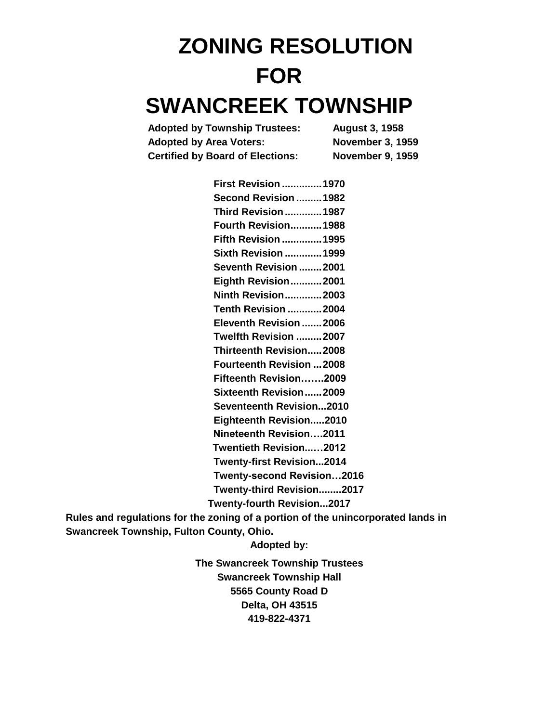# **ZONING RESOLUTION FOR SWANCREEK TOWNSHIP**

| <b>Adopted by Township Trustees:</b>    | <b>August 3, 1958</b>   |
|-----------------------------------------|-------------------------|
| <b>Adopted by Area Voters:</b>          | <b>November 3, 1959</b> |
| <b>Certified by Board of Elections:</b> | <b>November 9, 1959</b> |

| <b>First Revision  1970</b>                                                      |  |
|----------------------------------------------------------------------------------|--|
| Second Revision 1982                                                             |  |
| <b>Third Revision  1987</b>                                                      |  |
| <b>Fourth Revision 1988</b>                                                      |  |
| <b>Fifth Revision  1995</b>                                                      |  |
| <b>Sixth Revision  1999</b>                                                      |  |
| Seventh Revision 2001                                                            |  |
| Eighth Revision2001                                                              |  |
| <b>Ninth Revision2003</b>                                                        |  |
| <b>Tenth Revision 2004</b>                                                       |  |
| Eleventh Revision 2006                                                           |  |
| Twelfth Revision 2007                                                            |  |
| <b>Thirteenth Revision2008</b>                                                   |  |
| <b>Fourteenth Revision 2008</b>                                                  |  |
| Fifteenth Revision2009                                                           |  |
| Sixteenth Revision2009                                                           |  |
| Seventeenth Revision2010                                                         |  |
| Eighteenth Revision2010                                                          |  |
| Nineteenth Revision2011                                                          |  |
| Twentieth Revision2012                                                           |  |
| <b>Twenty-first Revision2014</b>                                                 |  |
| Twenty-second Revision2016                                                       |  |
| Twenty-third Revision2017                                                        |  |
| Twenty-fourth Revision2017                                                       |  |
| Rules and regulations for the zoning of a portion of the unincorporated lands in |  |

**Swancreek Township, Fulton County, Ohio.**

**Adopted by:**

**The Swancreek Township Trustees Swancreek Township Hall 5565 County Road D Delta, OH 43515 419-822-4371**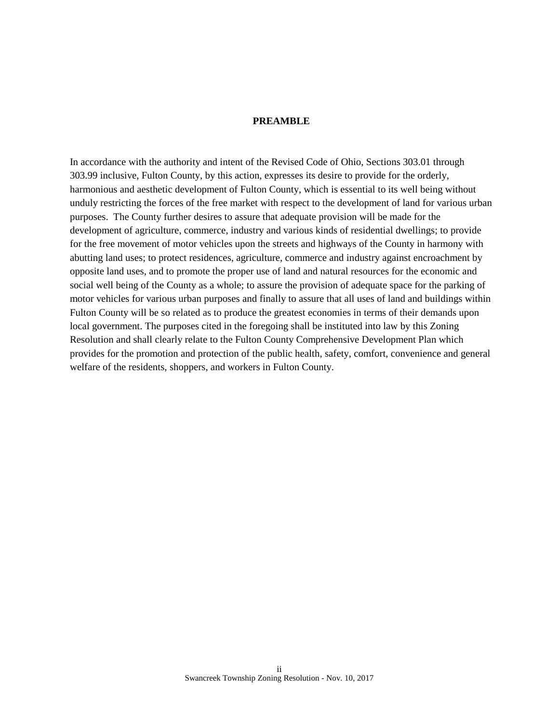#### **PREAMBLE**

In accordance with the authority and intent of the Revised Code of Ohio, Sections 303.01 through 303.99 inclusive, Fulton County, by this action, expresses its desire to provide for the orderly, harmonious and aesthetic development of Fulton County, which is essential to its well being without unduly restricting the forces of the free market with respect to the development of land for various urban purposes. The County further desires to assure that adequate provision will be made for the development of agriculture, commerce, industry and various kinds of residential dwellings; to provide for the free movement of motor vehicles upon the streets and highways of the County in harmony with abutting land uses; to protect residences, agriculture, commerce and industry against encroachment by opposite land uses, and to promote the proper use of land and natural resources for the economic and social well being of the County as a whole; to assure the provision of adequate space for the parking of motor vehicles for various urban purposes and finally to assure that all uses of land and buildings within Fulton County will be so related as to produce the greatest economies in terms of their demands upon local government. The purposes cited in the foregoing shall be instituted into law by this Zoning Resolution and shall clearly relate to the Fulton County Comprehensive Development Plan which provides for the promotion and protection of the public health, safety, comfort, convenience and general welfare of the residents, shoppers, and workers in Fulton County.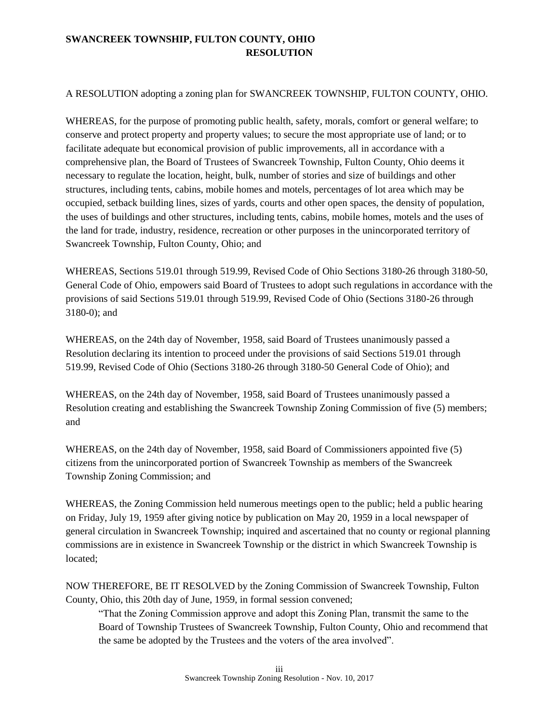# **SWANCREEK TOWNSHIP, FULTON COUNTY, OHIO RESOLUTION**

## A RESOLUTION adopting a zoning plan for SWANCREEK TOWNSHIP, FULTON COUNTY, OHIO.

WHEREAS, for the purpose of promoting public health, safety, morals, comfort or general welfare; to conserve and protect property and property values; to secure the most appropriate use of land; or to facilitate adequate but economical provision of public improvements, all in accordance with a comprehensive plan, the Board of Trustees of Swancreek Township, Fulton County, Ohio deems it necessary to regulate the location, height, bulk, number of stories and size of buildings and other structures, including tents, cabins, mobile homes and motels, percentages of lot area which may be occupied, setback building lines, sizes of yards, courts and other open spaces, the density of population, the uses of buildings and other structures, including tents, cabins, mobile homes, motels and the uses of the land for trade, industry, residence, recreation or other purposes in the unincorporated territory of Swancreek Township, Fulton County, Ohio; and

WHEREAS, Sections 519.01 through 519.99, Revised Code of Ohio Sections 3180-26 through 3180-50, General Code of Ohio, empowers said Board of Trustees to adopt such regulations in accordance with the provisions of said Sections 519.01 through 519.99, Revised Code of Ohio (Sections 3180-26 through 3180-0); and

WHEREAS, on the 24th day of November, 1958, said Board of Trustees unanimously passed a Resolution declaring its intention to proceed under the provisions of said Sections 519.01 through 519.99, Revised Code of Ohio (Sections 3180-26 through 3180-50 General Code of Ohio); and

WHEREAS, on the 24th day of November, 1958, said Board of Trustees unanimously passed a Resolution creating and establishing the Swancreek Township Zoning Commission of five (5) members; and

WHEREAS, on the 24th day of November, 1958, said Board of Commissioners appointed five (5) citizens from the unincorporated portion of Swancreek Township as members of the Swancreek Township Zoning Commission; and

WHEREAS, the Zoning Commission held numerous meetings open to the public; held a public hearing on Friday, July 19, 1959 after giving notice by publication on May 20, 1959 in a local newspaper of general circulation in Swancreek Township; inquired and ascertained that no county or regional planning commissions are in existence in Swancreek Township or the district in which Swancreek Township is located;

NOW THEREFORE, BE IT RESOLVED by the Zoning Commission of Swancreek Township, Fulton County, Ohio, this 20th day of June, 1959, in formal session convened;

"That the Zoning Commission approve and adopt this Zoning Plan, transmit the same to the Board of Township Trustees of Swancreek Township, Fulton County, Ohio and recommend that the same be adopted by the Trustees and the voters of the area involved".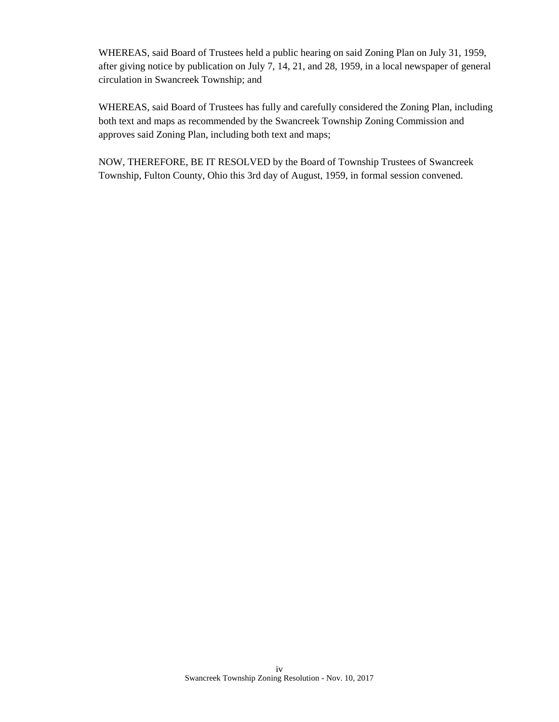WHEREAS, said Board of Trustees held a public hearing on said Zoning Plan on July 31, 1959, after giving notice by publication on July 7, 14, 21, and 28, 1959, in a local newspaper of general circulation in Swancreek Township; and

WHEREAS, said Board of Trustees has fully and carefully considered the Zoning Plan, including both text and maps as recommended by the Swancreek Township Zoning Commission and approves said Zoning Plan, including both text and maps;

NOW, THEREFORE, BE IT RESOLVED by the Board of Township Trustees of Swancreek Township, Fulton County, Ohio this 3rd day of August, 1959, in formal session convened.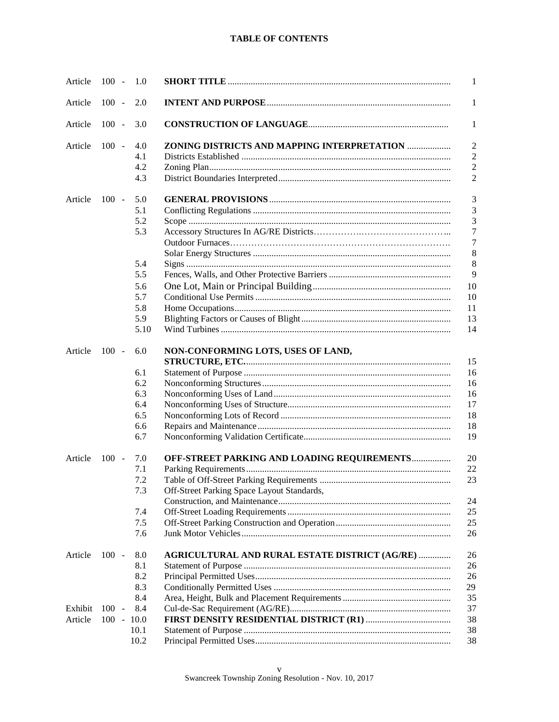#### **TABLE OF CONTENTS**

| Article | $100 -$      | 1.0  |                                                | 1              |
|---------|--------------|------|------------------------------------------------|----------------|
| Article | $100 -$      | 2.0  |                                                | 1              |
| Article | $100 -$      | 3.0  |                                                | 1              |
| Article | $100 -$      | 4.0  | ZONING DISTRICTS AND MAPPING INTERPRETATION    | $\overline{2}$ |
|         |              | 4.1  |                                                | $\overline{2}$ |
|         |              | 4.2  |                                                | $\overline{2}$ |
|         |              | 4.3  |                                                | $\overline{2}$ |
| Article | $100 -$      | 5.0  |                                                | 3              |
|         |              | 5.1  |                                                | 3              |
|         |              | 5.2  |                                                | 3              |
|         |              | 5.3  |                                                | 7              |
|         |              |      |                                                | 7              |
|         |              |      |                                                | 8              |
|         |              | 5.4  |                                                | 8              |
|         |              | 5.5  |                                                | 9              |
|         |              | 5.6  |                                                | 10             |
|         |              | 5.7  |                                                | 10             |
|         |              | 5.8  |                                                | 11             |
|         |              | 5.9  |                                                | 13             |
|         |              | 5.10 |                                                | 14             |
| Article | $100 -$      | 6.0  | NON-CONFORMING LOTS, USES OF LAND,             | 15             |
|         |              | 6.1  |                                                | 16             |
|         |              | 6.2  |                                                | 16             |
|         |              | 6.3  |                                                | 16             |
|         |              | 6.4  |                                                | 17             |
|         |              | 6.5  |                                                | 18             |
|         |              | 6.6  |                                                | 18             |
|         |              | 6.7  |                                                | 19             |
| Article | $100 -$      | 7.0  | OFF-STREET PARKING AND LOADING REQUIREMENTS    | 20             |
|         |              | 7.1  |                                                | 22             |
|         |              | 7.2  |                                                | 23             |
|         |              | 7.3  | Off-Street Parking Space Layout Standards,     |                |
|         |              |      |                                                | 24             |
|         |              | 7.4  |                                                | 25             |
|         |              | 7.5  |                                                | 25             |
|         |              | 7.6  |                                                | 26             |
| Article | $100 -$      | 8.0  | AGRICULTURAL AND RURAL ESTATE DISTRICT (AG/RE) | 26             |
|         |              | 8.1  |                                                | 26             |
|         |              | 8.2  |                                                | 26             |
|         |              | 8.3  |                                                | 29             |
|         |              | 8.4  |                                                | 35             |
| Exhibit | $100 -$      | 8.4  |                                                | 37             |
| Article | $100 - 10.0$ |      |                                                | 38             |
|         |              | 10.1 |                                                | 38             |
|         |              | 10.2 |                                                | 38             |
|         |              |      |                                                |                |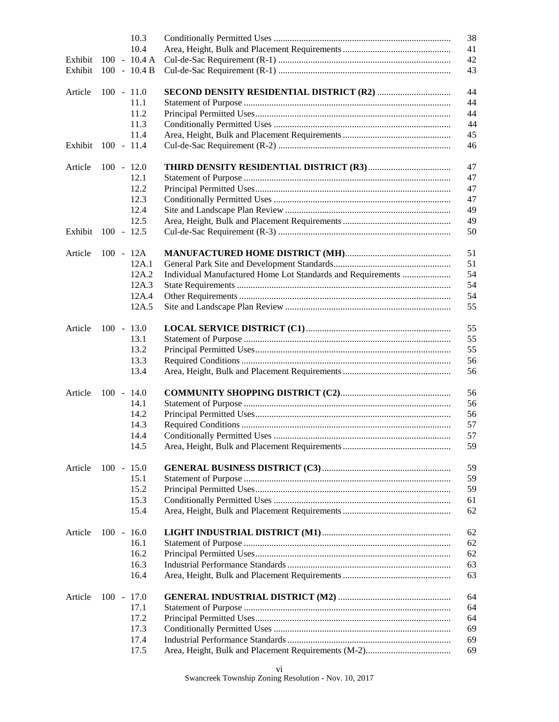|         |              | 10.3           |                                                             | 38 |
|---------|--------------|----------------|-------------------------------------------------------------|----|
|         |              | 10.4           |                                                             | 41 |
| Exhibit |              | $100 - 10.4 A$ |                                                             | 42 |
| Exhibit |              | $100 - 10.4 B$ |                                                             | 43 |
|         |              |                |                                                             |    |
| Article | $100 - 11.0$ |                |                                                             | 44 |
|         |              | 11.1           |                                                             | 44 |
|         |              | 11.2           |                                                             | 44 |
|         |              | 11.3           |                                                             | 44 |
|         |              | 11.4           |                                                             | 45 |
| Exhibit | $100 - 11.4$ |                |                                                             | 46 |
|         |              |                |                                                             |    |
| Article | $100 - 12.0$ |                |                                                             | 47 |
|         |              | 12.1           |                                                             | 47 |
|         |              | 12.2           |                                                             | 47 |
|         |              | 12.3           |                                                             | 47 |
|         |              |                |                                                             |    |
|         |              | 12.4           |                                                             | 49 |
|         |              | 12.5           |                                                             | 49 |
| Exhibit | $100 - 12.5$ |                |                                                             | 50 |
|         |              |                |                                                             |    |
| Article | $100 - 12A$  |                |                                                             | 51 |
|         |              | 12A.1          |                                                             | 51 |
|         |              | 12A.2          | Individual Manufactured Home Lot Standards and Requirements | 54 |
|         |              | 12A.3          |                                                             | 54 |
|         |              | 12A.4          |                                                             | 54 |
|         |              | 12A.5          |                                                             | 55 |
|         |              |                |                                                             |    |
| Article | $100 - 13.0$ |                |                                                             | 55 |
|         |              | 13.1           |                                                             | 55 |
|         |              | 13.2           |                                                             | 55 |
|         |              | 13.3           |                                                             | 56 |
|         |              | 13.4           |                                                             | 56 |
|         |              |                |                                                             |    |
| Article | $100 - 14.0$ |                |                                                             | 56 |
|         |              | 14.1           |                                                             | 56 |
|         |              | 14.2           |                                                             | 56 |
|         |              |                |                                                             |    |
|         |              | 14.3           |                                                             | 57 |
|         |              | 14.4           |                                                             | 57 |
|         |              | 14.5           |                                                             | 59 |
|         |              |                |                                                             |    |
| Article | $100 - 15.0$ |                |                                                             | 59 |
|         |              | 15.1           |                                                             | 59 |
|         |              | 15.2           |                                                             | 59 |
|         |              | 15.3           |                                                             | 61 |
|         |              | 15.4           |                                                             | 62 |
|         |              |                |                                                             |    |
| Article | $100 - 16.0$ |                |                                                             | 62 |
|         |              | 16.1           |                                                             | 62 |
|         |              | 16.2           |                                                             | 62 |
|         |              | 16.3           |                                                             | 63 |
|         |              | 16.4           |                                                             | 63 |
|         |              |                |                                                             |    |
| Article | $100 - 17.0$ |                |                                                             | 64 |
|         |              | 17.1           |                                                             | 64 |
|         |              | 17.2           |                                                             | 64 |
|         |              | 17.3           |                                                             | 69 |
|         |              | 17.4           |                                                             | 69 |
|         |              | 17.5           |                                                             | 69 |
|         |              |                |                                                             |    |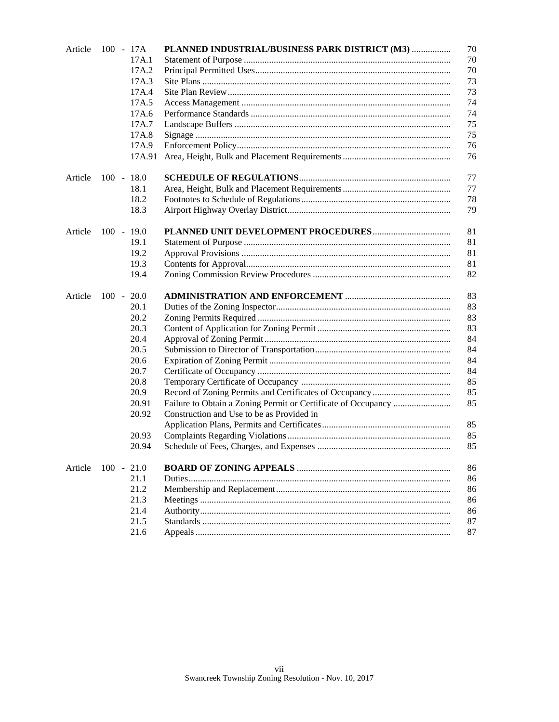| Article | 100 - 17A    | PLANNED INDUSTRIAL/BUSINESS PARK DISTRICT (M3) | 70 |
|---------|--------------|------------------------------------------------|----|
|         | 17A.1        |                                                | 70 |
|         | 17A.2        |                                                | 70 |
|         | 17A.3        |                                                | 73 |
|         | 17A.4        |                                                | 73 |
|         | 17A.5        |                                                | 74 |
|         | 17A.6        |                                                | 74 |
|         | 17A.7        |                                                | 75 |
|         | 17A.8        |                                                | 75 |
|         | 17A.9        |                                                | 76 |
|         | 17A.91       |                                                | 76 |
| Article | $100 - 18.0$ |                                                | 77 |
|         | 18.1         |                                                | 77 |
|         | 18.2         |                                                | 78 |
|         | 18.3         |                                                | 79 |
| Article | $100 - 19.0$ |                                                | 81 |
|         | 19.1         |                                                | 81 |
|         | 19.2         |                                                | 81 |
|         | 19.3         |                                                | 81 |
|         | 19.4         |                                                | 82 |
| Article | $100 - 20.0$ |                                                | 83 |
|         | 20.1         |                                                | 83 |
|         | 20.2         |                                                | 83 |
|         | 20.3         |                                                | 83 |
|         | 20.4         |                                                | 84 |
|         | 20.5         |                                                | 84 |
|         | 20.6         |                                                | 84 |
|         | 20.7         |                                                | 84 |
|         | 20.8         |                                                | 85 |
|         | 20.9         |                                                | 85 |
|         | 20.91        |                                                | 85 |
|         | 20.92        | Construction and Use to be as Provided in      |    |
|         |              |                                                | 85 |
|         | 20.93        |                                                | 85 |
|         | 20.94        |                                                | 85 |
| Article | $100 - 21.0$ |                                                | 86 |
|         | 21.1         |                                                | 86 |
|         | 21.2         |                                                | 86 |
|         | 21.3         |                                                | 86 |
|         | 21.4         |                                                | 86 |
|         | 21.5         |                                                | 87 |
|         | 21.6         |                                                | 87 |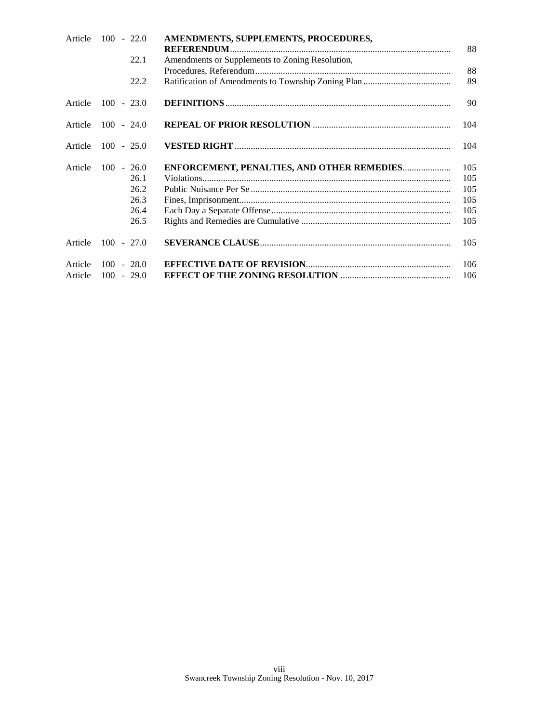| Article | $100 - 22.0$ | AMENDMENTS, SUPPLEMENTS, PROCEDURES,            |     |
|---------|--------------|-------------------------------------------------|-----|
|         | 22.1         | Amendments or Supplements to Zoning Resolution, | 88  |
|         |              |                                                 | 88  |
|         | 22.2         |                                                 | 89  |
| Article | $100 - 23.0$ |                                                 | 90  |
| Article | $100 - 24.0$ |                                                 | 104 |
| Article | $100 - 25.0$ |                                                 | 104 |
| Article | $100 - 26.0$ | ENFORCEMENT, PENALTIES, AND OTHER REMEDIES      | 105 |
|         | 26.1         |                                                 | 105 |
|         | 26.2         |                                                 | 105 |
|         | 26.3         |                                                 | 105 |
|         | 26.4         |                                                 | 105 |
|         | 26.5         |                                                 | 105 |
| Article | $100 - 27.0$ |                                                 | 105 |
| Article | $100 - 28.0$ |                                                 | 106 |
| Article | $100 - 29.0$ |                                                 | 106 |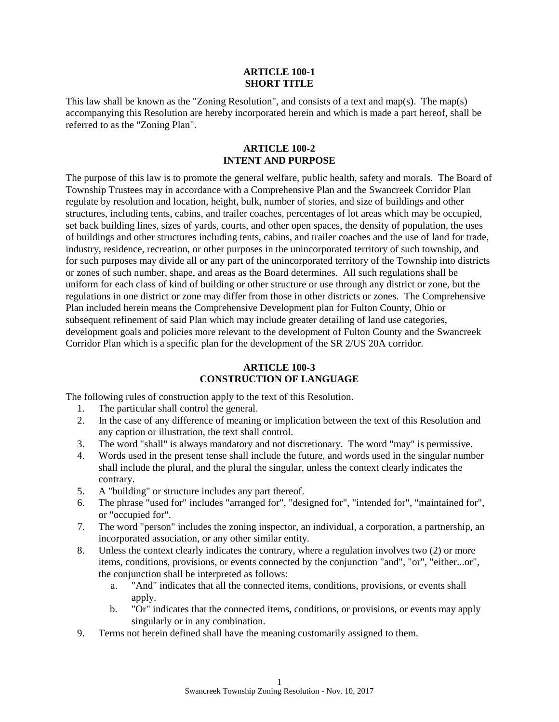#### **ARTICLE 100-1 SHORT TITLE**

This law shall be known as the "Zoning Resolution", and consists of a text and map(s). The map(s) accompanying this Resolution are hereby incorporated herein and which is made a part hereof, shall be referred to as the "Zoning Plan".

#### **ARTICLE 100-2 INTENT AND PURPOSE**

The purpose of this law is to promote the general welfare, public health, safety and morals. The Board of Township Trustees may in accordance with a Comprehensive Plan and the Swancreek Corridor Plan regulate by resolution and location, height, bulk, number of stories, and size of buildings and other structures, including tents, cabins, and trailer coaches, percentages of lot areas which may be occupied, set back building lines, sizes of yards, courts, and other open spaces, the density of population, the uses of buildings and other structures including tents, cabins, and trailer coaches and the use of land for trade, industry, residence, recreation, or other purposes in the unincorporated territory of such township, and for such purposes may divide all or any part of the unincorporated territory of the Township into districts or zones of such number, shape, and areas as the Board determines. All such regulations shall be uniform for each class of kind of building or other structure or use through any district or zone, but the regulations in one district or zone may differ from those in other districts or zones. The Comprehensive Plan included herein means the Comprehensive Development plan for Fulton County, Ohio or subsequent refinement of said Plan which may include greater detailing of land use categories, development goals and policies more relevant to the development of Fulton County and the Swancreek Corridor Plan which is a specific plan for the development of the SR 2/US 20A corridor.

#### **ARTICLE 100-3 CONSTRUCTION OF LANGUAGE**

The following rules of construction apply to the text of this Resolution.

- 1. The particular shall control the general.
- 2. In the case of any difference of meaning or implication between the text of this Resolution and any caption or illustration, the text shall control.
- 3. The word "shall" is always mandatory and not discretionary. The word "may" is permissive.
- 4. Words used in the present tense shall include the future, and words used in the singular number shall include the plural, and the plural the singular, unless the context clearly indicates the contrary.
- 5. A "building" or structure includes any part thereof.
- 6. The phrase "used for" includes "arranged for", "designed for", "intended for", "maintained for", or "occupied for".
- 7. The word "person" includes the zoning inspector, an individual, a corporation, a partnership, an incorporated association, or any other similar entity.
- 8. Unless the context clearly indicates the contrary, where a regulation involves two (2) or more items, conditions, provisions, or events connected by the conjunction "and", "or", "either...or", the conjunction shall be interpreted as follows:
	- a. "And" indicates that all the connected items, conditions, provisions, or events shall apply.
	- b. "Or" indicates that the connected items, conditions, or provisions, or events may apply singularly or in any combination.
- 9. Terms not herein defined shall have the meaning customarily assigned to them.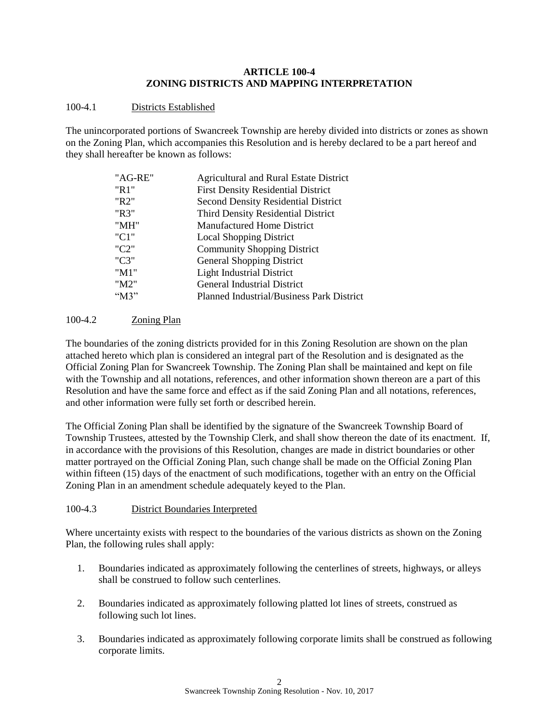## **ARTICLE 100-4 ZONING DISTRICTS AND MAPPING INTERPRETATION**

# 100-4.1 Districts Established

The unincorporated portions of Swancreek Township are hereby divided into districts or zones as shown on the Zoning Plan, which accompanies this Resolution and is hereby declared to be a part hereof and they shall hereafter be known as follows:

| "AG-RE"  | <b>Agricultural and Rural Estate District</b> |
|----------|-----------------------------------------------|
| "R1"     | <b>First Density Residential District</b>     |
| "R2"     | <b>Second Density Residential District</b>    |
| "R3"     | <b>Third Density Residential District</b>     |
| "MH"     | <b>Manufactured Home District</b>             |
| "C1"     | <b>Local Shopping District</b>                |
| "C2"     | <b>Community Shopping District</b>            |
| "C3"     | <b>General Shopping District</b>              |
| "M1"     | <b>Light Industrial District</b>              |
| "M2"     | <b>General Industrial District</b>            |
| " $M3$ " | Planned Industrial/Business Park District     |
|          |                                               |

# 100-4.2 Zoning Plan

The boundaries of the zoning districts provided for in this Zoning Resolution are shown on the plan attached hereto which plan is considered an integral part of the Resolution and is designated as the Official Zoning Plan for Swancreek Township. The Zoning Plan shall be maintained and kept on file with the Township and all notations, references, and other information shown thereon are a part of this Resolution and have the same force and effect as if the said Zoning Plan and all notations, references, and other information were fully set forth or described herein.

The Official Zoning Plan shall be identified by the signature of the Swancreek Township Board of Township Trustees, attested by the Township Clerk, and shall show thereon the date of its enactment. If, in accordance with the provisions of this Resolution, changes are made in district boundaries or other matter portrayed on the Official Zoning Plan, such change shall be made on the Official Zoning Plan within fifteen (15) days of the enactment of such modifications, together with an entry on the Official Zoning Plan in an amendment schedule adequately keyed to the Plan.

# 100-4.3 District Boundaries Interpreted

Where uncertainty exists with respect to the boundaries of the various districts as shown on the Zoning Plan, the following rules shall apply:

- 1. Boundaries indicated as approximately following the centerlines of streets, highways, or alleys shall be construed to follow such centerlines.
- 2. Boundaries indicated as approximately following platted lot lines of streets, construed as following such lot lines.
- 3. Boundaries indicated as approximately following corporate limits shall be construed as following corporate limits.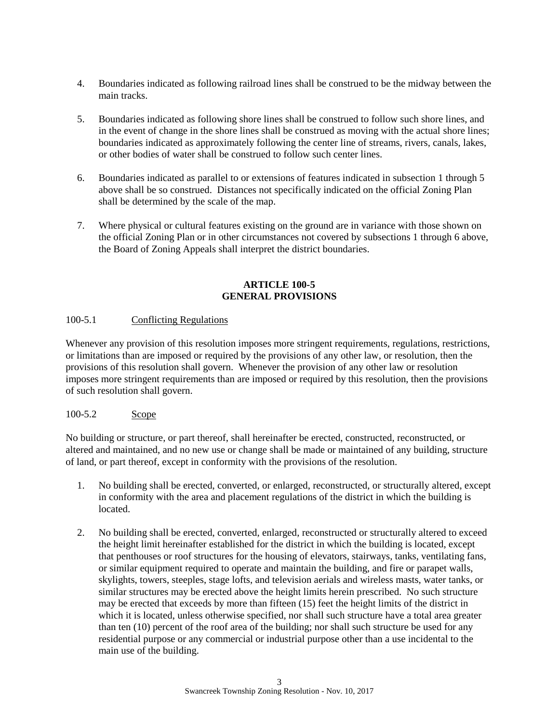- 4. Boundaries indicated as following railroad lines shall be construed to be the midway between the main tracks.
- 5. Boundaries indicated as following shore lines shall be construed to follow such shore lines, and in the event of change in the shore lines shall be construed as moving with the actual shore lines; boundaries indicated as approximately following the center line of streams, rivers, canals, lakes, or other bodies of water shall be construed to follow such center lines.
- 6. Boundaries indicated as parallel to or extensions of features indicated in subsection 1 through 5 above shall be so construed. Distances not specifically indicated on the official Zoning Plan shall be determined by the scale of the map.
- 7. Where physical or cultural features existing on the ground are in variance with those shown on the official Zoning Plan or in other circumstances not covered by subsections 1 through 6 above, the Board of Zoning Appeals shall interpret the district boundaries.

# **ARTICLE 100-5 GENERAL PROVISIONS**

# 100-5.1 Conflicting Regulations

Whenever any provision of this resolution imposes more stringent requirements, regulations, restrictions, or limitations than are imposed or required by the provisions of any other law, or resolution, then the provisions of this resolution shall govern. Whenever the provision of any other law or resolution imposes more stringent requirements than are imposed or required by this resolution, then the provisions of such resolution shall govern.

### 100-5.2 Scope

No building or structure, or part thereof, shall hereinafter be erected, constructed, reconstructed, or altered and maintained, and no new use or change shall be made or maintained of any building, structure of land, or part thereof, except in conformity with the provisions of the resolution.

- 1. No building shall be erected, converted, or enlarged, reconstructed, or structurally altered, except in conformity with the area and placement regulations of the district in which the building is located.
- 2. No building shall be erected, converted, enlarged, reconstructed or structurally altered to exceed the height limit hereinafter established for the district in which the building is located, except that penthouses or roof structures for the housing of elevators, stairways, tanks, ventilating fans, or similar equipment required to operate and maintain the building, and fire or parapet walls, skylights, towers, steeples, stage lofts, and television aerials and wireless masts, water tanks, or similar structures may be erected above the height limits herein prescribed. No such structure may be erected that exceeds by more than fifteen (15) feet the height limits of the district in which it is located, unless otherwise specified, nor shall such structure have a total area greater than ten (10) percent of the roof area of the building; nor shall such structure be used for any residential purpose or any commercial or industrial purpose other than a use incidental to the main use of the building.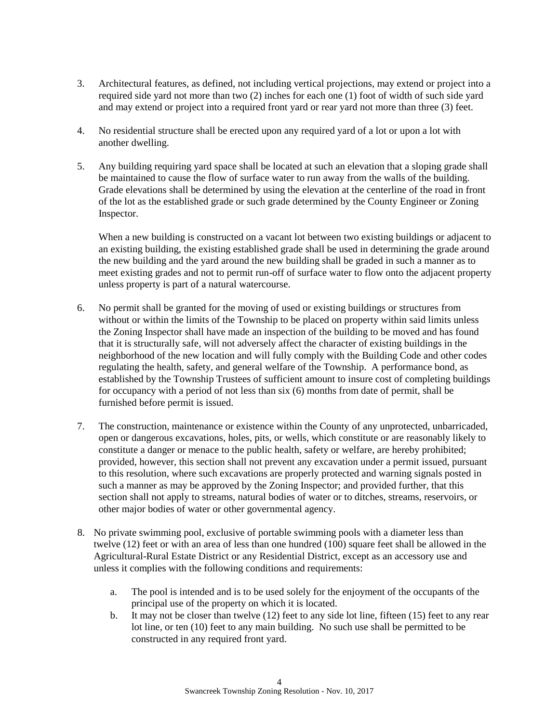- 3. Architectural features, as defined, not including vertical projections, may extend or project into a required side yard not more than two (2) inches for each one (1) foot of width of such side yard and may extend or project into a required front yard or rear yard not more than three (3) feet.
- 4. No residential structure shall be erected upon any required yard of a lot or upon a lot with another dwelling.
- 5. Any building requiring yard space shall be located at such an elevation that a sloping grade shall be maintained to cause the flow of surface water to run away from the walls of the building. Grade elevations shall be determined by using the elevation at the centerline of the road in front of the lot as the established grade or such grade determined by the County Engineer or Zoning Inspector.

When a new building is constructed on a vacant lot between two existing buildings or adjacent to an existing building, the existing established grade shall be used in determining the grade around the new building and the yard around the new building shall be graded in such a manner as to meet existing grades and not to permit run-off of surface water to flow onto the adjacent property unless property is part of a natural watercourse.

- 6. No permit shall be granted for the moving of used or existing buildings or structures from without or within the limits of the Township to be placed on property within said limits unless the Zoning Inspector shall have made an inspection of the building to be moved and has found that it is structurally safe, will not adversely affect the character of existing buildings in the neighborhood of the new location and will fully comply with the Building Code and other codes regulating the health, safety, and general welfare of the Township. A performance bond, as established by the Township Trustees of sufficient amount to insure cost of completing buildings for occupancy with a period of not less than six (6) months from date of permit, shall be furnished before permit is issued.
- 7. The construction, maintenance or existence within the County of any unprotected, unbarricaded, open or dangerous excavations, holes, pits, or wells, which constitute or are reasonably likely to constitute a danger or menace to the public health, safety or welfare, are hereby prohibited; provided, however, this section shall not prevent any excavation under a permit issued, pursuant to this resolution, where such excavations are properly protected and warning signals posted in such a manner as may be approved by the Zoning Inspector; and provided further, that this section shall not apply to streams, natural bodies of water or to ditches, streams, reservoirs, or other major bodies of water or other governmental agency.
- 8. No private swimming pool, exclusive of portable swimming pools with a diameter less than twelve (12) feet or with an area of less than one hundred (100) square feet shall be allowed in the Agricultural-Rural Estate District or any Residential District, except as an accessory use and unless it complies with the following conditions and requirements:
	- a. The pool is intended and is to be used solely for the enjoyment of the occupants of the principal use of the property on which it is located.
	- b. It may not be closer than twelve (12) feet to any side lot line, fifteen (15) feet to any rear lot line, or ten (10) feet to any main building. No such use shall be permitted to be constructed in any required front yard.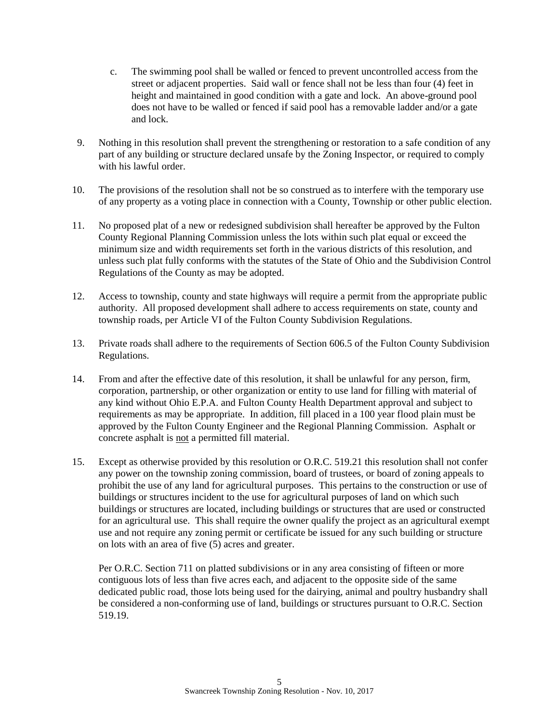- c. The swimming pool shall be walled or fenced to prevent uncontrolled access from the street or adjacent properties. Said wall or fence shall not be less than four (4) feet in height and maintained in good condition with a gate and lock. An above-ground pool does not have to be walled or fenced if said pool has a removable ladder and/or a gate and lock.
- 9. Nothing in this resolution shall prevent the strengthening or restoration to a safe condition of any part of any building or structure declared unsafe by the Zoning Inspector, or required to comply with his lawful order.
- 10. The provisions of the resolution shall not be so construed as to interfere with the temporary use of any property as a voting place in connection with a County, Township or other public election.
- 11. No proposed plat of a new or redesigned subdivision shall hereafter be approved by the Fulton County Regional Planning Commission unless the lots within such plat equal or exceed the minimum size and width requirements set forth in the various districts of this resolution, and unless such plat fully conforms with the statutes of the State of Ohio and the Subdivision Control Regulations of the County as may be adopted.
- 12. Access to township, county and state highways will require a permit from the appropriate public authority.All proposed development shall adhere to access requirements on state, county and township roads, per Article VI of the Fulton County Subdivision Regulations.
- 13. Private roads shall adhere to the requirements of Section 606.5 of the Fulton County Subdivision Regulations.
- 14. From and after the effective date of this resolution, it shall be unlawful for any person, firm, corporation, partnership, or other organization or entity to use land for filling with material of any kind without Ohio E.P.A. and Fulton County Health Department approval and subject to requirements as may be appropriate. In addition, fill placed in a 100 year flood plain must be approved by the Fulton County Engineer and the Regional Planning Commission. Asphalt or concrete asphalt is not a permitted fill material.
- 15. Except as otherwise provided by this resolution or O.R.C. 519.21 this resolution shall not confer any power on the township zoning commission, board of trustees, or board of zoning appeals to prohibit the use of any land for agricultural purposes. This pertains to the construction or use of buildings or structures incident to the use for agricultural purposes of land on which such buildings or structures are located, including buildings or structures that are used or constructed for an agricultural use. This shall require the owner qualify the project as an agricultural exempt use and not require any zoning permit or certificate be issued for any such building or structure on lots with an area of five (5) acres and greater.

Per O.R.C. Section 711 on platted subdivisions or in any area consisting of fifteen or more contiguous lots of less than five acres each, and adjacent to the opposite side of the same dedicated public road, those lots being used for the dairying, animal and poultry husbandry shall be considered a non-conforming use of land, buildings or structures pursuant to O.R.C. Section 519.19.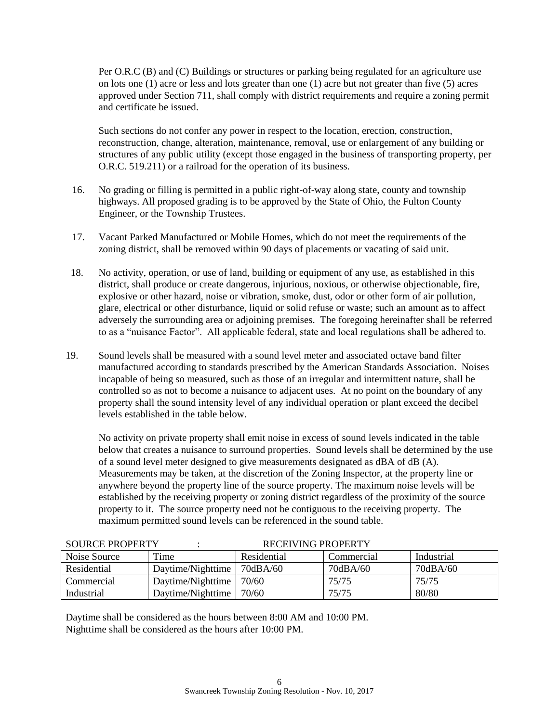Per O.R.C (B) and (C) Buildings or structures or parking being regulated for an agriculture use on lots one (1) acre or less and lots greater than one (1) acre but not greater than five (5) acres approved under Section 711, shall comply with district requirements and require a zoning permit and certificate be issued.

Such sections do not confer any power in respect to the location, erection, construction, reconstruction, change, alteration, maintenance, removal, use or enlargement of any building or structures of any public utility (except those engaged in the business of transporting property, per O.R.C. 519.211) or a railroad for the operation of its business.

- 16. No grading or filling is permitted in a public right-of-way along state, county and township highways. All proposed grading is to be approved by the State of Ohio, the Fulton County Engineer, or the Township Trustees.
- 17. Vacant Parked Manufactured or Mobile Homes, which do not meet the requirements of the zoning district, shall be removed within 90 days of placements or vacating of said unit.
- 18. No activity, operation, or use of land, building or equipment of any use, as established in this district, shall produce or create dangerous, injurious, noxious, or otherwise objectionable, fire, explosive or other hazard, noise or vibration, smoke, dust, odor or other form of air pollution, glare, electrical or other disturbance, liquid or solid refuse or waste; such an amount as to affect adversely the surrounding area or adjoining premises. The foregoing hereinafter shall be referred to as a "nuisance Factor". All applicable federal, state and local regulations shall be adhered to.
- 19. Sound levels shall be measured with a sound level meter and associated octave band filter manufactured according to standards prescribed by the American Standards Association. Noises incapable of being so measured, such as those of an irregular and intermittent nature, shall be controlled so as not to become a nuisance to adjacent uses. At no point on the boundary of any property shall the sound intensity level of any individual operation or plant exceed the decibel levels established in the table below.

No activity on private property shall emit noise in excess of sound levels indicated in the table below that creates a nuisance to surround properties. Sound levels shall be determined by the use of a sound level meter designed to give measurements designated as dBA of dB (A). Measurements may be taken, at the discretion of the Zoning Inspector, at the property line or anywhere beyond the property line of the source property. The maximum noise levels will be established by the receiving property or zoning district regardless of the proximity of the source property to it. The source property need not be contiguous to the receiving property. The maximum permitted sound levels can be referenced in the sound table.

| SOURCE PROPERTY<br>RECEIVING PROPERTY |                   |             |             |            |
|---------------------------------------|-------------------|-------------|-------------|------------|
| Noise Source                          | Time              | Residential | Commercial  | Industrial |
| Residential                           | Daytime/Nighttime | 70dBA/60    | $70$ dBA/60 | 70dBA/60   |
| Commercial                            | Daytime/Nighttime | 70/60       | 75/75       | 75/75      |
| Industrial                            | Daytime/Nighttime | 70/60       | 75/75       | 80/80      |

SOURCE PROPERTY : THE RECEIVING PROPERTY

Daytime shall be considered as the hours between 8:00 AM and 10:00 PM. Nighttime shall be considered as the hours after 10:00 PM.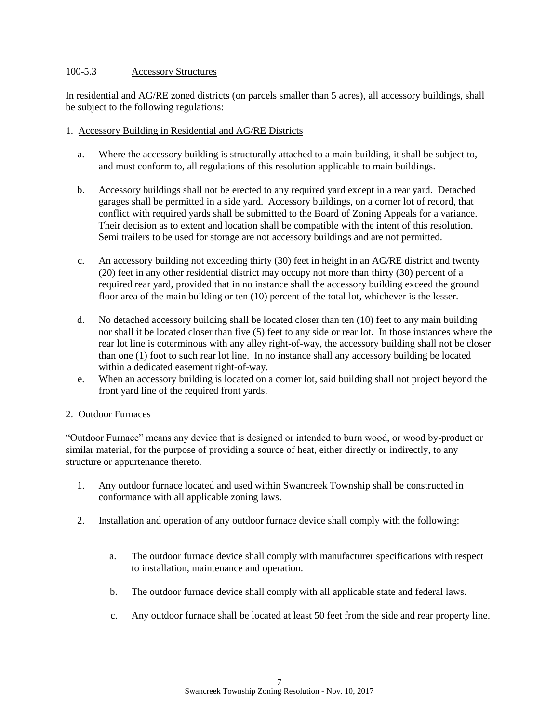## 100-5.3 Accessory Structures

In residential and AG/RE zoned districts (on parcels smaller than 5 acres), all accessory buildings, shall be subject to the following regulations:

## 1. Accessory Building in Residential and AG/RE Districts

- a. Where the accessory building is structurally attached to a main building, it shall be subject to, and must conform to, all regulations of this resolution applicable to main buildings.
- b. Accessory buildings shall not be erected to any required yard except in a rear yard. Detached garages shall be permitted in a side yard. Accessory buildings, on a corner lot of record, that conflict with required yards shall be submitted to the Board of Zoning Appeals for a variance. Their decision as to extent and location shall be compatible with the intent of this resolution. Semi trailers to be used for storage are not accessory buildings and are not permitted.
- c. An accessory building not exceeding thirty (30) feet in height in an AG/RE district and twenty (20) feet in any other residential district may occupy not more than thirty (30) percent of a required rear yard, provided that in no instance shall the accessory building exceed the ground floor area of the main building or ten (10) percent of the total lot, whichever is the lesser.
- d. No detached accessory building shall be located closer than ten (10) feet to any main building nor shall it be located closer than five (5) feet to any side or rear lot. In those instances where the rear lot line is coterminous with any alley right-of-way, the accessory building shall not be closer than one (1) foot to such rear lot line. In no instance shall any accessory building be located within a dedicated easement right-of-way.
- e. When an accessory building is located on a corner lot, said building shall not project beyond the front yard line of the required front yards.

### 2. Outdoor Furnaces

"Outdoor Furnace" means any device that is designed or intended to burn wood, or wood by-product or similar material, for the purpose of providing a source of heat, either directly or indirectly, to any structure or appurtenance thereto.

- 1. Any outdoor furnace located and used within Swancreek Township shall be constructed in conformance with all applicable zoning laws.
- 2. Installation and operation of any outdoor furnace device shall comply with the following:
	- a. The outdoor furnace device shall comply with manufacturer specifications with respect to installation, maintenance and operation.
	- b. The outdoor furnace device shall comply with all applicable state and federal laws.
	- c. Any outdoor furnace shall be located at least 50 feet from the side and rear property line.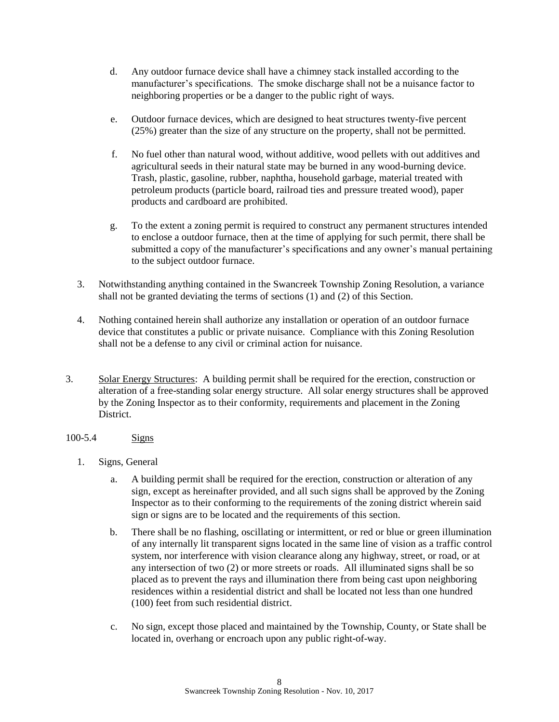- d. Any outdoor furnace device shall have a chimney stack installed according to the manufacturer's specifications. The smoke discharge shall not be a nuisance factor to neighboring properties or be a danger to the public right of ways.
- e. Outdoor furnace devices, which are designed to heat structures twenty-five percent (25%) greater than the size of any structure on the property, shall not be permitted.
- f. No fuel other than natural wood, without additive, wood pellets with out additives and agricultural seeds in their natural state may be burned in any wood-burning device. Trash, plastic, gasoline, rubber, naphtha, household garbage, material treated with petroleum products (particle board, railroad ties and pressure treated wood), paper products and cardboard are prohibited.
- g. To the extent a zoning permit is required to construct any permanent structures intended to enclose a outdoor furnace, then at the time of applying for such permit, there shall be submitted a copy of the manufacturer's specifications and any owner's manual pertaining to the subject outdoor furnace.
- 3. Notwithstanding anything contained in the Swancreek Township Zoning Resolution, a variance shall not be granted deviating the terms of sections (1) and (2) of this Section.
- 4. Nothing contained herein shall authorize any installation or operation of an outdoor furnace device that constitutes a public or private nuisance. Compliance with this Zoning Resolution shall not be a defense to any civil or criminal action for nuisance.
- 3. Solar Energy Structures: A building permit shall be required for the erection, construction or alteration of a free-standing solar energy structure. All solar energy structures shall be approved by the Zoning Inspector as to their conformity, requirements and placement in the Zoning District.
- 100-5.4 Signs
	- 1. Signs, General
		- a. A building permit shall be required for the erection, construction or alteration of any sign, except as hereinafter provided, and all such signs shall be approved by the Zoning Inspector as to their conforming to the requirements of the zoning district wherein said sign or signs are to be located and the requirements of this section.
		- b. There shall be no flashing, oscillating or intermittent, or red or blue or green illumination of any internally lit transparent signs located in the same line of vision as a traffic control system, nor interference with vision clearance along any highway, street, or road, or at any intersection of two (2) or more streets or roads. All illuminated signs shall be so placed as to prevent the rays and illumination there from being cast upon neighboring residences within a residential district and shall be located not less than one hundred (100) feet from such residential district.
		- c. No sign, except those placed and maintained by the Township, County, or State shall be located in, overhang or encroach upon any public right-of-way.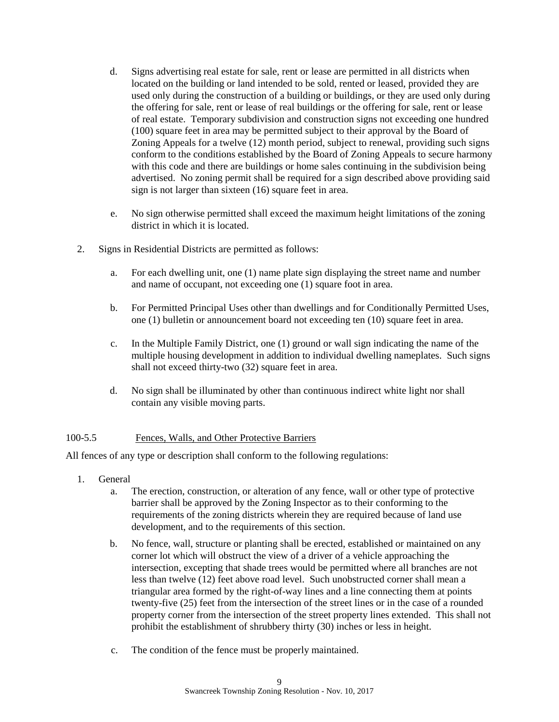- d. Signs advertising real estate for sale, rent or lease are permitted in all districts when located on the building or land intended to be sold, rented or leased, provided they are used only during the construction of a building or buildings, or they are used only during the offering for sale, rent or lease of real buildings or the offering for sale, rent or lease of real estate. Temporary subdivision and construction signs not exceeding one hundred (100) square feet in area may be permitted subject to their approval by the Board of Zoning Appeals for a twelve (12) month period, subject to renewal, providing such signs conform to the conditions established by the Board of Zoning Appeals to secure harmony with this code and there are buildings or home sales continuing in the subdivision being advertised. No zoning permit shall be required for a sign described above providing said sign is not larger than sixteen (16) square feet in area.
- e. No sign otherwise permitted shall exceed the maximum height limitations of the zoning district in which it is located.
- 2. Signs in Residential Districts are permitted as follows:
	- a. For each dwelling unit, one (1) name plate sign displaying the street name and number and name of occupant, not exceeding one (1) square foot in area.
	- b. For Permitted Principal Uses other than dwellings and for Conditionally Permitted Uses, one (1) bulletin or announcement board not exceeding ten (10) square feet in area.
	- c. In the Multiple Family District, one (1) ground or wall sign indicating the name of the multiple housing development in addition to individual dwelling nameplates. Such signs shall not exceed thirty-two (32) square feet in area.
	- d. No sign shall be illuminated by other than continuous indirect white light nor shall contain any visible moving parts.

# 100-5.5 Fences, Walls, and Other Protective Barriers

All fences of any type or description shall conform to the following regulations:

- 1. General
	- a. The erection, construction, or alteration of any fence, wall or other type of protective barrier shall be approved by the Zoning Inspector as to their conforming to the requirements of the zoning districts wherein they are required because of land use development, and to the requirements of this section.
	- b. No fence, wall, structure or planting shall be erected, established or maintained on any corner lot which will obstruct the view of a driver of a vehicle approaching the intersection, excepting that shade trees would be permitted where all branches are not less than twelve (12) feet above road level. Such unobstructed corner shall mean a triangular area formed by the right-of-way lines and a line connecting them at points twenty-five (25) feet from the intersection of the street lines or in the case of a rounded property corner from the intersection of the street property lines extended. This shall not prohibit the establishment of shrubbery thirty (30) inches or less in height.
	- c. The condition of the fence must be properly maintained.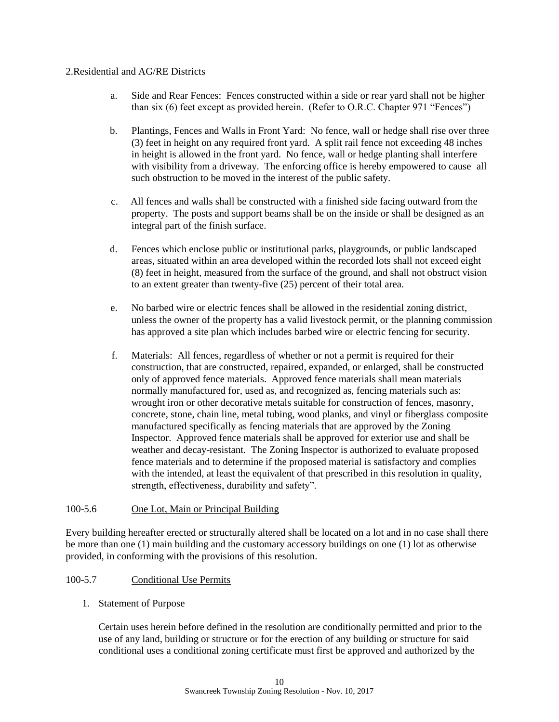#### 2.Residential and AG/RE Districts

- a. Side and Rear Fences: Fences constructed within a side or rear yard shall not be higher than six (6) feet except as provided herein. (Refer to O.R.C. Chapter 971 "Fences")
- b. Plantings, Fences and Walls in Front Yard: No fence, wall or hedge shall rise over three (3) feet in height on any required front yard. A split rail fence not exceeding 48 inches in height is allowed in the front yard. No fence, wall or hedge planting shall interfere with visibility from a driveway. The enforcing office is hereby empowered to cause all such obstruction to be moved in the interest of the public safety.
- c. All fences and walls shall be constructed with a finished side facing outward from the property. The posts and support beams shall be on the inside or shall be designed as an integral part of the finish surface.
- d. Fences which enclose public or institutional parks, playgrounds, or public landscaped areas, situated within an area developed within the recorded lots shall not exceed eight (8) feet in height, measured from the surface of the ground, and shall not obstruct vision to an extent greater than twenty-five (25) percent of their total area.
- e. No barbed wire or electric fences shall be allowed in the residential zoning district, unless the owner of the property has a valid livestock permit, or the planning commission has approved a site plan which includes barbed wire or electric fencing for security.
- f. Materials: All fences, regardless of whether or not a permit is required for their construction, that are constructed, repaired, expanded, or enlarged, shall be constructed only of approved fence materials. Approved fence materials shall mean materials normally manufactured for, used as, and recognized as, fencing materials such as: wrought iron or other decorative metals suitable for construction of fences, masonry, concrete, stone, chain line, metal tubing, wood planks, and vinyl or fiberglass composite manufactured specifically as fencing materials that are approved by the Zoning Inspector. Approved fence materials shall be approved for exterior use and shall be weather and decay-resistant. The Zoning Inspector is authorized to evaluate proposed fence materials and to determine if the proposed material is satisfactory and complies with the intended, at least the equivalent of that prescribed in this resolution in quality, strength, effectiveness, durability and safety".

### 100-5.6 One Lot, Main or Principal Building

Every building hereafter erected or structurally altered shall be located on a lot and in no case shall there be more than one (1) main building and the customary accessory buildings on one (1) lot as otherwise provided, in conforming with the provisions of this resolution.

### 100-5.7 Conditional Use Permits

1. Statement of Purpose

Certain uses herein before defined in the resolution are conditionally permitted and prior to the use of any land, building or structure or for the erection of any building or structure for said conditional uses a conditional zoning certificate must first be approved and authorized by the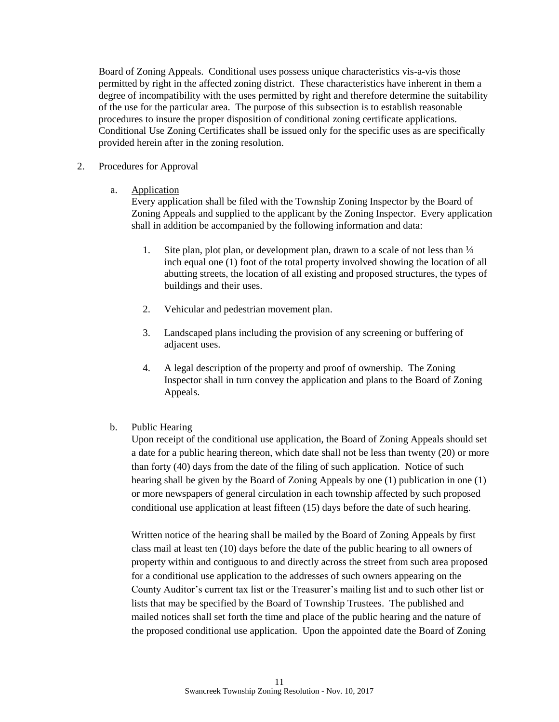Board of Zoning Appeals. Conditional uses possess unique characteristics vis-a-vis those permitted by right in the affected zoning district. These characteristics have inherent in them a degree of incompatibility with the uses permitted by right and therefore determine the suitability of the use for the particular area. The purpose of this subsection is to establish reasonable procedures to insure the proper disposition of conditional zoning certificate applications. Conditional Use Zoning Certificates shall be issued only for the specific uses as are specifically provided herein after in the zoning resolution.

#### 2. Procedures for Approval

#### a. Application

Every application shall be filed with the Township Zoning Inspector by the Board of Zoning Appeals and supplied to the applicant by the Zoning Inspector. Every application shall in addition be accompanied by the following information and data:

- 1. Site plan, plot plan, or development plan, drawn to a scale of not less than  $\frac{1}{4}$ inch equal one (1) foot of the total property involved showing the location of all abutting streets, the location of all existing and proposed structures, the types of buildings and their uses.
- 2. Vehicular and pedestrian movement plan.
- 3. Landscaped plans including the provision of any screening or buffering of adjacent uses.
- 4. A legal description of the property and proof of ownership. The Zoning Inspector shall in turn convey the application and plans to the Board of Zoning Appeals.

### b. Public Hearing

Upon receipt of the conditional use application, the Board of Zoning Appeals should set a date for a public hearing thereon, which date shall not be less than twenty (20) or more than forty (40) days from the date of the filing of such application. Notice of such hearing shall be given by the Board of Zoning Appeals by one (1) publication in one (1) or more newspapers of general circulation in each township affected by such proposed conditional use application at least fifteen (15) days before the date of such hearing.

Written notice of the hearing shall be mailed by the Board of Zoning Appeals by first class mail at least ten (10) days before the date of the public hearing to all owners of property within and contiguous to and directly across the street from such area proposed for a conditional use application to the addresses of such owners appearing on the County Auditor's current tax list or the Treasurer's mailing list and to such other list or lists that may be specified by the Board of Township Trustees. The published and mailed notices shall set forth the time and place of the public hearing and the nature of the proposed conditional use application. Upon the appointed date the Board of Zoning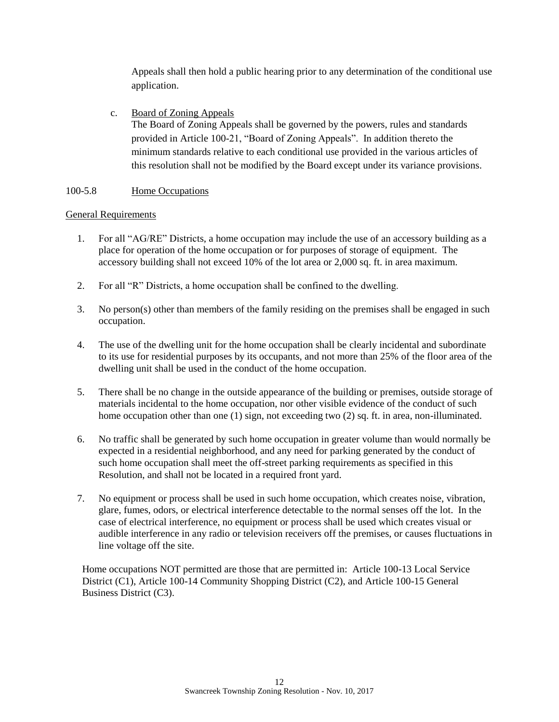Appeals shall then hold a public hearing prior to any determination of the conditional use application.

c. Board of Zoning Appeals The Board of Zoning Appeals shall be governed by the powers, rules and standards provided in Article 100-21, "Board of Zoning Appeals". In addition thereto the minimum standards relative to each conditional use provided in the various articles of this resolution shall not be modified by the Board except under its variance provisions.

# 100-5.8 Home Occupations

### General Requirements

- 1. For all "AG/RE" Districts, a home occupation may include the use of an accessory building as a place for operation of the home occupation or for purposes of storage of equipment. The accessory building shall not exceed 10% of the lot area or 2,000 sq. ft. in area maximum.
- 2. For all "R" Districts, a home occupation shall be confined to the dwelling.
- 3. No person(s) other than members of the family residing on the premises shall be engaged in such occupation.
- 4. The use of the dwelling unit for the home occupation shall be clearly incidental and subordinate to its use for residential purposes by its occupants, and not more than 25% of the floor area of the dwelling unit shall be used in the conduct of the home occupation.
- 5. There shall be no change in the outside appearance of the building or premises, outside storage of materials incidental to the home occupation, nor other visible evidence of the conduct of such home occupation other than one (1) sign, not exceeding two (2) sq. ft. in area, non-illuminated.
- 6. No traffic shall be generated by such home occupation in greater volume than would normally be expected in a residential neighborhood, and any need for parking generated by the conduct of such home occupation shall meet the off-street parking requirements as specified in this Resolution, and shall not be located in a required front yard.
- 7. No equipment or process shall be used in such home occupation, which creates noise, vibration, glare, fumes, odors, or electrical interference detectable to the normal senses off the lot. In the case of electrical interference, no equipment or process shall be used which creates visual or audible interference in any radio or television receivers off the premises, or causes fluctuations in line voltage off the site.

Home occupations NOT permitted are those that are permitted in: Article 100-13 Local Service District (C1), Article 100-14 Community Shopping District (C2), and Article 100-15 General Business District (C3).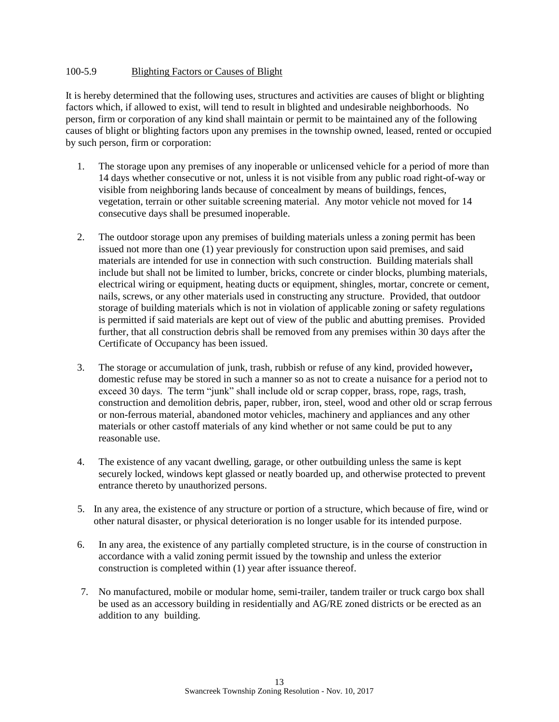### 100-5.9 Blighting Factors or Causes of Blight

It is hereby determined that the following uses, structures and activities are causes of blight or blighting factors which, if allowed to exist, will tend to result in blighted and undesirable neighborhoods. No person, firm or corporation of any kind shall maintain or permit to be maintained any of the following causes of blight or blighting factors upon any premises in the township owned, leased, rented or occupied by such person, firm or corporation:

- 1. The storage upon any premises of any inoperable or unlicensed vehicle for a period of more than 14 days whether consecutive or not, unless it is not visible from any public road right-of-way or visible from neighboring lands because of concealment by means of buildings, fences, vegetation, terrain or other suitable screening material. Any motor vehicle not moved for 14 consecutive days shall be presumed inoperable.
- 2. The outdoor storage upon any premises of building materials unless a zoning permit has been issued not more than one (1) year previously for construction upon said premises, and said materials are intended for use in connection with such construction. Building materials shall include but shall not be limited to lumber, bricks, concrete or cinder blocks, plumbing materials, electrical wiring or equipment, heating ducts or equipment, shingles, mortar, concrete or cement, nails, screws, or any other materials used in constructing any structure. Provided, that outdoor storage of building materials which is not in violation of applicable zoning or safety regulations is permitted if said materials are kept out of view of the public and abutting premises. Provided further, that all construction debris shall be removed from any premises within 30 days after the Certificate of Occupancy has been issued.
- 3. The storage or accumulation of junk, trash, rubbish or refuse of any kind, provided however**,**  domestic refuse may be stored in such a manner so as not to create a nuisance for a period not to exceed 30 days. The term "junk" shall include old or scrap copper, brass, rope, rags, trash, construction and demolition debris, paper, rubber, iron, steel, wood and other old or scrap ferrous or non-ferrous material, abandoned motor vehicles, machinery and appliances and any other materials or other castoff materials of any kind whether or not same could be put to any reasonable use.
- 4. The existence of any vacant dwelling, garage, or other outbuilding unless the same is kept securely locked, windows kept glassed or neatly boarded up, and otherwise protected to prevent entrance thereto by unauthorized persons.
- 5. In any area, the existence of any structure or portion of a structure, which because of fire, wind or other natural disaster, or physical deterioration is no longer usable for its intended purpose.
- 6. In any area, the existence of any partially completed structure, is in the course of construction in accordance with a valid zoning permit issued by the township and unless the exterior construction is completed within (1) year after issuance thereof.
- 7. No manufactured, mobile or modular home, semi-trailer, tandem trailer or truck cargo box shall be used as an accessory building in residentially and AG/RE zoned districts or be erected as an addition to any building.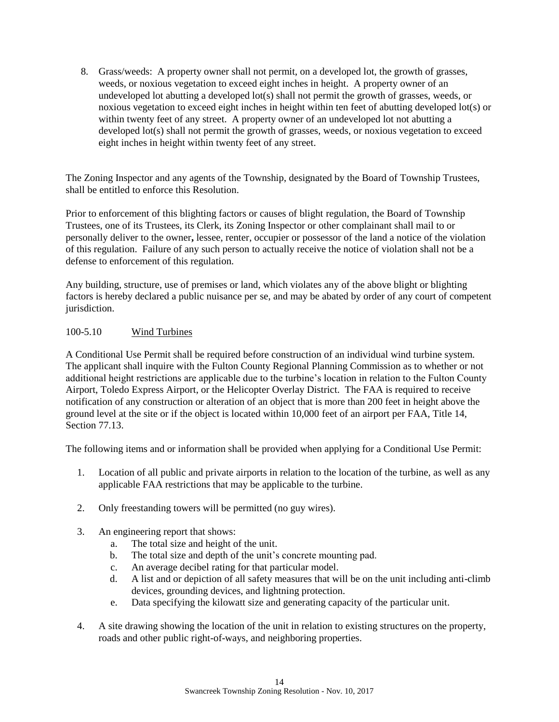8. Grass/weeds: A property owner shall not permit, on a developed lot, the growth of grasses, weeds, or noxious vegetation to exceed eight inches in height. A property owner of an undeveloped lot abutting a developed lot(s) shall not permit the growth of grasses, weeds, or noxious vegetation to exceed eight inches in height within ten feet of abutting developed lot(s) or within twenty feet of any street. A property owner of an undeveloped lot not abutting a developed lot(s) shall not permit the growth of grasses, weeds, or noxious vegetation to exceed eight inches in height within twenty feet of any street.

The Zoning Inspector and any agents of the Township, designated by the Board of Township Trustees, shall be entitled to enforce this Resolution.

Prior to enforcement of this blighting factors or causes of blight regulation, the Board of Township Trustees, one of its Trustees, its Clerk, its Zoning Inspector or other complainant shall mail to or personally deliver to the owner**,** lessee, renter, occupier or possessor of the land a notice of the violation of this regulation. Failure of any such person to actually receive the notice of violation shall not be a defense to enforcement of this regulation.

Any building, structure, use of premises or land, which violates any of the above blight or blighting factors is hereby declared a public nuisance per se, and may be abated by order of any court of competent jurisdiction.

# 100-5.10 Wind Turbines

A Conditional Use Permit shall be required before construction of an individual wind turbine system. The applicant shall inquire with the Fulton County Regional Planning Commission as to whether or not additional height restrictions are applicable due to the turbine's location in relation to the Fulton County Airport, Toledo Express Airport, or the Helicopter Overlay District. The FAA is required to receive notification of any construction or alteration of an object that is more than 200 feet in height above the ground level at the site or if the object is located within 10,000 feet of an airport per FAA, Title 14, Section 77.13.

The following items and or information shall be provided when applying for a Conditional Use Permit:

- 1. Location of all public and private airports in relation to the location of the turbine, as well as any applicable FAA restrictions that may be applicable to the turbine.
- 2. Only freestanding towers will be permitted (no guy wires).
- 3. An engineering report that shows:
	- a. The total size and height of the unit.
	- b. The total size and depth of the unit's concrete mounting pad.
	- c. An average decibel rating for that particular model.
	- d. A list and or depiction of all safety measures that will be on the unit including anti-climb devices, grounding devices, and lightning protection.
	- e. Data specifying the kilowatt size and generating capacity of the particular unit.
- 4. A site drawing showing the location of the unit in relation to existing structures on the property, roads and other public right-of-ways, and neighboring properties.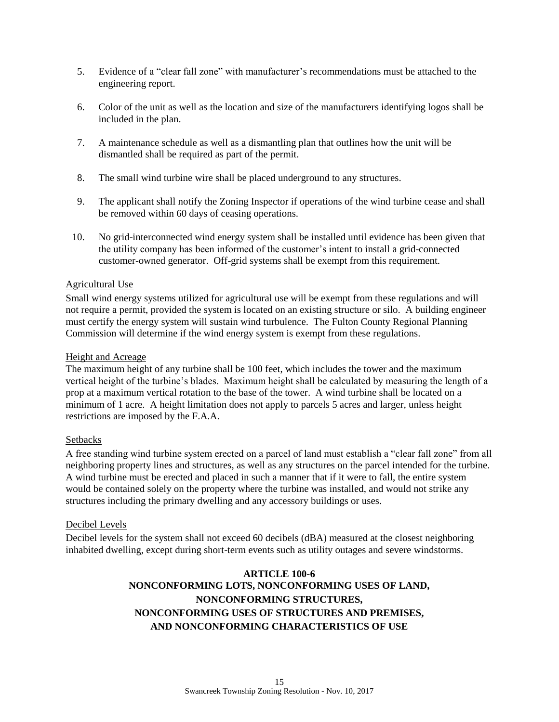- 5. Evidence of a "clear fall zone" with manufacturer's recommendations must be attached to the engineering report.
- 6. Color of the unit as well as the location and size of the manufacturers identifying logos shall be included in the plan.
- 7. A maintenance schedule as well as a dismantling plan that outlines how the unit will be dismantled shall be required as part of the permit.
- 8. The small wind turbine wire shall be placed underground to any structures.
- 9. The applicant shall notify the Zoning Inspector if operations of the wind turbine cease and shall be removed within 60 days of ceasing operations.
- 10. No grid-interconnected wind energy system shall be installed until evidence has been given that the utility company has been informed of the customer's intent to install a grid-connected customer-owned generator. Off-grid systems shall be exempt from this requirement.

# Agricultural Use

Small wind energy systems utilized for agricultural use will be exempt from these regulations and will not require a permit, provided the system is located on an existing structure or silo. A building engineer must certify the energy system will sustain wind turbulence. The Fulton County Regional Planning Commission will determine if the wind energy system is exempt from these regulations.

#### Height and Acreage

The maximum height of any turbine shall be 100 feet, which includes the tower and the maximum vertical height of the turbine's blades. Maximum height shall be calculated by measuring the length of a prop at a maximum vertical rotation to the base of the tower. A wind turbine shall be located on a minimum of 1 acre. A height limitation does not apply to parcels 5 acres and larger, unless height restrictions are imposed by the F.A.A.

### **Setbacks**

A free standing wind turbine system erected on a parcel of land must establish a "clear fall zone" from all neighboring property lines and structures, as well as any structures on the parcel intended for the turbine. A wind turbine must be erected and placed in such a manner that if it were to fall, the entire system would be contained solely on the property where the turbine was installed, and would not strike any structures including the primary dwelling and any accessory buildings or uses.

### Decibel Levels

Decibel levels for the system shall not exceed 60 decibels (dBA) measured at the closest neighboring inhabited dwelling, except during short-term events such as utility outages and severe windstorms.

# **ARTICLE 100-6 NONCONFORMING LOTS, NONCONFORMING USES OF LAND, NONCONFORMING STRUCTURES, NONCONFORMING USES OF STRUCTURES AND PREMISES, AND NONCONFORMING CHARACTERISTICS OF USE**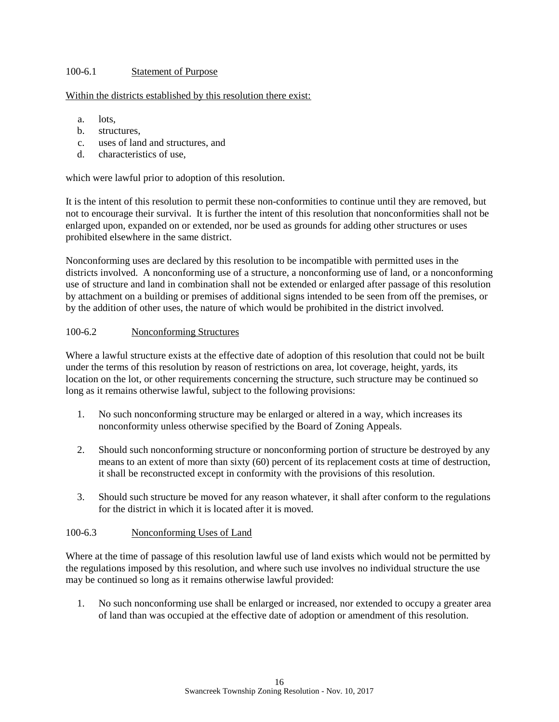# 100-6.1 Statement of Purpose

# Within the districts established by this resolution there exist:

- a. lots,
- b. structures,
- c. uses of land and structures, and
- d. characteristics of use,

which were lawful prior to adoption of this resolution.

It is the intent of this resolution to permit these non-conformities to continue until they are removed, but not to encourage their survival. It is further the intent of this resolution that nonconformities shall not be enlarged upon, expanded on or extended, nor be used as grounds for adding other structures or uses prohibited elsewhere in the same district.

Nonconforming uses are declared by this resolution to be incompatible with permitted uses in the districts involved. A nonconforming use of a structure, a nonconforming use of land, or a nonconforming use of structure and land in combination shall not be extended or enlarged after passage of this resolution by attachment on a building or premises of additional signs intended to be seen from off the premises, or by the addition of other uses, the nature of which would be prohibited in the district involved.

# 100-6.2 Nonconforming Structures

Where a lawful structure exists at the effective date of adoption of this resolution that could not be built under the terms of this resolution by reason of restrictions on area, lot coverage, height, yards, its location on the lot, or other requirements concerning the structure, such structure may be continued so long as it remains otherwise lawful, subject to the following provisions:

- 1. No such nonconforming structure may be enlarged or altered in a way, which increases its nonconformity unless otherwise specified by the Board of Zoning Appeals.
- 2. Should such nonconforming structure or nonconforming portion of structure be destroyed by any means to an extent of more than sixty (60) percent of its replacement costs at time of destruction, it shall be reconstructed except in conformity with the provisions of this resolution.
- 3. Should such structure be moved for any reason whatever, it shall after conform to the regulations for the district in which it is located after it is moved.

### 100-6.3 Nonconforming Uses of Land

Where at the time of passage of this resolution lawful use of land exists which would not be permitted by the regulations imposed by this resolution, and where such use involves no individual structure the use may be continued so long as it remains otherwise lawful provided:

1. No such nonconforming use shall be enlarged or increased, nor extended to occupy a greater area of land than was occupied at the effective date of adoption or amendment of this resolution.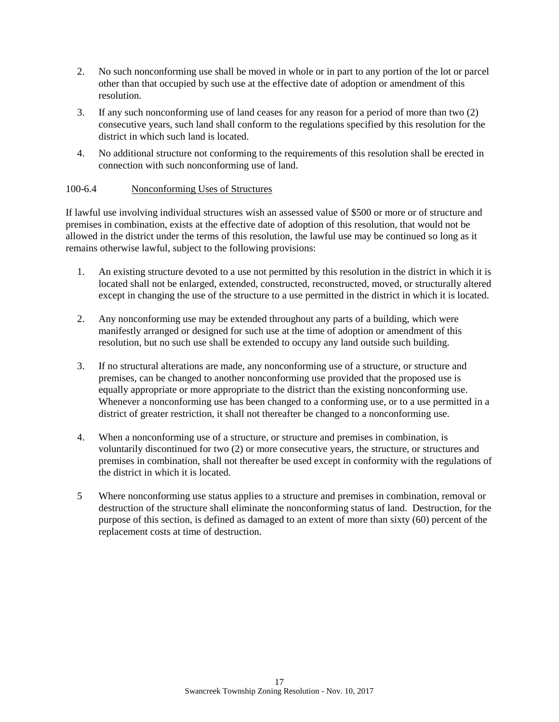- 2. No such nonconforming use shall be moved in whole or in part to any portion of the lot or parcel other than that occupied by such use at the effective date of adoption or amendment of this resolution.
- 3. If any such nonconforming use of land ceases for any reason for a period of more than two (2) consecutive years, such land shall conform to the regulations specified by this resolution for the district in which such land is located.
- 4. No additional structure not conforming to the requirements of this resolution shall be erected in connection with such nonconforming use of land.

# 100-6.4 Nonconforming Uses of Structures

If lawful use involving individual structures wish an assessed value of \$500 or more or of structure and premises in combination, exists at the effective date of adoption of this resolution, that would not be allowed in the district under the terms of this resolution, the lawful use may be continued so long as it remains otherwise lawful, subject to the following provisions:

- 1. An existing structure devoted to a use not permitted by this resolution in the district in which it is located shall not be enlarged, extended, constructed, reconstructed, moved, or structurally altered except in changing the use of the structure to a use permitted in the district in which it is located.
- 2. Any nonconforming use may be extended throughout any parts of a building, which were manifestly arranged or designed for such use at the time of adoption or amendment of this resolution, but no such use shall be extended to occupy any land outside such building.
- 3. If no structural alterations are made, any nonconforming use of a structure, or structure and premises, can be changed to another nonconforming use provided that the proposed use is equally appropriate or more appropriate to the district than the existing nonconforming use. Whenever a nonconforming use has been changed to a conforming use, or to a use permitted in a district of greater restriction, it shall not thereafter be changed to a nonconforming use.
- 4. When a nonconforming use of a structure, or structure and premises in combination, is voluntarily discontinued for two (2) or more consecutive years, the structure, or structures and premises in combination, shall not thereafter be used except in conformity with the regulations of the district in which it is located.
- 5 Where nonconforming use status applies to a structure and premises in combination, removal or destruction of the structure shall eliminate the nonconforming status of land. Destruction, for the purpose of this section, is defined as damaged to an extent of more than sixty (60) percent of the replacement costs at time of destruction.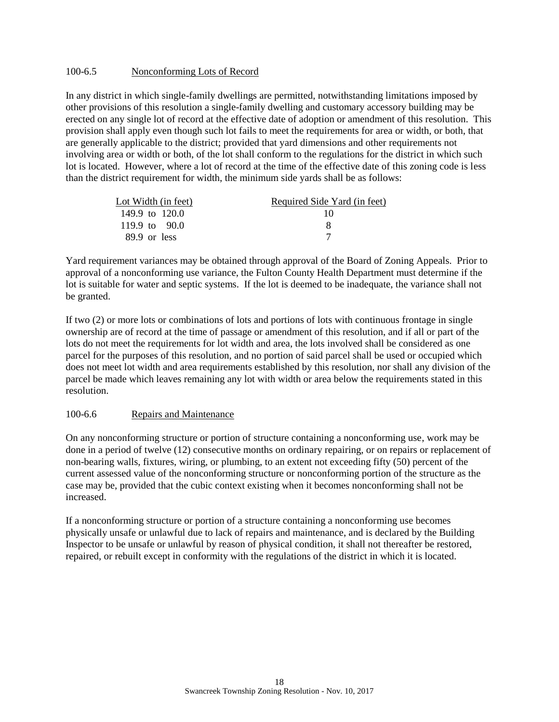#### 100-6.5 Nonconforming Lots of Record

In any district in which single-family dwellings are permitted, notwithstanding limitations imposed by other provisions of this resolution a single-family dwelling and customary accessory building may be erected on any single lot of record at the effective date of adoption or amendment of this resolution. This provision shall apply even though such lot fails to meet the requirements for area or width, or both, that are generally applicable to the district; provided that yard dimensions and other requirements not involving area or width or both, of the lot shall conform to the regulations for the district in which such lot is located. However, where a lot of record at the time of the effective date of this zoning code is less than the district requirement for width, the minimum side yards shall be as follows:

| Lot Width (in feet) | Required Side Yard (in feet) |
|---------------------|------------------------------|
| 149.9 to $120.0$    | 10                           |
| 119.9 to 90.0       |                              |
| $89.9$ or less      |                              |

Yard requirement variances may be obtained through approval of the Board of Zoning Appeals. Prior to approval of a nonconforming use variance, the Fulton County Health Department must determine if the lot is suitable for water and septic systems. If the lot is deemed to be inadequate, the variance shall not be granted.

If two (2) or more lots or combinations of lots and portions of lots with continuous frontage in single ownership are of record at the time of passage or amendment of this resolution, and if all or part of the lots do not meet the requirements for lot width and area, the lots involved shall be considered as one parcel for the purposes of this resolution, and no portion of said parcel shall be used or occupied which does not meet lot width and area requirements established by this resolution, nor shall any division of the parcel be made which leaves remaining any lot with width or area below the requirements stated in this resolution.

#### 100-6.6 Repairs and Maintenance

On any nonconforming structure or portion of structure containing a nonconforming use, work may be done in a period of twelve (12) consecutive months on ordinary repairing, or on repairs or replacement of non-bearing walls, fixtures, wiring, or plumbing, to an extent not exceeding fifty (50) percent of the current assessed value of the nonconforming structure or nonconforming portion of the structure as the case may be, provided that the cubic context existing when it becomes nonconforming shall not be increased.

If a nonconforming structure or portion of a structure containing a nonconforming use becomes physically unsafe or unlawful due to lack of repairs and maintenance, and is declared by the Building Inspector to be unsafe or unlawful by reason of physical condition, it shall not thereafter be restored, repaired, or rebuilt except in conformity with the regulations of the district in which it is located.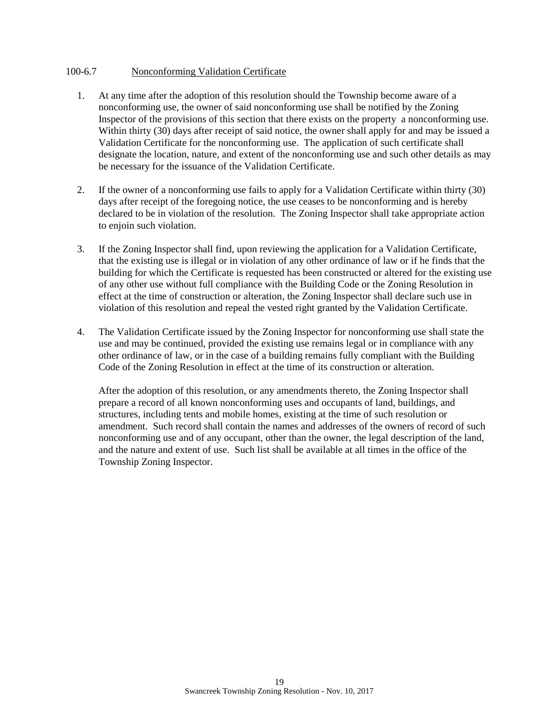#### 100-6.7 Nonconforming Validation Certificate

- 1. At any time after the adoption of this resolution should the Township become aware of a nonconforming use, the owner of said nonconforming use shall be notified by the Zoning Inspector of the provisions of this section that there exists on the property a nonconforming use. Within thirty (30) days after receipt of said notice, the owner shall apply for and may be issued a Validation Certificate for the nonconforming use. The application of such certificate shall designate the location, nature, and extent of the nonconforming use and such other details as may be necessary for the issuance of the Validation Certificate.
- 2. If the owner of a nonconforming use fails to apply for a Validation Certificate within thirty (30) days after receipt of the foregoing notice, the use ceases to be nonconforming and is hereby declared to be in violation of the resolution. The Zoning Inspector shall take appropriate action to enjoin such violation.
- 3. If the Zoning Inspector shall find, upon reviewing the application for a Validation Certificate, that the existing use is illegal or in violation of any other ordinance of law or if he finds that the building for which the Certificate is requested has been constructed or altered for the existing use of any other use without full compliance with the Building Code or the Zoning Resolution in effect at the time of construction or alteration, the Zoning Inspector shall declare such use in violation of this resolution and repeal the vested right granted by the Validation Certificate.
- 4. The Validation Certificate issued by the Zoning Inspector for nonconforming use shall state the use and may be continued, provided the existing use remains legal or in compliance with any other ordinance of law, or in the case of a building remains fully compliant with the Building Code of the Zoning Resolution in effect at the time of its construction or alteration.

After the adoption of this resolution, or any amendments thereto, the Zoning Inspector shall prepare a record of all known nonconforming uses and occupants of land, buildings, and structures, including tents and mobile homes, existing at the time of such resolution or amendment. Such record shall contain the names and addresses of the owners of record of such nonconforming use and of any occupant, other than the owner, the legal description of the land, and the nature and extent of use. Such list shall be available at all times in the office of the Township Zoning Inspector.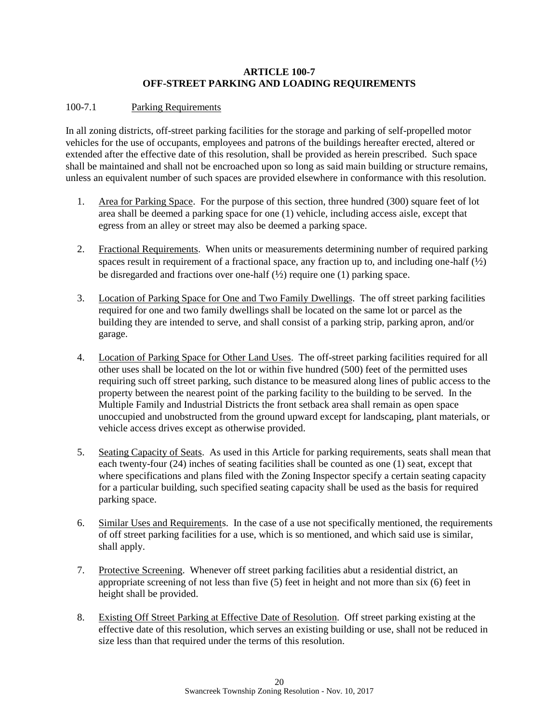## **ARTICLE 100-7 OFF-STREET PARKING AND LOADING REQUIREMENTS**

# 100-7.1 Parking Requirements

In all zoning districts, off-street parking facilities for the storage and parking of self-propelled motor vehicles for the use of occupants, employees and patrons of the buildings hereafter erected, altered or extended after the effective date of this resolution, shall be provided as herein prescribed. Such space shall be maintained and shall not be encroached upon so long as said main building or structure remains, unless an equivalent number of such spaces are provided elsewhere in conformance with this resolution.

- 1. Area for Parking Space. For the purpose of this section, three hundred (300) square feet of lot area shall be deemed a parking space for one (1) vehicle, including access aisle, except that egress from an alley or street may also be deemed a parking space.
- 2. Fractional Requirements. When units or measurements determining number of required parking spaces result in requirement of a fractional space, any fraction up to, and including one-half  $(\frac{1}{2})$ be disregarded and fractions over one-half  $(\frac{1}{2})$  require one (1) parking space.
- 3. Location of Parking Space for One and Two Family Dwellings. The off street parking facilities required for one and two family dwellings shall be located on the same lot or parcel as the building they are intended to serve, and shall consist of a parking strip, parking apron, and/or garage.
- 4. Location of Parking Space for Other Land Uses. The off-street parking facilities required for all other uses shall be located on the lot or within five hundred (500) feet of the permitted uses requiring such off street parking, such distance to be measured along lines of public access to the property between the nearest point of the parking facility to the building to be served. In the Multiple Family and Industrial Districts the front setback area shall remain as open space unoccupied and unobstructed from the ground upward except for landscaping, plant materials, or vehicle access drives except as otherwise provided.
- 5. Seating Capacity of Seats. As used in this Article for parking requirements, seats shall mean that each twenty-four (24) inches of seating facilities shall be counted as one (1) seat, except that where specifications and plans filed with the Zoning Inspector specify a certain seating capacity for a particular building, such specified seating capacity shall be used as the basis for required parking space.
- 6. Similar Uses and Requirements. In the case of a use not specifically mentioned, the requirements of off street parking facilities for a use, which is so mentioned, and which said use is similar, shall apply.
- 7. Protective Screening. Whenever off street parking facilities abut a residential district, an appropriate screening of not less than five (5) feet in height and not more than six (6) feet in height shall be provided.
- 8. Existing Off Street Parking at Effective Date of Resolution. Off street parking existing at the effective date of this resolution, which serves an existing building or use, shall not be reduced in size less than that required under the terms of this resolution.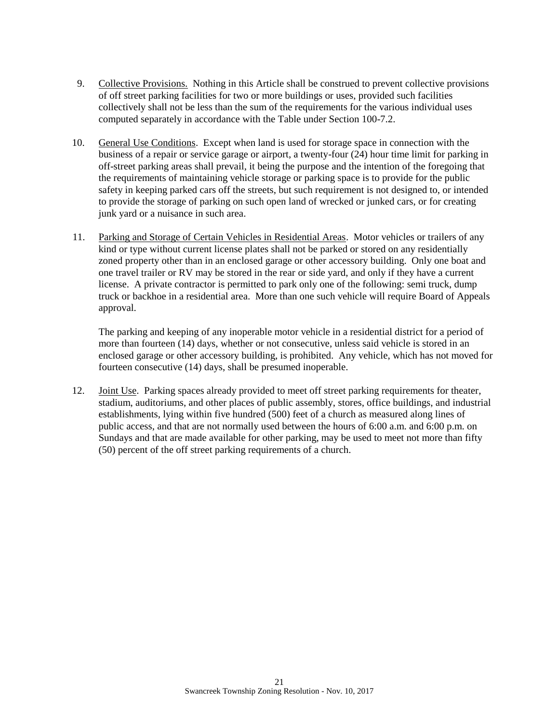- 9. Collective Provisions. Nothing in this Article shall be construed to prevent collective provisions of off street parking facilities for two or more buildings or uses, provided such facilities collectively shall not be less than the sum of the requirements for the various individual uses computed separately in accordance with the Table under Section 100-7.2.
- 10. General Use Conditions. Except when land is used for storage space in connection with the business of a repair or service garage or airport, a twenty-four (24) hour time limit for parking in off-street parking areas shall prevail, it being the purpose and the intention of the foregoing that the requirements of maintaining vehicle storage or parking space is to provide for the public safety in keeping parked cars off the streets, but such requirement is not designed to, or intended to provide the storage of parking on such open land of wrecked or junked cars, or for creating junk yard or a nuisance in such area.
- 11. Parking and Storage of Certain Vehicles in Residential Areas. Motor vehicles or trailers of any kind or type without current license plates shall not be parked or stored on any residentially zoned property other than in an enclosed garage or other accessory building. Only one boat and one travel trailer or RV may be stored in the rear or side yard, and only if they have a current license. A private contractor is permitted to park only one of the following: semi truck, dump truck or backhoe in a residential area. More than one such vehicle will require Board of Appeals approval.

The parking and keeping of any inoperable motor vehicle in a residential district for a period of more than fourteen (14) days, whether or not consecutive, unless said vehicle is stored in an enclosed garage or other accessory building, is prohibited. Any vehicle, which has not moved for fourteen consecutive (14) days, shall be presumed inoperable.

12. Joint Use. Parking spaces already provided to meet off street parking requirements for theater, stadium, auditoriums, and other places of public assembly, stores, office buildings, and industrial establishments, lying within five hundred (500) feet of a church as measured along lines of public access, and that are not normally used between the hours of 6:00 a.m. and 6:00 p.m. on Sundays and that are made available for other parking, may be used to meet not more than fifty (50) percent of the off street parking requirements of a church.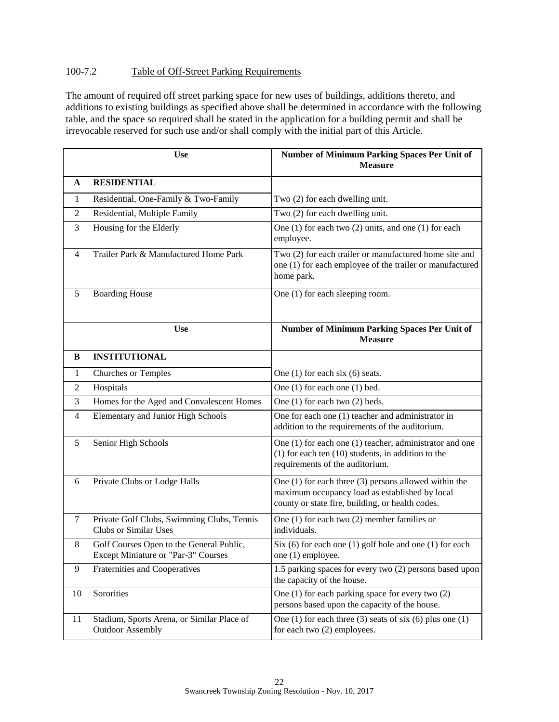# 100-7.2 Table of Off-Street Parking Requirements

The amount of required off street parking space for new uses of buildings, additions thereto, and additions to existing buildings as specified above shall be determined in accordance with the following table, and the space so required shall be stated in the application for a building permit and shall be irrevocable reserved for such use and/or shall comply with the initial part of this Article.

|              | <b>Use</b>                                                                      | <b>Number of Minimum Parking Spaces Per Unit of</b><br><b>Measure</b>                                                                                           |
|--------------|---------------------------------------------------------------------------------|-----------------------------------------------------------------------------------------------------------------------------------------------------------------|
| A            | <b>RESIDENTIAL</b>                                                              |                                                                                                                                                                 |
| $\mathbf{1}$ | Residential, One-Family & Two-Family                                            | Two (2) for each dwelling unit.                                                                                                                                 |
| 2            | Residential, Multiple Family                                                    | Two (2) for each dwelling unit.                                                                                                                                 |
| 3            | Housing for the Elderly                                                         | One $(1)$ for each two $(2)$ units, and one $(1)$ for each<br>employee.                                                                                         |
| 4            | Trailer Park & Manufactured Home Park                                           | Two (2) for each trailer or manufactured home site and<br>one (1) for each employee of the trailer or manufactured<br>home park.                                |
| 5            | <b>Boarding House</b>                                                           | One (1) for each sleeping room.                                                                                                                                 |
|              | <b>Use</b>                                                                      | Number of Minimum Parking Spaces Per Unit of<br><b>Measure</b>                                                                                                  |
| B            | <b>INSTITUTIONAL</b>                                                            |                                                                                                                                                                 |
| 1            | <b>Churches or Temples</b>                                                      | One $(1)$ for each six $(6)$ seats.                                                                                                                             |
| 2            | Hospitals                                                                       | One (1) for each one (1) bed.                                                                                                                                   |
| 3            | Homes for the Aged and Convalescent Homes                                       | One $(1)$ for each two $(2)$ beds.                                                                                                                              |
| 4            | <b>Elementary and Junior High Schools</b>                                       | One for each one (1) teacher and administrator in<br>addition to the requirements of the auditorium.                                                            |
| 5            | Senior High Schools                                                             | One (1) for each one (1) teacher, administrator and one<br>$(1)$ for each ten $(10)$ students, in addition to the<br>requirements of the auditorium.            |
| 6            | Private Clubs or Lodge Halls                                                    | One $(1)$ for each three $(3)$ persons allowed within the<br>maximum occupancy load as established by local<br>county or state fire, building, or health codes. |
| 7            | Private Golf Clubs, Swimming Clubs, Tennis<br><b>Clubs or Similar Uses</b>      | One $(1)$ for each two $(2)$ member families or<br>individuals.                                                                                                 |
| 8            | Golf Courses Open to the General Public,<br>Except Miniature or "Par-3" Courses | Six $(6)$ for each one $(1)$ golf hole and one $(1)$ for each<br>one (1) employee.                                                                              |
| 9            | Fraternities and Cooperatives                                                   | 1.5 parking spaces for every two (2) persons based upon<br>the capacity of the house.                                                                           |
| 10           | Sororities                                                                      | One (1) for each parking space for every two (2)<br>persons based upon the capacity of the house.                                                               |
| 11           | Stadium, Sports Arena, or Similar Place of<br><b>Outdoor Assembly</b>           | One (1) for each three (3) seats of six (6) plus one (1)<br>for each two (2) employees.                                                                         |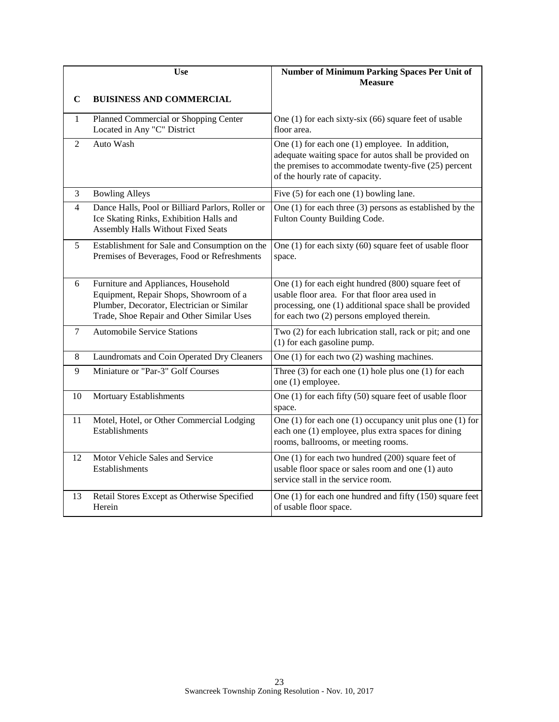|       | Use                                                                                                                                                                      | <b>Number of Minimum Parking Spaces Per Unit of</b><br><b>Measure</b>                                                                                                                                         |
|-------|--------------------------------------------------------------------------------------------------------------------------------------------------------------------------|---------------------------------------------------------------------------------------------------------------------------------------------------------------------------------------------------------------|
| C     | <b>BUISINESS AND COMMERCIAL</b>                                                                                                                                          |                                                                                                                                                                                                               |
| 1     | Planned Commercial or Shopping Center<br>Located in Any "C" District                                                                                                     | One $(1)$ for each sixty-six $(66)$ square feet of usable<br>floor area.                                                                                                                                      |
| 2     | Auto Wash                                                                                                                                                                | One $(1)$ for each one $(1)$ employee. In addition,<br>adequate waiting space for autos shall be provided on<br>the premises to accommodate twenty-five (25) percent<br>of the hourly rate of capacity.       |
| 3     | <b>Bowling Alleys</b>                                                                                                                                                    | Five $(5)$ for each one $(1)$ bowling lane.                                                                                                                                                                   |
| 4     | Dance Halls, Pool or Billiard Parlors, Roller or<br>Ice Skating Rinks, Exhibition Halls and<br>Assembly Halls Without Fixed Seats                                        | One $(1)$ for each three $(3)$ persons as established by the<br>Fulton County Building Code.                                                                                                                  |
| 5     | Establishment for Sale and Consumption on the<br>Premises of Beverages, Food or Refreshments                                                                             | One (1) for each sixty (60) square feet of usable floor<br>space.                                                                                                                                             |
| 6     | Furniture and Appliances, Household<br>Equipment, Repair Shops, Showroom of a<br>Plumber, Decorator, Electrician or Similar<br>Trade, Shoe Repair and Other Similar Uses | One (1) for each eight hundred (800) square feet of<br>usable floor area. For that floor area used in<br>processing, one (1) additional space shall be provided<br>for each two (2) persons employed therein. |
| 7     | <b>Automobile Service Stations</b>                                                                                                                                       | Two (2) for each lubrication stall, rack or pit; and one<br>(1) for each gasoline pump.                                                                                                                       |
| $8\,$ | Laundromats and Coin Operated Dry Cleaners                                                                                                                               | One $(1)$ for each two $(2)$ washing machines.                                                                                                                                                                |
| 9     | Miniature or "Par-3" Golf Courses                                                                                                                                        | Three $(3)$ for each one $(1)$ hole plus one $(1)$ for each<br>one (1) employee.                                                                                                                              |
| 10    | Mortuary Establishments                                                                                                                                                  | One (1) for each fifty (50) square feet of usable floor<br>space.                                                                                                                                             |
| 11    | Motel, Hotel, or Other Commercial Lodging<br>Establishments                                                                                                              | One $(1)$ for each one $(1)$ occupancy unit plus one $(1)$ for<br>each one (1) employee, plus extra spaces for dining<br>rooms, ballrooms, or meeting rooms.                                                  |
| 12    | Motor Vehicle Sales and Service<br>Establishments                                                                                                                        | One (1) for each two hundred (200) square feet of<br>usable floor space or sales room and one (1) auto<br>service stall in the service room.                                                                  |
| 13    | Retail Stores Except as Otherwise Specified<br>Herein                                                                                                                    | One (1) for each one hundred and fifty (150) square feet<br>of usable floor space.                                                                                                                            |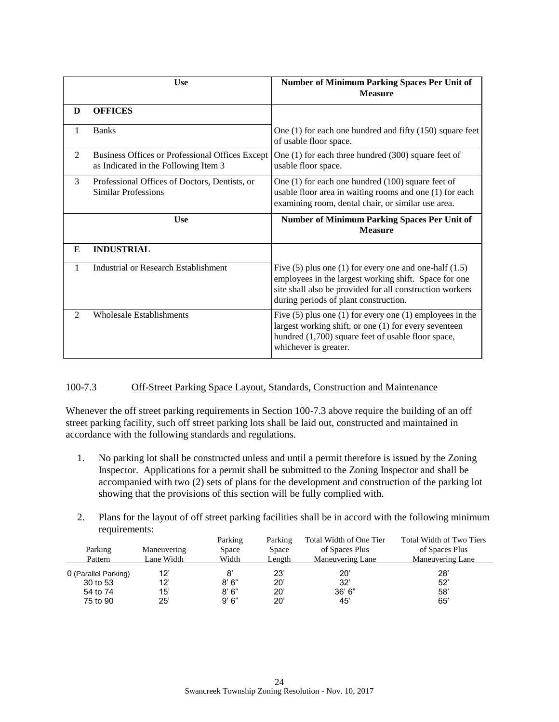|                             | <b>Use</b>                                                                              | <b>Number of Minimum Parking Spaces Per Unit of</b><br><b>Measure</b>                                                                                                                                                      |
|-----------------------------|-----------------------------------------------------------------------------------------|----------------------------------------------------------------------------------------------------------------------------------------------------------------------------------------------------------------------------|
| D                           | <b>OFFICES</b>                                                                          |                                                                                                                                                                                                                            |
| 1                           | <b>Banks</b>                                                                            | One $(1)$ for each one hundred and fifty $(150)$ square feet<br>of usable floor space.                                                                                                                                     |
| 2                           | Business Offices or Professional Offices Except<br>as Indicated in the Following Item 3 | One $(1)$ for each three hundred $(300)$ square feet of<br>usable floor space.                                                                                                                                             |
| $\mathcal{F}$               | Professional Offices of Doctors, Dentists, or<br>Similar Professions                    | One $(1)$ for each one hundred $(100)$ square feet of<br>usable floor area in waiting rooms and one (1) for each<br>examining room, dental chair, or similar use area.                                                     |
|                             | Use                                                                                     | <b>Number of Minimum Parking Spaces Per Unit of</b><br><b>Measure</b>                                                                                                                                                      |
| E                           | <b>INDUSTRIAL</b>                                                                       |                                                                                                                                                                                                                            |
| 1                           | <b>Industrial or Research Establishment</b>                                             | Five $(5)$ plus one $(1)$ for every one and one-half $(1.5)$<br>employees in the largest working shift. Space for one<br>site shall also be provided for all construction workers<br>during periods of plant construction. |
| $\mathcal{D}_{\mathcal{L}}$ | <b>Wholesale Establishments</b>                                                         | Five $(5)$ plus one $(1)$ for every one $(1)$ employees in the<br>largest working shift, or one (1) for every seventeen<br>hundred (1,700) square feet of usable floor space,<br>whichever is greater.                     |

# 100-7.3 Off-Street Parking Space Layout, Standards, Construction and Maintenance

Whenever the off street parking requirements in Section 100-7.3 above require the building of an off street parking facility, such off street parking lots shall be laid out, constructed and maintained in accordance with the following standards and regulations.

- 1. No parking lot shall be constructed unless and until a permit therefore is issued by the Zoning Inspector. Applications for a permit shall be submitted to the Zoning Inspector and shall be accompanied with two (2) sets of plans for the development and construction of the parking lot showing that the provisions of this section will be fully complied with.
- 2. Plans for the layout of off street parking facilities shall be in accord with the following minimum requirements:

|                      |             | Parking | Parking | Total Width of One Tier | Total Width of Two Tiers |
|----------------------|-------------|---------|---------|-------------------------|--------------------------|
| Parking              | Maneuvering | Space   | Space   | of Spaces Plus          | of Spaces Plus           |
| Pattern              | Lane Width  | Width   | Length  | Maneuvering Lane        | Maneuvering Lane         |
| 0 (Parallel Parking) | 12'         | 8       | 23'     | 20'                     | 28'                      |
| 30 to 53             | 12'         | 8'6''   | 20'     | 32'                     | 52'                      |
| 54 to 74             | 15'         | 8'6''   | 20'     | 36' 6''                 | 58'                      |
| 75 to 90             | 25'         | 9'6"    | 20'     | 45'                     | 65'                      |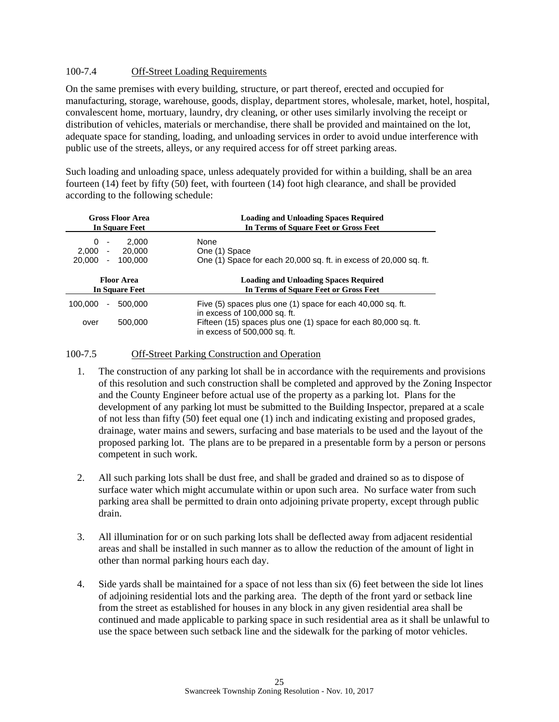# 100-7.4 Off-Street Loading Requirements

On the same premises with every building, structure, or part thereof, erected and occupied for manufacturing, storage, warehouse, goods, display, department stores, wholesale, market, hotel, hospital, convalescent home, mortuary, laundry, dry cleaning, or other uses similarly involving the receipt or distribution of vehicles, materials or merchandise, there shall be provided and maintained on the lot, adequate space for standing, loading, and unloading services in order to avoid undue interference with public use of the streets, alleys, or any required access for off street parking areas.

Such loading and unloading space, unless adequately provided for within a building, shall be an area fourteen (14) feet by fifty (50) feet, with fourteen (14) foot high clearance, and shall be provided according to the following schedule:

| <b>Gross Floor Area</b><br>In Square Feet        | <b>Loading and Unloading Spaces Required</b><br>In Terms of Square Feet or Gross Feet      |  |  |  |
|--------------------------------------------------|--------------------------------------------------------------------------------------------|--|--|--|
| 2.000<br>0<br>$\overline{\phantom{a}}$           | None                                                                                       |  |  |  |
| 2.000<br>20,000<br>$\overline{\phantom{a}}$      | One (1) Space                                                                              |  |  |  |
| 20,000<br>$\mathcal{L}_{\mathcal{A}}$<br>100.000 | One (1) Space for each 20,000 sq. ft. in excess of 20,000 sq. ft.                          |  |  |  |
|                                                  | <b>Loading and Unloading Spaces Required</b><br>In Terms of Square Feet or Gross Feet      |  |  |  |
| <b>Floor Area</b><br><b>In Square Feet</b>       |                                                                                            |  |  |  |
| 100,000<br>500,000<br>$\overline{\phantom{a}}$   | Five (5) spaces plus one (1) space for each 40,000 sq. ft.<br>in excess of 100,000 sq. ft. |  |  |  |

#### 100-7.5 Off-Street Parking Construction and Operation

- 1. The construction of any parking lot shall be in accordance with the requirements and provisions of this resolution and such construction shall be completed and approved by the Zoning Inspector and the County Engineer before actual use of the property as a parking lot. Plans for the development of any parking lot must be submitted to the Building Inspector, prepared at a scale of not less than fifty (50) feet equal one (1) inch and indicating existing and proposed grades, drainage, water mains and sewers, surfacing and base materials to be used and the layout of the proposed parking lot. The plans are to be prepared in a presentable form by a person or persons competent in such work.
- 2. All such parking lots shall be dust free, and shall be graded and drained so as to dispose of surface water which might accumulate within or upon such area. No surface water from such parking area shall be permitted to drain onto adjoining private property, except through public drain.
- 3. All illumination for or on such parking lots shall be deflected away from adjacent residential areas and shall be installed in such manner as to allow the reduction of the amount of light in other than normal parking hours each day.
- 4. Side yards shall be maintained for a space of not less than six (6) feet between the side lot lines of adjoining residential lots and the parking area. The depth of the front yard or setback line from the street as established for houses in any block in any given residential area shall be continued and made applicable to parking space in such residential area as it shall be unlawful to use the space between such setback line and the sidewalk for the parking of motor vehicles.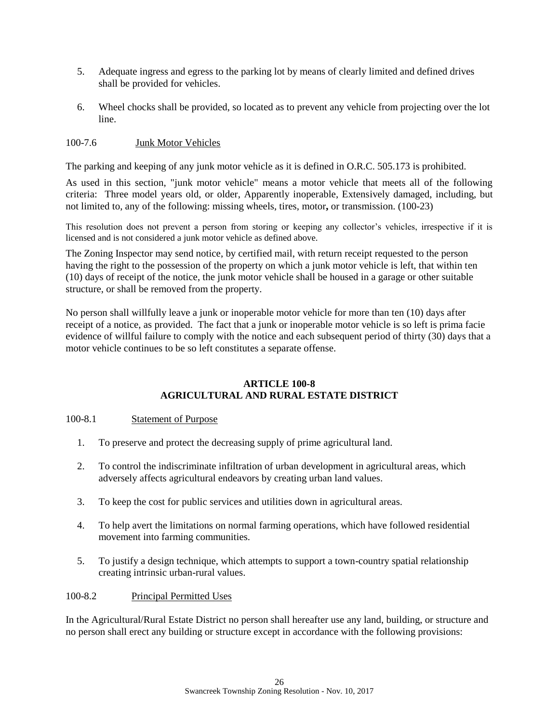- 5. Adequate ingress and egress to the parking lot by means of clearly limited and defined drives shall be provided for vehicles.
- 6. Wheel chocks shall be provided, so located as to prevent any vehicle from projecting over the lot line.

# 100-7.6 Junk Motor Vehicles

The parking and keeping of any junk motor vehicle as it is defined in O.R.C. 505.173 is prohibited.

As used in this section, "junk motor vehicle" means a motor vehicle that meets all of the following criteria: Three model years old, or older, Apparently inoperable, Extensively damaged, including, but not limited to, any of the following: missing wheels, tires, motor**,** or transmission. (100-23)

This resolution does not prevent a person from storing or keeping any collector's vehicles, irrespective if it is licensed and is not considered a junk motor vehicle as defined above.

The Zoning Inspector may send notice, by certified mail, with return receipt requested to the person having the right to the possession of the property on which a junk motor vehicle is left, that within ten (10) days of receipt of the notice, the junk motor vehicle shall be housed in a garage or other suitable structure, or shall be removed from the property.

No person shall willfully leave a junk or inoperable motor vehicle for more than ten (10) days after receipt of a notice, as provided. The fact that a junk or inoperable motor vehicle is so left is prima facie evidence of willful failure to comply with the notice and each subsequent period of thirty (30) days that a motor vehicle continues to be so left constitutes a separate offense.

### **ARTICLE 100-8 AGRICULTURAL AND RURAL ESTATE DISTRICT**

#### 100-8.1 Statement of Purpose

- 1. To preserve and protect the decreasing supply of prime agricultural land.
- 2. To control the indiscriminate infiltration of urban development in agricultural areas, which adversely affects agricultural endeavors by creating urban land values.
- 3. To keep the cost for public services and utilities down in agricultural areas.
- 4. To help avert the limitations on normal farming operations, which have followed residential movement into farming communities.
- 5. To justify a design technique, which attempts to support a town-country spatial relationship creating intrinsic urban-rural values.

## 100-8.2 Principal Permitted Uses

In the Agricultural/Rural Estate District no person shall hereafter use any land, building, or structure and no person shall erect any building or structure except in accordance with the following provisions: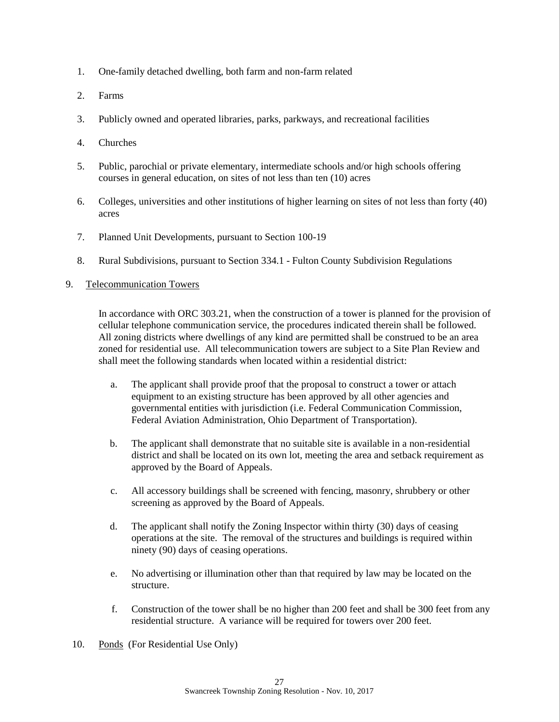- 1. One-family detached dwelling, both farm and non-farm related
- 2. Farms
- 3. Publicly owned and operated libraries, parks, parkways, and recreational facilities
- 4. Churches
- 5. Public, parochial or private elementary, intermediate schools and/or high schools offering courses in general education, on sites of not less than ten (10) acres
- 6. Colleges, universities and other institutions of higher learning on sites of not less than forty (40) acres
- 7. Planned Unit Developments, pursuant to Section 100-19
- 8. Rural Subdivisions, pursuant to Section 334.1 Fulton County Subdivision Regulations

# 9.Telecommunication Towers

In accordance with ORC 303.21, when the construction of a tower is planned for the provision of cellular telephone communication service, the procedures indicated therein shall be followed. All zoning districts where dwellings of any kind are permitted shall be construed to be an area zoned for residential use. All telecommunication towers are subject to a Site Plan Review and shall meet the following standards when located within a residential district:

- a. The applicant shall provide proof that the proposal to construct a tower or attach equipment to an existing structure has been approved by all other agencies and governmental entities with jurisdiction (i.e. Federal Communication Commission, Federal Aviation Administration, Ohio Department of Transportation).
- b. The applicant shall demonstrate that no suitable site is available in a non-residential district and shall be located on its own lot, meeting the area and setback requirement as approved by the Board of Appeals.
- c. All accessory buildings shall be screened with fencing, masonry, shrubbery or other screening as approved by the Board of Appeals.
- d. The applicant shall notify the Zoning Inspector within thirty (30) days of ceasing operations at the site. The removal of the structures and buildings is required within ninety (90) days of ceasing operations.
- e. No advertising or illumination other than that required by law may be located on the structure.
- f. Construction of the tower shall be no higher than 200 feet and shall be 300 feet from any residential structure. A variance will be required for towers over 200 feet.
- 10. Ponds (For Residential Use Only)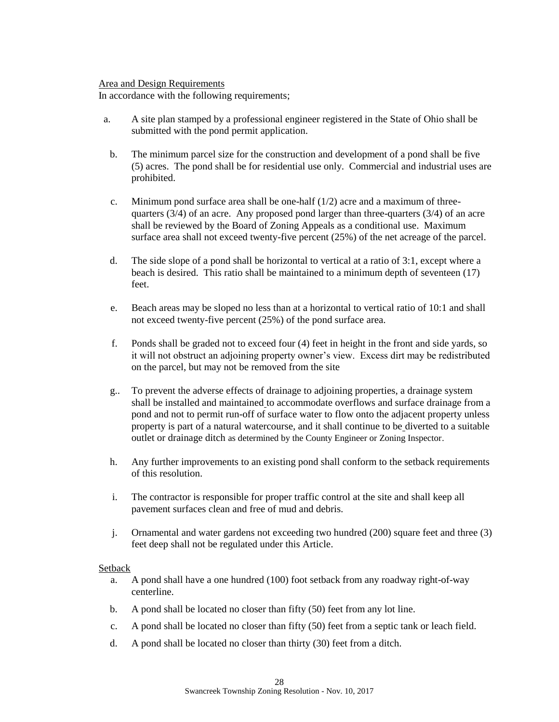#### Area and Design Requirements

In accordance with the following requirements;

- a. A site plan stamped by a professional engineer registered in the State of Ohio shall be submitted with the pond permit application.
	- b. The minimum parcel size for the construction and development of a pond shall be five (5) acres. The pond shall be for residential use only. Commercial and industrial uses are prohibited.
	- c. Minimum pond surface area shall be one-half  $(1/2)$  acre and a maximum of threequarters  $(3/4)$  of an acre. Any proposed pond larger than three-quarters  $(3/4)$  of an acre shall be reviewed by the Board of Zoning Appeals as a conditional use. Maximum surface area shall not exceed twenty-five percent (25%) of the net acreage of the parcel.
	- d. The side slope of a pond shall be horizontal to vertical at a ratio of 3:1, except where a beach is desired. This ratio shall be maintained to a minimum depth of seventeen (17) feet.
	- e. Beach areas may be sloped no less than at a horizontal to vertical ratio of 10:1 and shall not exceed twenty-five percent (25%) of the pond surface area.
	- f. Ponds shall be graded not to exceed four (4) feet in height in the front and side yards, so it will not obstruct an adjoining property owner's view. Excess dirt may be redistributed on the parcel, but may not be removed from the site
	- g.. To prevent the adverse effects of drainage to adjoining properties, a drainage system shall be installed and maintained to accommodate overflows and surface drainage from a pond and not to permit run-off of surface water to flow onto the adjacent property unless property is part of a natural watercourse, and it shall continue to be diverted to a suitable outlet or drainage ditch as determined by the County Engineer or Zoning Inspector.
	- h. Any further improvements to an existing pond shall conform to the setback requirements of this resolution.
	- i. The contractor is responsible for proper traffic control at the site and shall keep all pavement surfaces clean and free of mud and debris.
	- j. Ornamental and water gardens not exceeding two hundred (200) square feet and three (3) feet deep shall not be regulated under this Article.

### Setback

- a. A pond shall have a one hundred (100) foot setback from any roadway right-of-way centerline.
- b. A pond shall be located no closer than fifty (50) feet from any lot line.
- c. A pond shall be located no closer than fifty (50) feet from a septic tank or leach field.
- d. A pond shall be located no closer than thirty (30) feet from a ditch.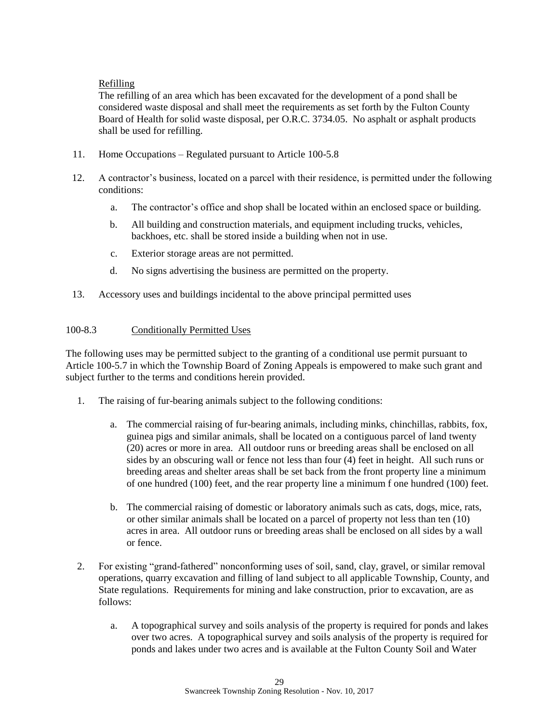# Refilling

The refilling of an area which has been excavated for the development of a pond shall be considered waste disposal and shall meet the requirements as set forth by the Fulton County Board of Health for solid waste disposal, per O.R.C. 3734.05. No asphalt or asphalt products shall be used for refilling.

- 11. Home Occupations Regulated pursuant to Article 100-5.8
- 12. A contractor's business, located on a parcel with their residence, is permitted under the following conditions:
	- a. The contractor's office and shop shall be located within an enclosed space or building.
	- b. All building and construction materials, and equipment including trucks, vehicles, backhoes, etc. shall be stored inside a building when not in use.
	- c. Exterior storage areas are not permitted.
	- d. No signs advertising the business are permitted on the property.
- 13. Accessory uses and buildings incidental to the above principal permitted uses

## 100-8.3 Conditionally Permitted Uses

The following uses may be permitted subject to the granting of a conditional use permit pursuant to Article 100-5.7 in which the Township Board of Zoning Appeals is empowered to make such grant and subject further to the terms and conditions herein provided.

- 1. The raising of fur-bearing animals subject to the following conditions:
	- a. The commercial raising of fur-bearing animals, including minks, chinchillas, rabbits, fox, guinea pigs and similar animals, shall be located on a contiguous parcel of land twenty (20) acres or more in area. All outdoor runs or breeding areas shall be enclosed on all sides by an obscuring wall or fence not less than four (4) feet in height. All such runs or breeding areas and shelter areas shall be set back from the front property line a minimum of one hundred (100) feet, and the rear property line a minimum f one hundred (100) feet.
	- b. The commercial raising of domestic or laboratory animals such as cats, dogs, mice, rats, or other similar animals shall be located on a parcel of property not less than ten (10) acres in area. All outdoor runs or breeding areas shall be enclosed on all sides by a wall or fence.
- 2. For existing "grand-fathered" nonconforming uses of soil, sand, clay, gravel, or similar removal operations, quarry excavation and filling of land subject to all applicable Township, County, and State regulations. Requirements for mining and lake construction, prior to excavation, are as follows:
	- a. A topographical survey and soils analysis of the property is required for ponds and lakes over two acres. A topographical survey and soils analysis of the property is required for ponds and lakes under two acres and is available at the Fulton County Soil and Water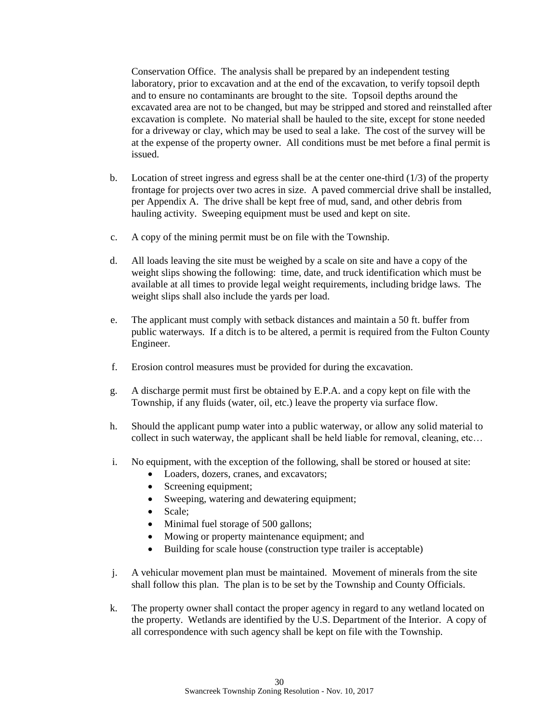Conservation Office. The analysis shall be prepared by an independent testing laboratory, prior to excavation and at the end of the excavation, to verify topsoil depth and to ensure no contaminants are brought to the site. Topsoil depths around the excavated area are not to be changed, but may be stripped and stored and reinstalled after excavation is complete. No material shall be hauled to the site, except for stone needed for a driveway or clay, which may be used to seal a lake. The cost of the survey will be at the expense of the property owner. All conditions must be met before a final permit is issued.

- b. Location of street ingress and egress shall be at the center one-third  $(1/3)$  of the property frontage for projects over two acres in size. A paved commercial drive shall be installed, per Appendix A. The drive shall be kept free of mud, sand, and other debris from hauling activity. Sweeping equipment must be used and kept on site.
- c. A copy of the mining permit must be on file with the Township.
- d. All loads leaving the site must be weighed by a scale on site and have a copy of the weight slips showing the following: time, date, and truck identification which must be available at all times to provide legal weight requirements, including bridge laws. The weight slips shall also include the yards per load.
- e. The applicant must comply with setback distances and maintain a 50 ft. buffer from public waterways. If a ditch is to be altered, a permit is required from the Fulton County Engineer.
- f. Erosion control measures must be provided for during the excavation.
- g. A discharge permit must first be obtained by E.P.A. and a copy kept on file with the Township, if any fluids (water, oil, etc.) leave the property via surface flow.
- h. Should the applicant pump water into a public waterway, or allow any solid material to collect in such waterway, the applicant shall be held liable for removal, cleaning, etc…
- i. No equipment, with the exception of the following, shall be stored or housed at site:
	- Loaders, dozers, cranes, and excavators;
	- Screening equipment;
	- Sweeping, watering and dewatering equipment;
	- Scale;
	- Minimal fuel storage of 500 gallons;
	- Mowing or property maintenance equipment; and
	- Building for scale house (construction type trailer is acceptable)
- j. A vehicular movement plan must be maintained. Movement of minerals from the site shall follow this plan. The plan is to be set by the Township and County Officials.
- k. The property owner shall contact the proper agency in regard to any wetland located on the property. Wetlands are identified by the U.S. Department of the Interior. A copy of all correspondence with such agency shall be kept on file with the Township.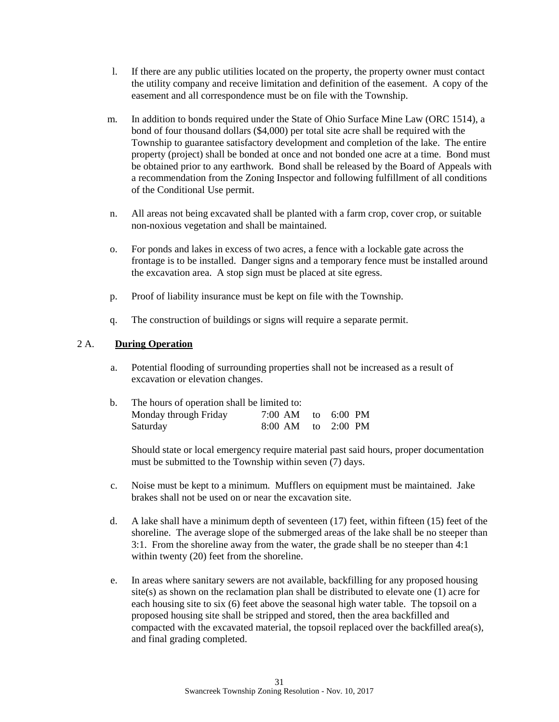- l. If there are any public utilities located on the property, the property owner must contact the utility company and receive limitation and definition of the easement. A copy of the easement and all correspondence must be on file with the Township.
- m. In addition to bonds required under the State of Ohio Surface Mine Law (ORC 1514), a bond of four thousand dollars (\$4,000) per total site acre shall be required with the Township to guarantee satisfactory development and completion of the lake. The entire property (project) shall be bonded at once and not bonded one acre at a time. Bond must be obtained prior to any earthwork. Bond shall be released by the Board of Appeals with a recommendation from the Zoning Inspector and following fulfillment of all conditions of the Conditional Use permit.
- n. All areas not being excavated shall be planted with a farm crop, cover crop, or suitable non-noxious vegetation and shall be maintained.
- o. For ponds and lakes in excess of two acres, a fence with a lockable gate across the frontage is to be installed. Danger signs and a temporary fence must be installed around the excavation area. A stop sign must be placed at site egress.
- p. Proof of liability insurance must be kept on file with the Township.
- q. The construction of buildings or signs will require a separate permit.

## 2 A. **During Operation**

a. Potential flooding of surrounding properties shall not be increased as a result of excavation or elevation changes.

| b. | The hours of operation shall be limited to: |                        |  |  |  |  |
|----|---------------------------------------------|------------------------|--|--|--|--|
|    | Monday through Friday                       | 7:00 AM to $6:00$ PM   |  |  |  |  |
|    | Saturday                                    | $8:00$ AM to $2:00$ PM |  |  |  |  |

Should state or local emergency require material past said hours, proper documentation must be submitted to the Township within seven (7) days.

- c. Noise must be kept to a minimum. Mufflers on equipment must be maintained. Jake brakes shall not be used on or near the excavation site.
- d. A lake shall have a minimum depth of seventeen (17) feet, within fifteen (15) feet of the shoreline. The average slope of the submerged areas of the lake shall be no steeper than 3:1. From the shoreline away from the water, the grade shall be no steeper than 4:1 within twenty (20) feet from the shoreline.
- e. In areas where sanitary sewers are not available, backfilling for any proposed housing site(s) as shown on the reclamation plan shall be distributed to elevate one (1) acre for each housing site to six (6) feet above the seasonal high water table. The topsoil on a proposed housing site shall be stripped and stored, then the area backfilled and compacted with the excavated material, the topsoil replaced over the backfilled area(s), and final grading completed.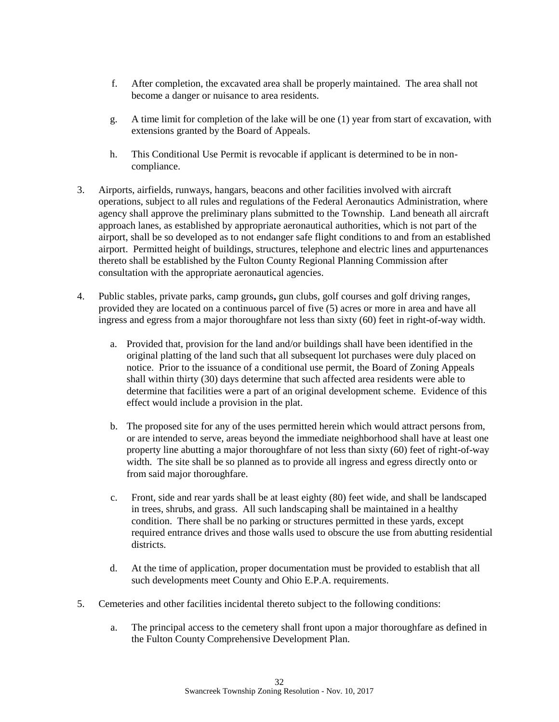- f. After completion, the excavated area shall be properly maintained. The area shall not become a danger or nuisance to area residents.
- g. A time limit for completion of the lake will be one (1) year from start of excavation, with extensions granted by the Board of Appeals.
- h. This Conditional Use Permit is revocable if applicant is determined to be in noncompliance.
- 3. Airports, airfields, runways, hangars, beacons and other facilities involved with aircraft operations, subject to all rules and regulations of the Federal Aeronautics Administration, where agency shall approve the preliminary plans submitted to the Township. Land beneath all aircraft approach lanes, as established by appropriate aeronautical authorities, which is not part of the airport, shall be so developed as to not endanger safe flight conditions to and from an established airport. Permitted height of buildings, structures, telephone and electric lines and appurtenances thereto shall be established by the Fulton County Regional Planning Commission after consultation with the appropriate aeronautical agencies.
- 4. Public stables, private parks, camp grounds**,** gun clubs, golf courses and golf driving ranges, provided they are located on a continuous parcel of five (5) acres or more in area and have all ingress and egress from a major thoroughfare not less than sixty (60) feet in right-of-way width.
	- a. Provided that, provision for the land and/or buildings shall have been identified in the original platting of the land such that all subsequent lot purchases were duly placed on notice. Prior to the issuance of a conditional use permit, the Board of Zoning Appeals shall within thirty (30) days determine that such affected area residents were able to determine that facilities were a part of an original development scheme. Evidence of this effect would include a provision in the plat.
	- b. The proposed site for any of the uses permitted herein which would attract persons from, or are intended to serve, areas beyond the immediate neighborhood shall have at least one property line abutting a major thoroughfare of not less than sixty (60) feet of right-of-way width. The site shall be so planned as to provide all ingress and egress directly onto or from said major thoroughfare.
	- c. Front, side and rear yards shall be at least eighty (80) feet wide, and shall be landscaped in trees, shrubs, and grass. All such landscaping shall be maintained in a healthy condition. There shall be no parking or structures permitted in these yards, except required entrance drives and those walls used to obscure the use from abutting residential districts.
	- d. At the time of application, proper documentation must be provided to establish that all such developments meet County and Ohio E.P.A. requirements.
- 5. Cemeteries and other facilities incidental thereto subject to the following conditions:
	- a. The principal access to the cemetery shall front upon a major thoroughfare as defined in the Fulton County Comprehensive Development Plan.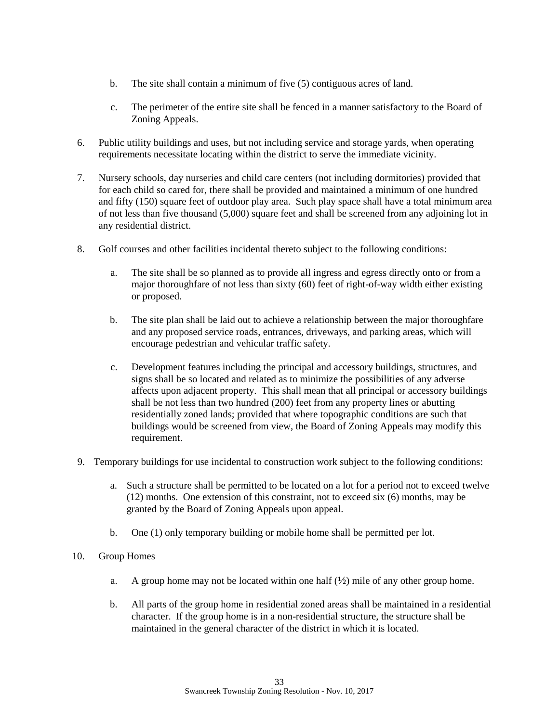- b. The site shall contain a minimum of five (5) contiguous acres of land.
- c. The perimeter of the entire site shall be fenced in a manner satisfactory to the Board of Zoning Appeals.
- 6. Public utility buildings and uses, but not including service and storage yards, when operating requirements necessitate locating within the district to serve the immediate vicinity.
- 7. Nursery schools, day nurseries and child care centers (not including dormitories) provided that for each child so cared for, there shall be provided and maintained a minimum of one hundred and fifty (150) square feet of outdoor play area. Such play space shall have a total minimum area of not less than five thousand (5,000) square feet and shall be screened from any adjoining lot in any residential district.
- 8. Golf courses and other facilities incidental thereto subject to the following conditions:
	- a. The site shall be so planned as to provide all ingress and egress directly onto or from a major thoroughfare of not less than sixty (60) feet of right-of-way width either existing or proposed.
	- b. The site plan shall be laid out to achieve a relationship between the major thoroughfare and any proposed service roads, entrances, driveways, and parking areas, which will encourage pedestrian and vehicular traffic safety.
	- c. Development features including the principal and accessory buildings, structures, and signs shall be so located and related as to minimize the possibilities of any adverse affects upon adjacent property. This shall mean that all principal or accessory buildings shall be not less than two hundred (200) feet from any property lines or abutting residentially zoned lands; provided that where topographic conditions are such that buildings would be screened from view, the Board of Zoning Appeals may modify this requirement.
- 9. Temporary buildings for use incidental to construction work subject to the following conditions:
	- a. Such a structure shall be permitted to be located on a lot for a period not to exceed twelve (12) months. One extension of this constraint, not to exceed six (6) months, may be granted by the Board of Zoning Appeals upon appeal.
	- b. One (1) only temporary building or mobile home shall be permitted per lot.
- 10. Group Homes
	- a. A group home may not be located within one half  $(\frac{1}{2})$  mile of any other group home.
	- b. All parts of the group home in residential zoned areas shall be maintained in a residential character. If the group home is in a non-residential structure, the structure shall be maintained in the general character of the district in which it is located.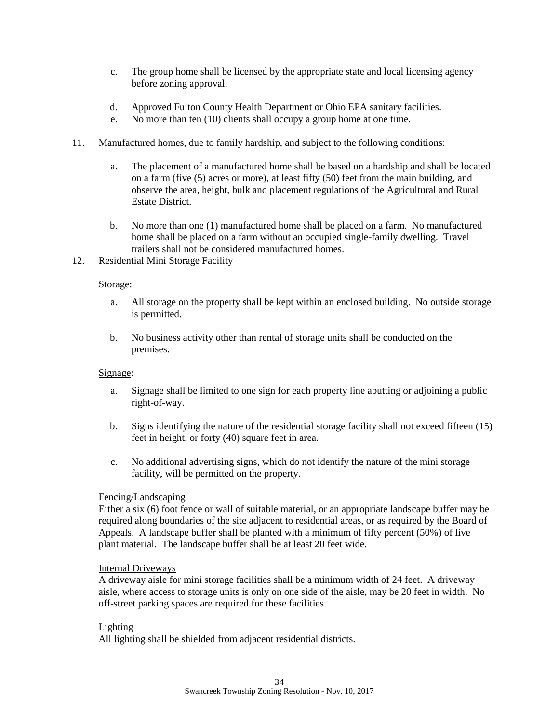- c. The group home shall be licensed by the appropriate state and local licensing agency before zoning approval.
- d. Approved Fulton County Health Department or Ohio EPA sanitary facilities.
- e. No more than ten (10) clients shall occupy a group home at one time.
- 11. Manufactured homes, due to family hardship, and subject to the following conditions:
	- a. The placement of a manufactured home shall be based on a hardship and shall be located on a farm (five (5) acres or more), at least fifty (50) feet from the main building, and observe the area, height, bulk and placement regulations of the Agricultural and Rural Estate District.
	- b. No more than one (1) manufactured home shall be placed on a farm. No manufactured home shall be placed on a farm without an occupied single-family dwelling. Travel trailers shall not be considered manufactured homes.
- 12. Residential Mini Storage Facility

## Storage:

- a. All storage on the property shall be kept within an enclosed building. No outside storage is permitted.
- b. No business activity other than rental of storage units shall be conducted on the premises.

## Signage:

- a. Signage shall be limited to one sign for each property line abutting or adjoining a public right-of-way.
- b. Signs identifying the nature of the residential storage facility shall not exceed fifteen (15) feet in height, or forty (40) square feet in area.
- c. No additional advertising signs, which do not identify the nature of the mini storage facility, will be permitted on the property.

## Fencing/Landscaping

Either a six (6) foot fence or wall of suitable material, or an appropriate landscape buffer may be required along boundaries of the site adjacent to residential areas, or as required by the Board of Appeals. A landscape buffer shall be planted with a minimum of fifty percent (50%) of live plant material. The landscape buffer shall be at least 20 feet wide.

## Internal Driveways

A driveway aisle for mini storage facilities shall be a minimum width of 24 feet. A driveway aisle, where access to storage units is only on one side of the aisle, may be 20 feet in width. No off-street parking spaces are required for these facilities.

## Lighting

All lighting shall be shielded from adjacent residential districts.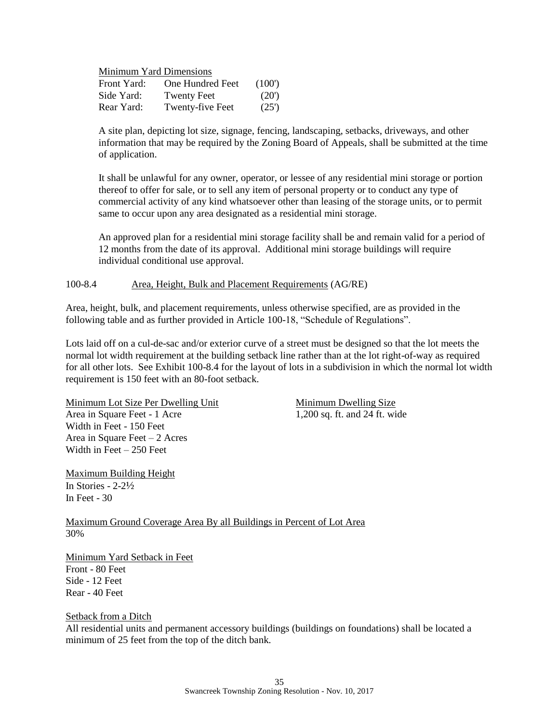Minimum Yard Dimensions

| Front Yard: | <b>One Hundred Feet</b> | (100) |
|-------------|-------------------------|-------|
| Side Yard:  | <b>Twenty Feet</b>      | (20)  |
| Rear Yard:  | Twenty-five Feet        | (25)  |

A site plan, depicting lot size, signage, fencing, landscaping, setbacks, driveways, and other information that may be required by the Zoning Board of Appeals, shall be submitted at the time of application.

It shall be unlawful for any owner, operator, or lessee of any residential mini storage or portion thereof to offer for sale, or to sell any item of personal property or to conduct any type of commercial activity of any kind whatsoever other than leasing of the storage units, or to permit same to occur upon any area designated as a residential mini storage.

An approved plan for a residential mini storage facility shall be and remain valid for a period of 12 months from the date of its approval. Additional mini storage buildings will require individual conditional use approval.

100-8.4 Area, Height, Bulk and Placement Requirements (AG/RE)

Area, height, bulk, and placement requirements, unless otherwise specified, are as provided in the following table and as further provided in Article 100-18, "Schedule of Regulations".

Lots laid off on a cul-de-sac and/or exterior curve of a street must be designed so that the lot meets the normal lot width requirement at the building setback line rather than at the lot right-of-way as required for all other lots. See Exhibit 100-8.4 for the layout of lots in a subdivision in which the normal lot width requirement is 150 feet with an 80-foot setback.

Minimum Lot Size Per Dwelling Unit Minimum Dwelling Size Area in Square Feet - 1 Acre 1,200 sq. ft. and 24 ft. wide Width in Feet - 150 Feet Area in Square Feet – 2 Acres Width in Feet – 250 Feet

Maximum Building Height In Stories - 2-2½ In Feet - 30

Maximum Ground Coverage Area By all Buildings in Percent of Lot Area 30%

Minimum Yard Setback in Feet Front - 80 Feet Side - 12 Feet Rear - 40 Feet

## Setback from a Ditch

All residential units and permanent accessory buildings (buildings on foundations) shall be located a minimum of 25 feet from the top of the ditch bank.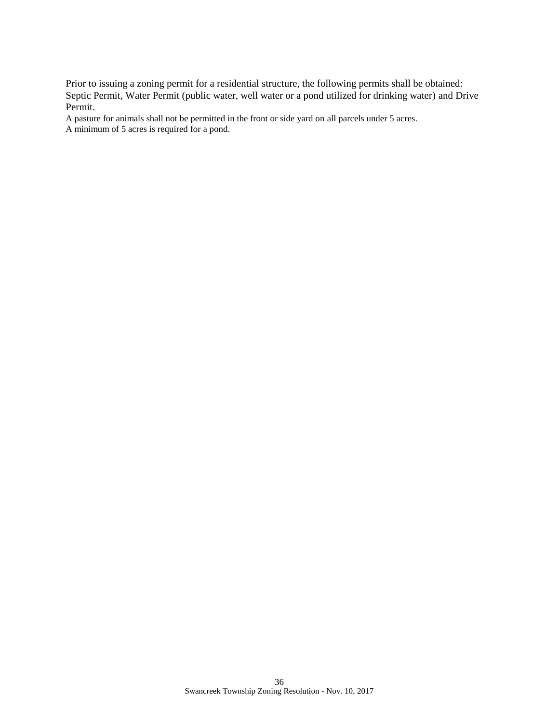Prior to issuing a zoning permit for a residential structure, the following permits shall be obtained: Septic Permit, Water Permit (public water, well water or a pond utilized for drinking water) and Drive Permit.

A pasture for animals shall not be permitted in the front or side yard on all parcels under 5 acres. A minimum of 5 acres is required for a pond.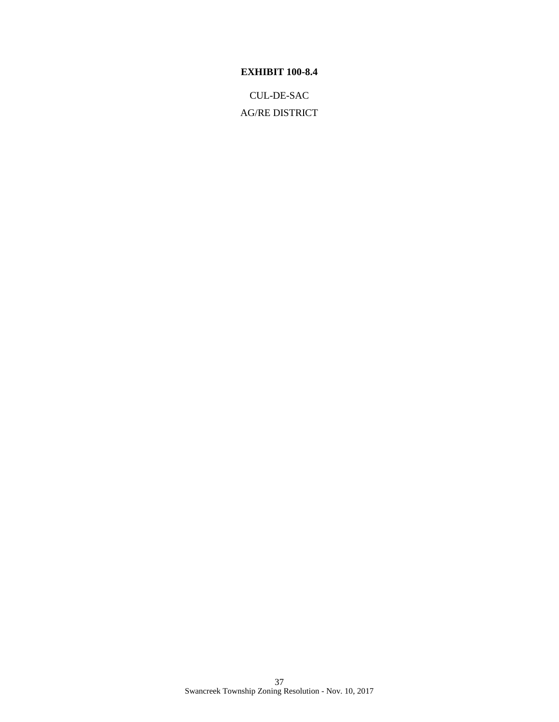# **EXHIBIT 100-8.4**

CUL-DE-SAC AG/RE DISTRICT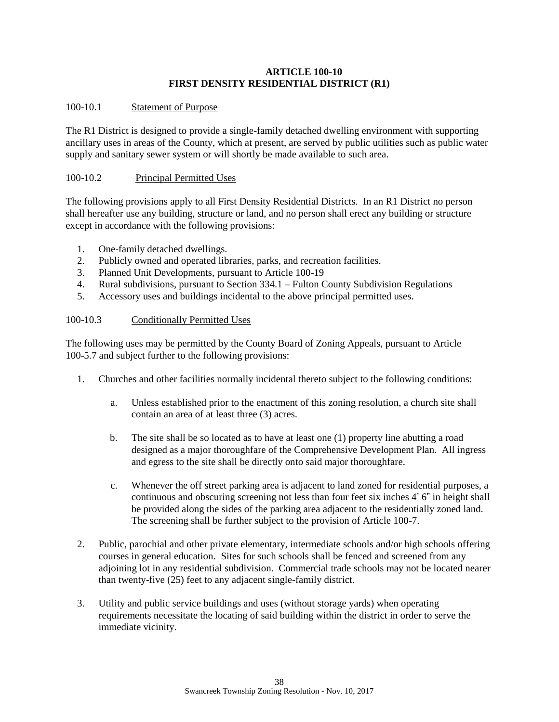## **ARTICLE 100-10 FIRST DENSITY RESIDENTIAL DISTRICT (R1)**

## 100-10.1 Statement of Purpose

The R1 District is designed to provide a single-family detached dwelling environment with supporting ancillary uses in areas of the County, which at present, are served by public utilities such as public water supply and sanitary sewer system or will shortly be made available to such area.

## 100-10.2 Principal Permitted Uses

The following provisions apply to all First Density Residential Districts. In an R1 District no person shall hereafter use any building, structure or land, and no person shall erect any building or structure except in accordance with the following provisions:

- 1. One-family detached dwellings.
- 2. Publicly owned and operated libraries, parks, and recreation facilities.
- 3. Planned Unit Developments, pursuant to Article 100-19
- 4. Rural subdivisions, pursuant to Section 334.1 Fulton County Subdivision Regulations
- 5. Accessory uses and buildings incidental to the above principal permitted uses.

## 100-10.3 Conditionally Permitted Uses

The following uses may be permitted by the County Board of Zoning Appeals, pursuant to Article 100-5.7 and subject further to the following provisions:

- 1. Churches and other facilities normally incidental thereto subject to the following conditions:
	- a. Unless established prior to the enactment of this zoning resolution, a church site shall contain an area of at least three (3) acres.
	- b. The site shall be so located as to have at least one (1) property line abutting a road designed as a major thoroughfare of the Comprehensive Development Plan. All ingress and egress to the site shall be directly onto said major thoroughfare.
	- c. Whenever the off street parking area is adjacent to land zoned for residential purposes, a continuous and obscuring screening not less than four feet six inches 4' 6" in height shall be provided along the sides of the parking area adjacent to the residentially zoned land. The screening shall be further subject to the provision of Article 100-7.
- 2. Public, parochial and other private elementary, intermediate schools and/or high schools offering courses in general education. Sites for such schools shall be fenced and screened from any adjoining lot in any residential subdivision. Commercial trade schools may not be located nearer than twenty-five (25) feet to any adjacent single-family district.
- 3. Utility and public service buildings and uses (without storage yards) when operating requirements necessitate the locating of said building within the district in order to serve the immediate vicinity.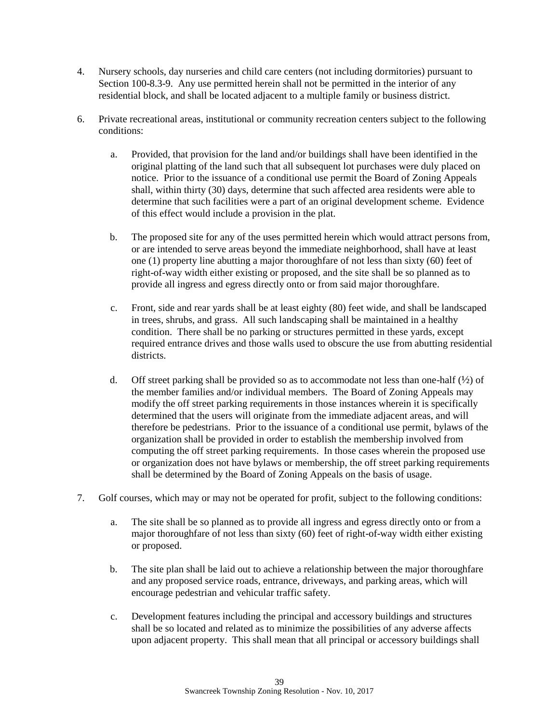- 4. Nursery schools, day nurseries and child care centers (not including dormitories) pursuant to Section 100-8.3-9. Any use permitted herein shall not be permitted in the interior of any residential block, and shall be located adjacent to a multiple family or business district.
- 6. Private recreational areas, institutional or community recreation centers subject to the following conditions:
	- a. Provided, that provision for the land and/or buildings shall have been identified in the original platting of the land such that all subsequent lot purchases were duly placed on notice. Prior to the issuance of a conditional use permit the Board of Zoning Appeals shall, within thirty (30) days, determine that such affected area residents were able to determine that such facilities were a part of an original development scheme. Evidence of this effect would include a provision in the plat.
	- b. The proposed site for any of the uses permitted herein which would attract persons from, or are intended to serve areas beyond the immediate neighborhood, shall have at least one (1) property line abutting a major thoroughfare of not less than sixty (60) feet of right-of-way width either existing or proposed, and the site shall be so planned as to provide all ingress and egress directly onto or from said major thoroughfare.
	- c. Front, side and rear yards shall be at least eighty (80) feet wide, and shall be landscaped in trees, shrubs, and grass. All such landscaping shall be maintained in a healthy condition. There shall be no parking or structures permitted in these yards, except required entrance drives and those walls used to obscure the use from abutting residential districts.
	- d. Off street parking shall be provided so as to accommodate not less than one-half  $(\frac{1}{2})$  of the member families and/or individual members. The Board of Zoning Appeals may modify the off street parking requirements in those instances wherein it is specifically determined that the users will originate from the immediate adjacent areas, and will therefore be pedestrians. Prior to the issuance of a conditional use permit, bylaws of the organization shall be provided in order to establish the membership involved from computing the off street parking requirements. In those cases wherein the proposed use or organization does not have bylaws or membership, the off street parking requirements shall be determined by the Board of Zoning Appeals on the basis of usage.
- 7. Golf courses, which may or may not be operated for profit, subject to the following conditions:
	- a. The site shall be so planned as to provide all ingress and egress directly onto or from a major thoroughfare of not less than sixty (60) feet of right-of-way width either existing or proposed.
	- b. The site plan shall be laid out to achieve a relationship between the major thoroughfare and any proposed service roads, entrance, driveways, and parking areas, which will encourage pedestrian and vehicular traffic safety.
	- c. Development features including the principal and accessory buildings and structures shall be so located and related as to minimize the possibilities of any adverse affects upon adjacent property. This shall mean that all principal or accessory buildings shall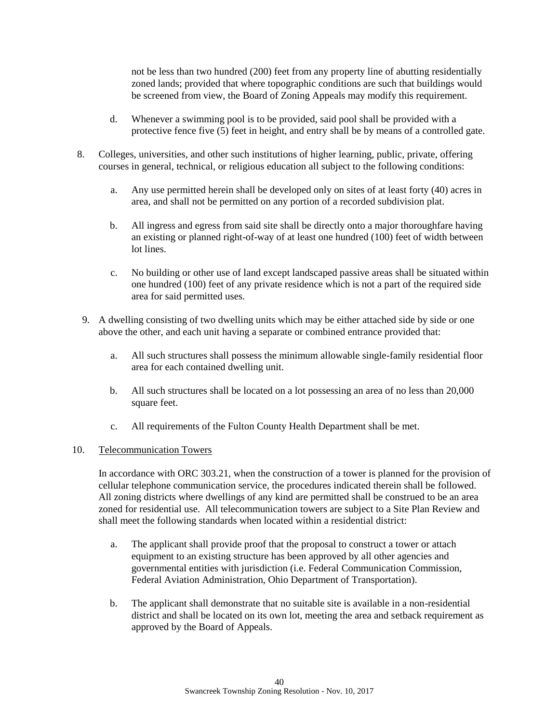not be less than two hundred (200) feet from any property line of abutting residentially zoned lands; provided that where topographic conditions are such that buildings would be screened from view, the Board of Zoning Appeals may modify this requirement.

- d. Whenever a swimming pool is to be provided, said pool shall be provided with a protective fence five (5) feet in height, and entry shall be by means of a controlled gate.
- 8. Colleges, universities, and other such institutions of higher learning, public, private, offering courses in general, technical, or religious education all subject to the following conditions:
	- a. Any use permitted herein shall be developed only on sites of at least forty (40) acres in area, and shall not be permitted on any portion of a recorded subdivision plat.
	- b. All ingress and egress from said site shall be directly onto a major thoroughfare having an existing or planned right-of-way of at least one hundred (100) feet of width between lot lines.
	- c. No building or other use of land except landscaped passive areas shall be situated within one hundred (100) feet of any private residence which is not a part of the required side area for said permitted uses.
	- 9. A dwelling consisting of two dwelling units which may be either attached side by side or one above the other, and each unit having a separate or combined entrance provided that:
		- a. All such structures shall possess the minimum allowable single-family residential floor area for each contained dwelling unit.
		- b. All such structures shall be located on a lot possessing an area of no less than 20,000 square feet.
		- c. All requirements of the Fulton County Health Department shall be met.

## 10. Telecommunication Towers

In accordance with ORC 303.21, when the construction of a tower is planned for the provision of cellular telephone communication service, the procedures indicated therein shall be followed. All zoning districts where dwellings of any kind are permitted shall be construed to be an area zoned for residential use. All telecommunication towers are subject to a Site Plan Review and shall meet the following standards when located within a residential district:

- a. The applicant shall provide proof that the proposal to construct a tower or attach equipment to an existing structure has been approved by all other agencies and governmental entities with jurisdiction (i.e. Federal Communication Commission, Federal Aviation Administration, Ohio Department of Transportation).
- b. The applicant shall demonstrate that no suitable site is available in a non-residential district and shall be located on its own lot, meeting the area and setback requirement as approved by the Board of Appeals.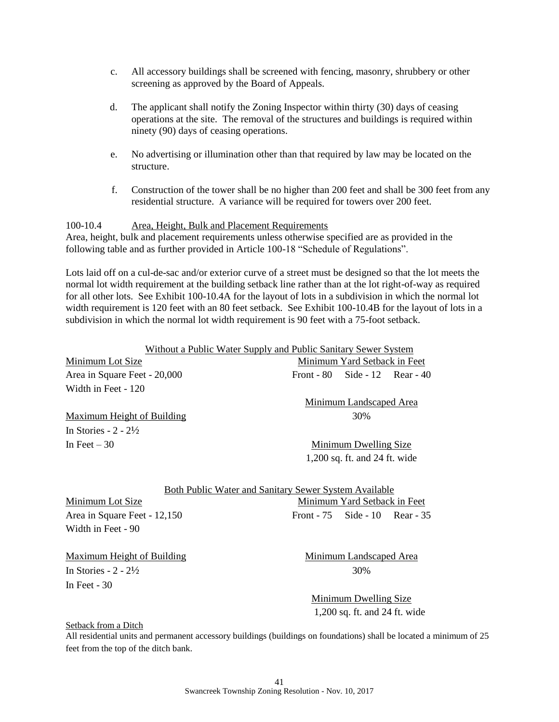- c. All accessory buildings shall be screened with fencing, masonry, shrubbery or other screening as approved by the Board of Appeals.
- d. The applicant shall notify the Zoning Inspector within thirty (30) days of ceasing operations at the site. The removal of the structures and buildings is required within ninety (90) days of ceasing operations.
- e. No advertising or illumination other than that required by law may be located on the structure.
- f. Construction of the tower shall be no higher than 200 feet and shall be 300 feet from any residential structure. A variance will be required for towers over 200 feet.

# 100-10.4 Area, Height, Bulk and Placement Requirements

Area, height, bulk and placement requirements unless otherwise specified are as provided in the following table and as further provided in Article 100-18 "Schedule of Regulations".

Lots laid off on a cul-de-sac and/or exterior curve of a street must be designed so that the lot meets the normal lot width requirement at the building setback line rather than at the lot right-of-way as required for all other lots. See Exhibit 100-10.4A for the layout of lots in a subdivision in which the normal lot width requirement is 120 feet with an 80 feet setback. See Exhibit 100-10.4B for the layout of lots in a subdivision in which the normal lot width requirement is 90 feet with a 75-foot setback.

|                                 | Without a Public Water Supply and Public Sanitary Sewer System |
|---------------------------------|----------------------------------------------------------------|
| Minimum Lot Size                | Minimum Yard Setback in Feet                                   |
| Area in Square Feet - 20,000    | Front - $80$ Side - $12$ Rear - $40$                           |
| Width in Feet - 120             |                                                                |
|                                 | Minimum Landscaped Area                                        |
| Maximum Height of Building      | 30%                                                            |
| In Stories - $2 - 2\frac{1}{2}$ |                                                                |
| In Feet $-30$                   | Minimum Dwelling Size                                          |

1,200 sq. ft. and 24 ft. wide

| Both Public Water and Sanitary Sewer System Available |                                      |                              |  |  |  |
|-------------------------------------------------------|--------------------------------------|------------------------------|--|--|--|
| Minimum Lot Size                                      |                                      | Minimum Yard Setback in Feet |  |  |  |
| Area in Square Feet - 12,150                          | Front - $75$ Side - $10$ Rear - $35$ |                              |  |  |  |
| Width in Feet - 90                                    |                                      |                              |  |  |  |

Maximum Height of Building Minimum Landscaped Area In Stories  $-2 - 2\frac{1}{2}$  30% In Feet - 30

Minimum Dwelling Size 1,200 sq. ft. and 24 ft. wide

#### Setback from a Ditch

All residential units and permanent accessory buildings (buildings on foundations) shall be located a minimum of 25 feet from the top of the ditch bank.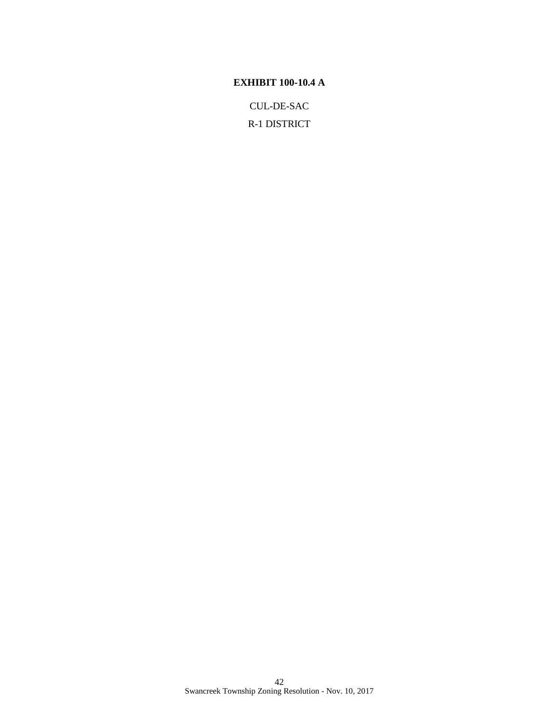## **EXHIBIT 100-10.4 A**

CUL-DE-SAC

R-1 DISTRICT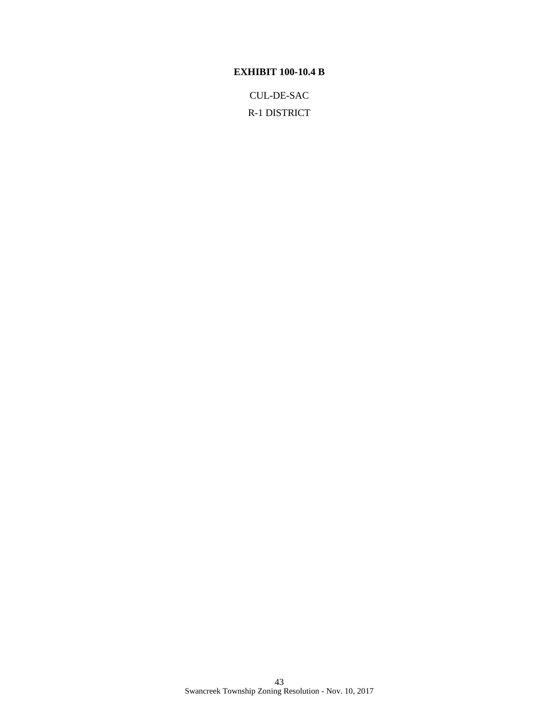# **EXHIBIT 100-10.4 B**

CUL-DE-SAC R-1 DISTRICT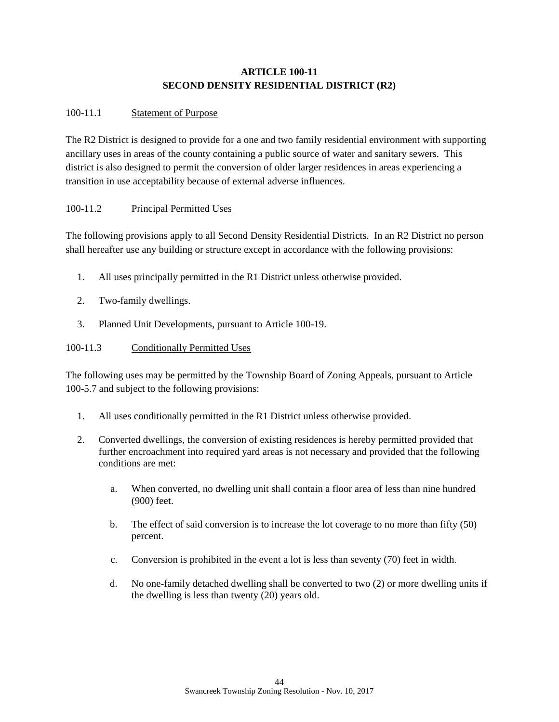# **ARTICLE 100-11 SECOND DENSITY RESIDENTIAL DISTRICT (R2)**

## 100-11.1 Statement of Purpose

The R2 District is designed to provide for a one and two family residential environment with supporting ancillary uses in areas of the county containing a public source of water and sanitary sewers. This district is also designed to permit the conversion of older larger residences in areas experiencing a transition in use acceptability because of external adverse influences.

## 100-11.2 Principal Permitted Uses

The following provisions apply to all Second Density Residential Districts. In an R2 District no person shall hereafter use any building or structure except in accordance with the following provisions:

- 1. All uses principally permitted in the R1 District unless otherwise provided.
- 2. Two-family dwellings.
- 3. Planned Unit Developments, pursuant to Article 100-19.

## 100-11.3 Conditionally Permitted Uses

The following uses may be permitted by the Township Board of Zoning Appeals, pursuant to Article 100-5.7 and subject to the following provisions:

- 1. All uses conditionally permitted in the R1 District unless otherwise provided.
- 2. Converted dwellings, the conversion of existing residences is hereby permitted provided that further encroachment into required yard areas is not necessary and provided that the following conditions are met:
	- a. When converted, no dwelling unit shall contain a floor area of less than nine hundred (900) feet.
	- b. The effect of said conversion is to increase the lot coverage to no more than fifty (50) percent.
	- c. Conversion is prohibited in the event a lot is less than seventy (70) feet in width.
	- d. No one-family detached dwelling shall be converted to two (2) or more dwelling units if the dwelling is less than twenty (20) years old.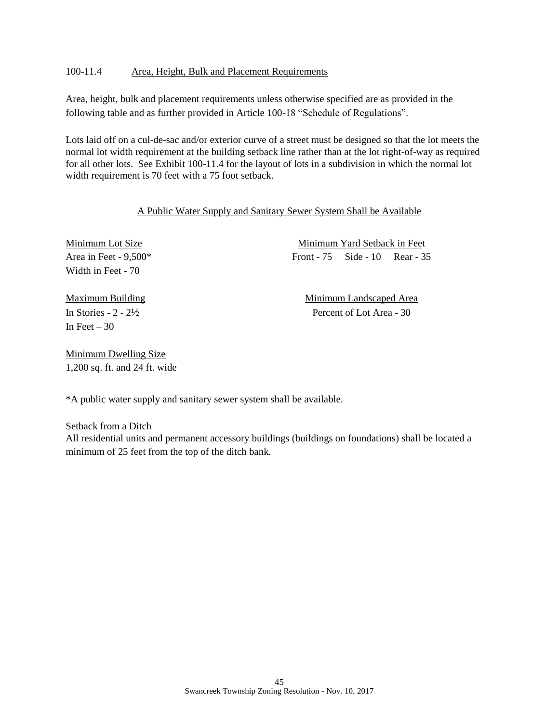## 100-11.4 Area, Height, Bulk and Placement Requirements

Area, height, bulk and placement requirements unless otherwise specified are as provided in the following table and as further provided in Article 100-18 "Schedule of Regulations".

Lots laid off on a cul-de-sac and/or exterior curve of a street must be designed so that the lot meets the normal lot width requirement at the building setback line rather than at the lot right-of-way as required for all other lots. See Exhibit 100-11.4 for the layout of lots in a subdivision in which the normal lot width requirement is 70 feet with a 75 foot setback.

#### A Public Water Supply and Sanitary Sewer System Shall be Available

Width in Feet - 70

Minimum Lot Size Minimum Yard Setback in Feet Area in Feet - 9,500\* Tront - 75 Side - 10 Rear - 35

In Feet  $-30$ 

Maximum Building **Minimum Landscaped Area** In Stories  $-2 - 2\frac{1}{2}$  Percent of Lot Area - 30

Minimum Dwelling Size 1,200 sq. ft. and 24 ft. wide

\*A public water supply and sanitary sewer system shall be available.

Setback from a Ditch

All residential units and permanent accessory buildings (buildings on foundations) shall be located a minimum of 25 feet from the top of the ditch bank.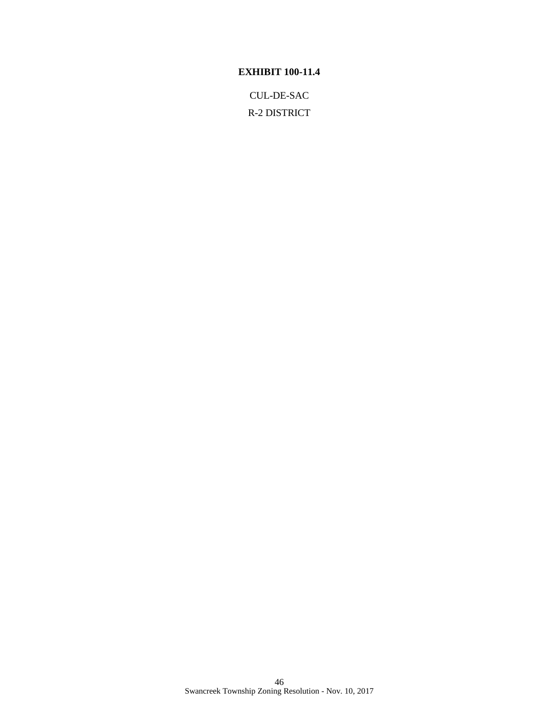# **EXHIBIT 100-11.4**

CUL-DE-SAC R-2 DISTRICT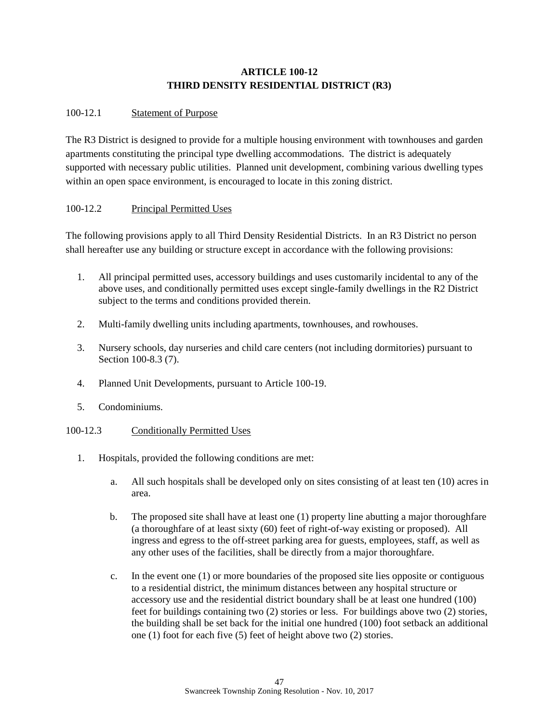# **ARTICLE 100-12 THIRD DENSITY RESIDENTIAL DISTRICT (R3)**

# 100-12.1 Statement of Purpose

The R3 District is designed to provide for a multiple housing environment with townhouses and garden apartments constituting the principal type dwelling accommodations. The district is adequately supported with necessary public utilities. Planned unit development, combining various dwelling types within an open space environment, is encouraged to locate in this zoning district.

# 100-12.2 Principal Permitted Uses

The following provisions apply to all Third Density Residential Districts. In an R3 District no person shall hereafter use any building or structure except in accordance with the following provisions:

- 1. All principal permitted uses, accessory buildings and uses customarily incidental to any of the above uses, and conditionally permitted uses except single-family dwellings in the R2 District subject to the terms and conditions provided therein.
- 2. Multi-family dwelling units including apartments, townhouses, and rowhouses.
- 3. Nursery schools, day nurseries and child care centers (not including dormitories) pursuant to Section 100-8.3 (7).
- 4. Planned Unit Developments, pursuant to Article 100-19.
- 5. Condominiums.

## 100-12.3 Conditionally Permitted Uses

- 1. Hospitals, provided the following conditions are met:
	- a. All such hospitals shall be developed only on sites consisting of at least ten (10) acres in area.
	- b. The proposed site shall have at least one (1) property line abutting a major thoroughfare (a thoroughfare of at least sixty (60) feet of right-of-way existing or proposed). All ingress and egress to the off-street parking area for guests, employees, staff, as well as any other uses of the facilities, shall be directly from a major thoroughfare.
	- c. In the event one (1) or more boundaries of the proposed site lies opposite or contiguous to a residential district, the minimum distances between any hospital structure or accessory use and the residential district boundary shall be at least one hundred (100) feet for buildings containing two (2) stories or less. For buildings above two (2) stories, the building shall be set back for the initial one hundred (100) foot setback an additional one (1) foot for each five (5) feet of height above two (2) stories.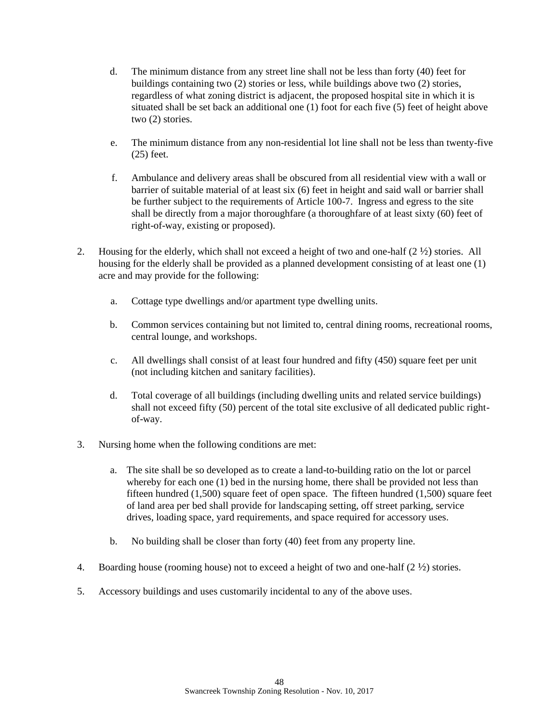- d. The minimum distance from any street line shall not be less than forty (40) feet for buildings containing two (2) stories or less, while buildings above two (2) stories, regardless of what zoning district is adjacent, the proposed hospital site in which it is situated shall be set back an additional one (1) foot for each five (5) feet of height above two (2) stories.
- e. The minimum distance from any non-residential lot line shall not be less than twenty-five (25) feet.
- f. Ambulance and delivery areas shall be obscured from all residential view with a wall or barrier of suitable material of at least six (6) feet in height and said wall or barrier shall be further subject to the requirements of Article 100-7. Ingress and egress to the site shall be directly from a major thoroughfare (a thoroughfare of at least sixty (60) feet of right-of-way, existing or proposed).
- 2. Housing for the elderly, which shall not exceed a height of two and one-half  $(2 \frac{1}{2})$  stories. All housing for the elderly shall be provided as a planned development consisting of at least one (1) acre and may provide for the following:
	- a. Cottage type dwellings and/or apartment type dwelling units.
	- b. Common services containing but not limited to, central dining rooms, recreational rooms, central lounge, and workshops.
	- c. All dwellings shall consist of at least four hundred and fifty (450) square feet per unit (not including kitchen and sanitary facilities).
	- d. Total coverage of all buildings (including dwelling units and related service buildings) shall not exceed fifty (50) percent of the total site exclusive of all dedicated public rightof-way.
- 3. Nursing home when the following conditions are met:
	- a. The site shall be so developed as to create a land-to-building ratio on the lot or parcel whereby for each one (1) bed in the nursing home, there shall be provided not less than fifteen hundred (1,500) square feet of open space. The fifteen hundred (1,500) square feet of land area per bed shall provide for landscaping setting, off street parking, service drives, loading space, yard requirements, and space required for accessory uses.
	- b. No building shall be closer than forty (40) feet from any property line.
- 4. Boarding house (rooming house) not to exceed a height of two and one-half  $(2 \frac{1}{2})$  stories.
- 5. Accessory buildings and uses customarily incidental to any of the above uses.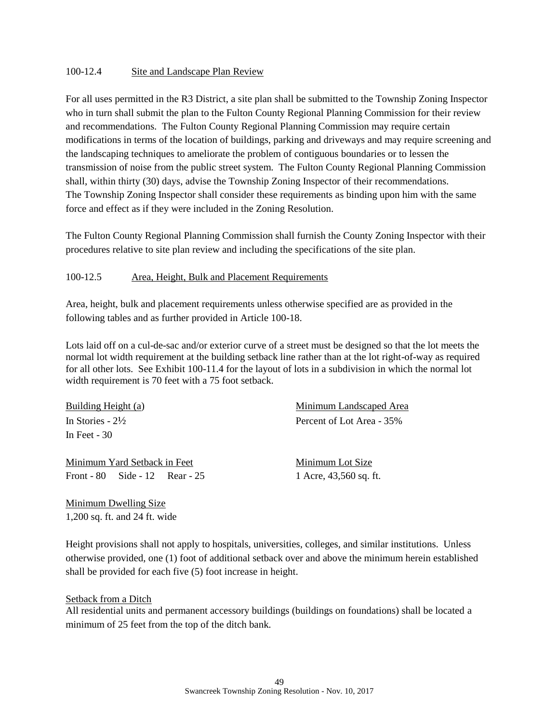## 100-12.4 Site and Landscape Plan Review

For all uses permitted in the R3 District, a site plan shall be submitted to the Township Zoning Inspector who in turn shall submit the plan to the Fulton County Regional Planning Commission for their review and recommendations. The Fulton County Regional Planning Commission may require certain modifications in terms of the location of buildings, parking and driveways and may require screening and the landscaping techniques to ameliorate the problem of contiguous boundaries or to lessen the transmission of noise from the public street system. The Fulton County Regional Planning Commission shall, within thirty (30) days, advise the Township Zoning Inspector of their recommendations. The Township Zoning Inspector shall consider these requirements as binding upon him with the same force and effect as if they were included in the Zoning Resolution.

The Fulton County Regional Planning Commission shall furnish the County Zoning Inspector with their procedures relative to site plan review and including the specifications of the site plan.

#### 100-12.5 Area, Height, Bulk and Placement Requirements

Area, height, bulk and placement requirements unless otherwise specified are as provided in the following tables and as further provided in Article 100-18.

Lots laid off on a cul-de-sac and/or exterior curve of a street must be designed so that the lot meets the normal lot width requirement at the building setback line rather than at the lot right-of-way as required for all other lots. See Exhibit 100-11.4 for the layout of lots in a subdivision in which the normal lot width requirement is 70 feet with a 75 foot setback.

In Feet - 30

Minimum Yard Setback in Feet Minimum Lot Size Front - 80 Side - 12 Rear - 25 1 Acre, 43,560 sq. ft.

Building Height (a) Minimum Landscaped Area In Stories - 2½ Percent of Lot Area - 35%

Minimum Dwelling Size 1,200 sq. ft. and 24 ft. wide

Height provisions shall not apply to hospitals, universities, colleges, and similar institutions. Unless otherwise provided, one (1) foot of additional setback over and above the minimum herein established shall be provided for each five (5) foot increase in height.

#### Setback from a Ditch

All residential units and permanent accessory buildings (buildings on foundations) shall be located a minimum of 25 feet from the top of the ditch bank.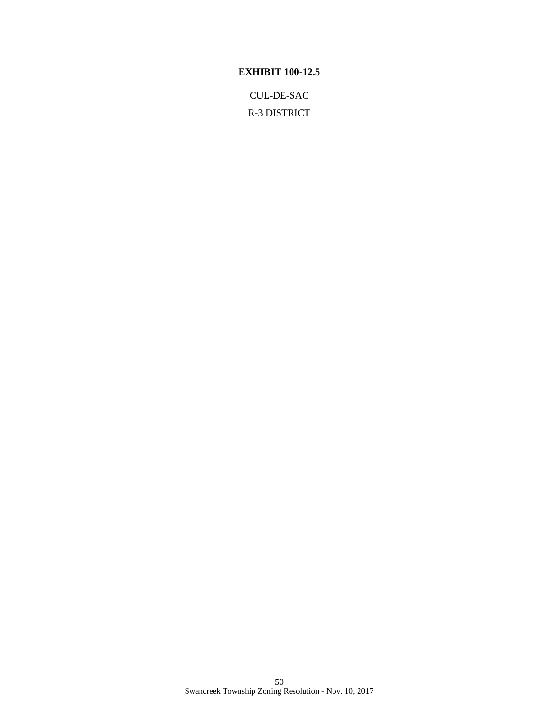# **EXHIBIT 100-12.5**

CUL-DE-SAC R-3 DISTRICT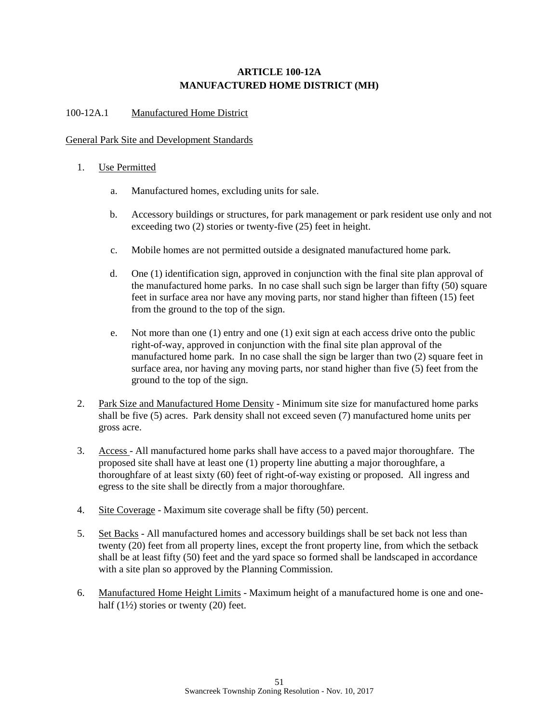# **ARTICLE 100-12A MANUFACTURED HOME DISTRICT (MH)**

## 100-12A.1 Manufactured Home District

## General Park Site and Development Standards

## 1. Use Permitted

- a. Manufactured homes, excluding units for sale.
- b. Accessory buildings or structures, for park management or park resident use only and not exceeding two (2) stories or twenty-five (25) feet in height.
- c. Mobile homes are not permitted outside a designated manufactured home park.
- d. One (1) identification sign, approved in conjunction with the final site plan approval of the manufactured home parks. In no case shall such sign be larger than fifty (50) square feet in surface area nor have any moving parts, nor stand higher than fifteen (15) feet from the ground to the top of the sign.
- e. Not more than one (1) entry and one (1) exit sign at each access drive onto the public right-of-way, approved in conjunction with the final site plan approval of the manufactured home park. In no case shall the sign be larger than two (2) square feet in surface area, nor having any moving parts, nor stand higher than five (5) feet from the ground to the top of the sign.
- 2. Park Size and Manufactured Home Density Minimum site size for manufactured home parks shall be five (5) acres. Park density shall not exceed seven (7) manufactured home units per gross acre.
- 3. Access All manufactured home parks shall have access to a paved major thoroughfare. The proposed site shall have at least one (1) property line abutting a major thoroughfare, a thoroughfare of at least sixty (60) feet of right-of-way existing or proposed. All ingress and egress to the site shall be directly from a major thoroughfare.
- 4. Site Coverage Maximum site coverage shall be fifty (50) percent.
- 5. Set Backs All manufactured homes and accessory buildings shall be set back not less than twenty (20) feet from all property lines, except the front property line, from which the setback shall be at least fifty (50) feet and the yard space so formed shall be landscaped in accordance with a site plan so approved by the Planning Commission.
- 6. Manufactured Home Height Limits Maximum height of a manufactured home is one and onehalf  $(1\frac{1}{2})$  stories or twenty  $(20)$  feet.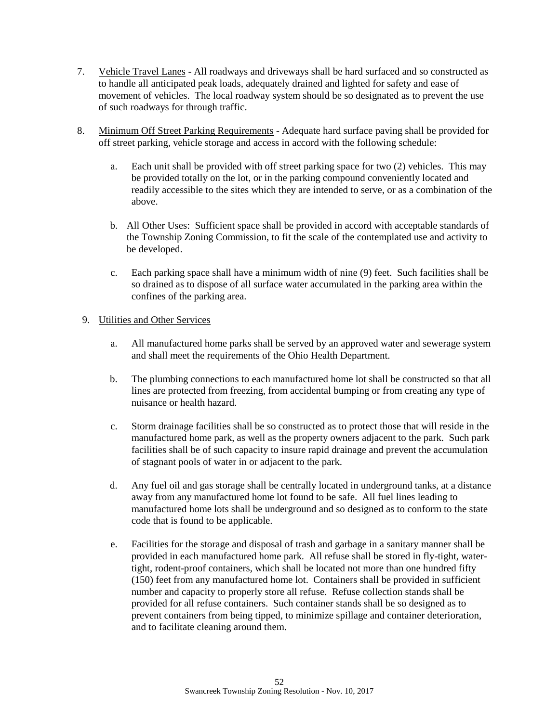- 7. Vehicle Travel Lanes All roadways and driveways shall be hard surfaced and so constructed as to handle all anticipated peak loads, adequately drained and lighted for safety and ease of movement of vehicles. The local roadway system should be so designated as to prevent the use of such roadways for through traffic.
- 8. Minimum Off Street Parking Requirements Adequate hard surface paving shall be provided for off street parking, vehicle storage and access in accord with the following schedule:
	- a. Each unit shall be provided with off street parking space for two (2) vehicles. This may be provided totally on the lot, or in the parking compound conveniently located and readily accessible to the sites which they are intended to serve, or as a combination of the above.
	- b. All Other Uses: Sufficient space shall be provided in accord with acceptable standards of the Township Zoning Commission, to fit the scale of the contemplated use and activity to be developed.
	- c. Each parking space shall have a minimum width of nine (9) feet. Such facilities shall be so drained as to dispose of all surface water accumulated in the parking area within the confines of the parking area.

## 9. Utilities and Other Services

- a. All manufactured home parks shall be served by an approved water and sewerage system and shall meet the requirements of the Ohio Health Department.
- b. The plumbing connections to each manufactured home lot shall be constructed so that all lines are protected from freezing, from accidental bumping or from creating any type of nuisance or health hazard.
- c. Storm drainage facilities shall be so constructed as to protect those that will reside in the manufactured home park, as well as the property owners adjacent to the park. Such park facilities shall be of such capacity to insure rapid drainage and prevent the accumulation of stagnant pools of water in or adjacent to the park.
- d. Any fuel oil and gas storage shall be centrally located in underground tanks, at a distance away from any manufactured home lot found to be safe. All fuel lines leading to manufactured home lots shall be underground and so designed as to conform to the state code that is found to be applicable.
- e. Facilities for the storage and disposal of trash and garbage in a sanitary manner shall be provided in each manufactured home park. All refuse shall be stored in fly-tight, watertight, rodent-proof containers, which shall be located not more than one hundred fifty (150) feet from any manufactured home lot. Containers shall be provided in sufficient number and capacity to properly store all refuse. Refuse collection stands shall be provided for all refuse containers. Such container stands shall be so designed as to prevent containers from being tipped, to minimize spillage and container deterioration, and to facilitate cleaning around them.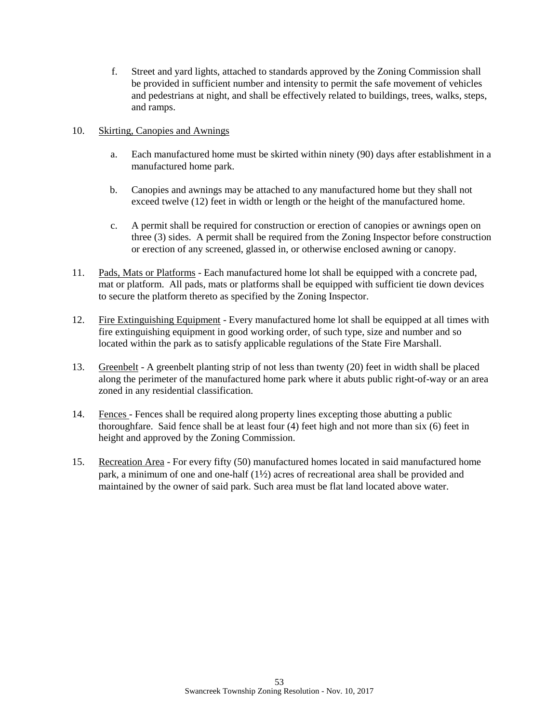f. Street and yard lights, attached to standards approved by the Zoning Commission shall be provided in sufficient number and intensity to permit the safe movement of vehicles and pedestrians at night, and shall be effectively related to buildings, trees, walks, steps, and ramps.

## 10. Skirting, Canopies and Awnings

- a. Each manufactured home must be skirted within ninety (90) days after establishment in a manufactured home park.
- b. Canopies and awnings may be attached to any manufactured home but they shall not exceed twelve (12) feet in width or length or the height of the manufactured home.
- c. A permit shall be required for construction or erection of canopies or awnings open on three (3) sides. A permit shall be required from the Zoning Inspector before construction or erection of any screened, glassed in, or otherwise enclosed awning or canopy.
- 11. Pads, Mats or Platforms Each manufactured home lot shall be equipped with a concrete pad, mat or platform. All pads, mats or platforms shall be equipped with sufficient tie down devices to secure the platform thereto as specified by the Zoning Inspector.
- 12. Fire Extinguishing Equipment Every manufactured home lot shall be equipped at all times with fire extinguishing equipment in good working order, of such type, size and number and so located within the park as to satisfy applicable regulations of the State Fire Marshall.
- 13. Greenbelt A greenbelt planting strip of not less than twenty (20) feet in width shall be placed along the perimeter of the manufactured home park where it abuts public right-of-way or an area zoned in any residential classification.
- 14. Fences Fences shall be required along property lines excepting those abutting a public thoroughfare. Said fence shall be at least four (4) feet high and not more than six (6) feet in height and approved by the Zoning Commission.
- 15. Recreation Area For every fifty (50) manufactured homes located in said manufactured home park, a minimum of one and one-half  $(1/2)$  acres of recreational area shall be provided and maintained by the owner of said park. Such area must be flat land located above water.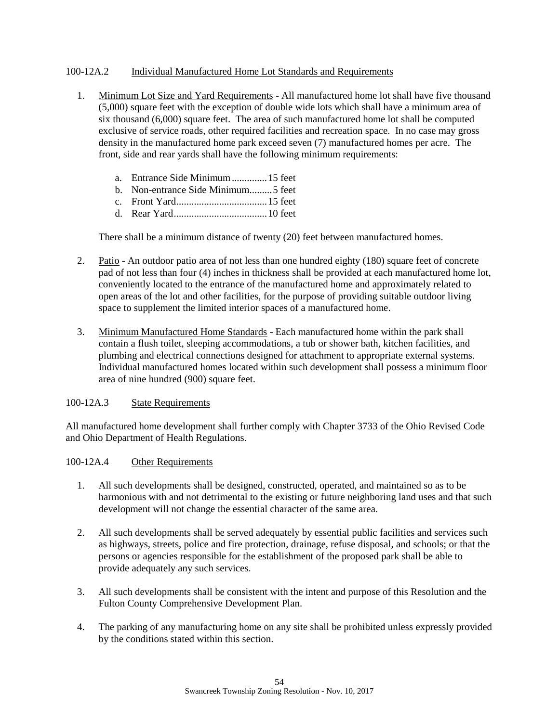## 100-12A.2 Individual Manufactured Home Lot Standards and Requirements

- 1. Minimum Lot Size and Yard Requirements All manufactured home lot shall have five thousand (5,000) square feet with the exception of double wide lots which shall have a minimum area of six thousand (6,000) square feet. The area of such manufactured home lot shall be computed exclusive of service roads, other required facilities and recreation space. In no case may gross density in the manufactured home park exceed seven (7) manufactured homes per acre. The front, side and rear yards shall have the following minimum requirements:
	- a. Entrance Side Minimum..............15 feet
	- b. Non-entrance Side Minimum.........5 feet
	- c. Front Yard....................................15 feet
	- d. Rear Yard.....................................10 feet

There shall be a minimum distance of twenty (20) feet between manufactured homes.

- 2. Patio An outdoor patio area of not less than one hundred eighty (180) square feet of concrete pad of not less than four (4) inches in thickness shall be provided at each manufactured home lot, conveniently located to the entrance of the manufactured home and approximately related to open areas of the lot and other facilities, for the purpose of providing suitable outdoor living space to supplement the limited interior spaces of a manufactured home.
- 3. Minimum Manufactured Home Standards Each manufactured home within the park shall contain a flush toilet, sleeping accommodations, a tub or shower bath, kitchen facilities, and plumbing and electrical connections designed for attachment to appropriate external systems. Individual manufactured homes located within such development shall possess a minimum floor area of nine hundred (900) square feet.

## 100-12A.3 State Requirements

All manufactured home development shall further comply with Chapter 3733 of the Ohio Revised Code and Ohio Department of Health Regulations.

## 100-12A.4 Other Requirements

- 1. All such developments shall be designed, constructed, operated, and maintained so as to be harmonious with and not detrimental to the existing or future neighboring land uses and that such development will not change the essential character of the same area.
- 2. All such developments shall be served adequately by essential public facilities and services such as highways, streets, police and fire protection, drainage, refuse disposal, and schools; or that the persons or agencies responsible for the establishment of the proposed park shall be able to provide adequately any such services.
- 3. All such developments shall be consistent with the intent and purpose of this Resolution and the Fulton County Comprehensive Development Plan.
- 4. The parking of any manufacturing home on any site shall be prohibited unless expressly provided by the conditions stated within this section.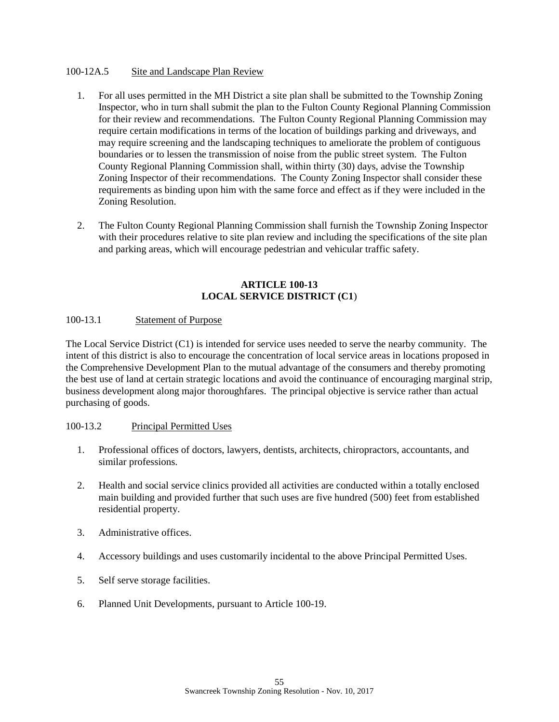## 100-12A.5 Site and Landscape Plan Review

- 1. For all uses permitted in the MH District a site plan shall be submitted to the Township Zoning Inspector, who in turn shall submit the plan to the Fulton County Regional Planning Commission for their review and recommendations. The Fulton County Regional Planning Commission may require certain modifications in terms of the location of buildings parking and driveways, and may require screening and the landscaping techniques to ameliorate the problem of contiguous boundaries or to lessen the transmission of noise from the public street system. The Fulton County Regional Planning Commission shall, within thirty (30) days, advise the Township Zoning Inspector of their recommendations. The County Zoning Inspector shall consider these requirements as binding upon him with the same force and effect as if they were included in the Zoning Resolution.
- 2. The Fulton County Regional Planning Commission shall furnish the Township Zoning Inspector with their procedures relative to site plan review and including the specifications of the site plan and parking areas, which will encourage pedestrian and vehicular traffic safety.

#### **ARTICLE 100-13 LOCAL SERVICE DISTRICT (C1**)

## 100-13.1 Statement of Purpose

The Local Service District (C1) is intended for service uses needed to serve the nearby community. The intent of this district is also to encourage the concentration of local service areas in locations proposed in the Comprehensive Development Plan to the mutual advantage of the consumers and thereby promoting the best use of land at certain strategic locations and avoid the continuance of encouraging marginal strip, business development along major thoroughfares. The principal objective is service rather than actual purchasing of goods.

#### 100-13.2 Principal Permitted Uses

- 1. Professional offices of doctors, lawyers, dentists, architects, chiropractors, accountants, and similar professions.
- 2. Health and social service clinics provided all activities are conducted within a totally enclosed main building and provided further that such uses are five hundred (500) feet from established residential property.
- 3. Administrative offices.
- 4. Accessory buildings and uses customarily incidental to the above Principal Permitted Uses.
- 5. Self serve storage facilities.
- 6. Planned Unit Developments, pursuant to Article 100-19.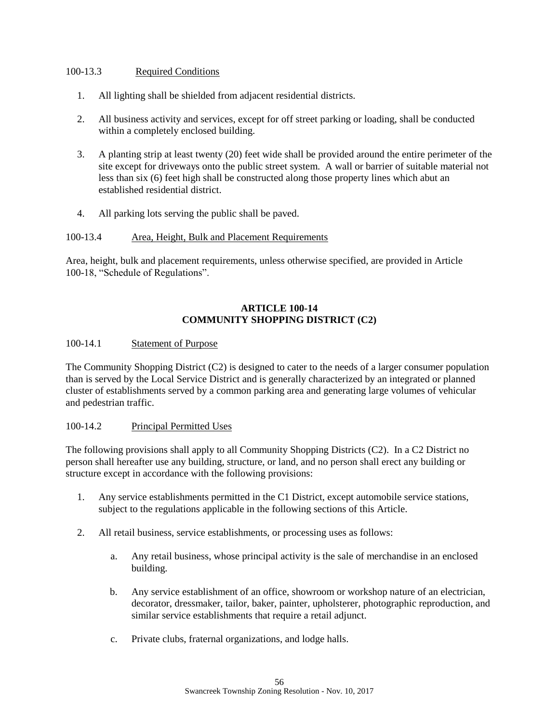## 100-13.3 Required Conditions

- 1. All lighting shall be shielded from adjacent residential districts.
- 2. All business activity and services, except for off street parking or loading, shall be conducted within a completely enclosed building.
- 3. A planting strip at least twenty (20) feet wide shall be provided around the entire perimeter of the site except for driveways onto the public street system. A wall or barrier of suitable material not less than six (6) feet high shall be constructed along those property lines which abut an established residential district.
- 4. All parking lots serving the public shall be paved.

## 100-13.4 Area, Height, Bulk and Placement Requirements

Area, height, bulk and placement requirements, unless otherwise specified, are provided in Article 100-18, "Schedule of Regulations".

## **ARTICLE 100-14 COMMUNITY SHOPPING DISTRICT (C2)**

## 100-14.1 Statement of Purpose

The Community Shopping District (C2) is designed to cater to the needs of a larger consumer population than is served by the Local Service District and is generally characterized by an integrated or planned cluster of establishments served by a common parking area and generating large volumes of vehicular and pedestrian traffic.

## 100-14.2 Principal Permitted Uses

The following provisions shall apply to all Community Shopping Districts (C2). In a C2 District no person shall hereafter use any building, structure, or land, and no person shall erect any building or structure except in accordance with the following provisions:

- 1. Any service establishments permitted in the C1 District, except automobile service stations, subject to the regulations applicable in the following sections of this Article.
- 2. All retail business, service establishments, or processing uses as follows:
	- a. Any retail business, whose principal activity is the sale of merchandise in an enclosed building.
	- b. Any service establishment of an office, showroom or workshop nature of an electrician, decorator, dressmaker, tailor, baker, painter, upholsterer, photographic reproduction, and similar service establishments that require a retail adjunct.
	- c. Private clubs, fraternal organizations, and lodge halls.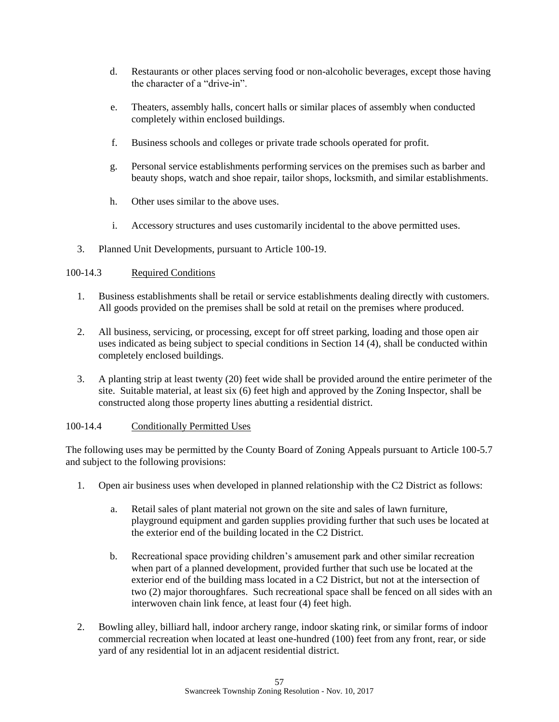- d. Restaurants or other places serving food or non-alcoholic beverages, except those having the character of a "drive-in".
- e. Theaters, assembly halls, concert halls or similar places of assembly when conducted completely within enclosed buildings.
- f. Business schools and colleges or private trade schools operated for profit.
- g. Personal service establishments performing services on the premises such as barber and beauty shops, watch and shoe repair, tailor shops, locksmith, and similar establishments.
- h. Other uses similar to the above uses.
- i. Accessory structures and uses customarily incidental to the above permitted uses.
- 3. Planned Unit Developments, pursuant to Article 100-19.

## 100-14.3 Required Conditions

- 1. Business establishments shall be retail or service establishments dealing directly with customers. All goods provided on the premises shall be sold at retail on the premises where produced.
- 2. All business, servicing, or processing, except for off street parking, loading and those open air uses indicated as being subject to special conditions in Section 14 (4), shall be conducted within completely enclosed buildings.
- 3. A planting strip at least twenty (20) feet wide shall be provided around the entire perimeter of the site. Suitable material, at least six (6) feet high and approved by the Zoning Inspector, shall be constructed along those property lines abutting a residential district.

## 100-14.4 Conditionally Permitted Uses

The following uses may be permitted by the County Board of Zoning Appeals pursuant to Article 100-5.7 and subject to the following provisions:

- 1. Open air business uses when developed in planned relationship with the C2 District as follows:
	- a. Retail sales of plant material not grown on the site and sales of lawn furniture, playground equipment and garden supplies providing further that such uses be located at the exterior end of the building located in the C2 District.
	- b. Recreational space providing children's amusement park and other similar recreation when part of a planned development, provided further that such use be located at the exterior end of the building mass located in a C2 District, but not at the intersection of two (2) major thoroughfares. Such recreational space shall be fenced on all sides with an interwoven chain link fence, at least four (4) feet high.
- 2. Bowling alley, billiard hall, indoor archery range, indoor skating rink, or similar forms of indoor commercial recreation when located at least one-hundred (100) feet from any front, rear, or side yard of any residential lot in an adjacent residential district.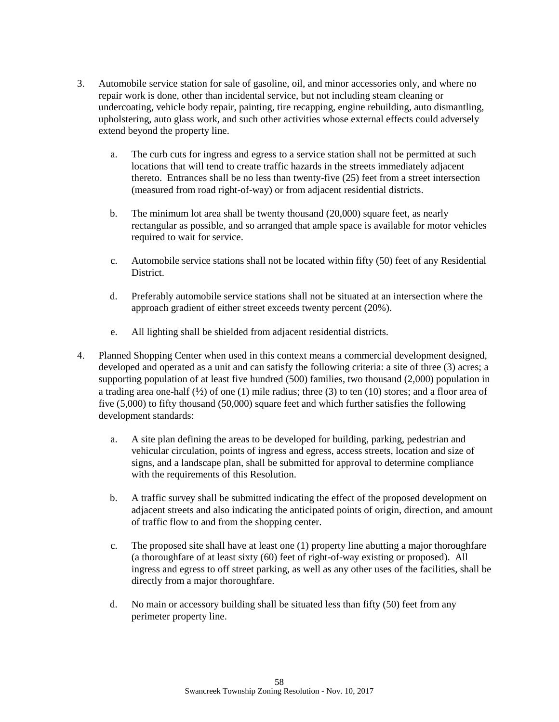- 3. Automobile service station for sale of gasoline, oil, and minor accessories only, and where no repair work is done, other than incidental service, but not including steam cleaning or undercoating, vehicle body repair, painting, tire recapping, engine rebuilding, auto dismantling, upholstering, auto glass work, and such other activities whose external effects could adversely extend beyond the property line.
	- a. The curb cuts for ingress and egress to a service station shall not be permitted at such locations that will tend to create traffic hazards in the streets immediately adjacent thereto. Entrances shall be no less than twenty-five (25) feet from a street intersection (measured from road right-of-way) or from adjacent residential districts.
	- b. The minimum lot area shall be twenty thousand (20,000) square feet, as nearly rectangular as possible, and so arranged that ample space is available for motor vehicles required to wait for service.
	- c. Automobile service stations shall not be located within fifty (50) feet of any Residential District.
	- d. Preferably automobile service stations shall not be situated at an intersection where the approach gradient of either street exceeds twenty percent (20%).
	- e. All lighting shall be shielded from adjacent residential districts.
- 4. Planned Shopping Center when used in this context means a commercial development designed, developed and operated as a unit and can satisfy the following criteria: a site of three (3) acres; a supporting population of at least five hundred (500) families, two thousand (2,000) population in a trading area one-half  $\left(\frac{1}{2}\right)$  of one (1) mile radius; three (3) to ten (10) stores; and a floor area of five (5,000) to fifty thousand (50,000) square feet and which further satisfies the following development standards:
	- a. A site plan defining the areas to be developed for building, parking, pedestrian and vehicular circulation, points of ingress and egress, access streets, location and size of signs, and a landscape plan, shall be submitted for approval to determine compliance with the requirements of this Resolution.
	- b. A traffic survey shall be submitted indicating the effect of the proposed development on adjacent streets and also indicating the anticipated points of origin, direction, and amount of traffic flow to and from the shopping center.
	- c. The proposed site shall have at least one (1) property line abutting a major thoroughfare (a thoroughfare of at least sixty (60) feet of right-of-way existing or proposed). All ingress and egress to off street parking, as well as any other uses of the facilities, shall be directly from a major thoroughfare.
	- d. No main or accessory building shall be situated less than fifty (50) feet from any perimeter property line.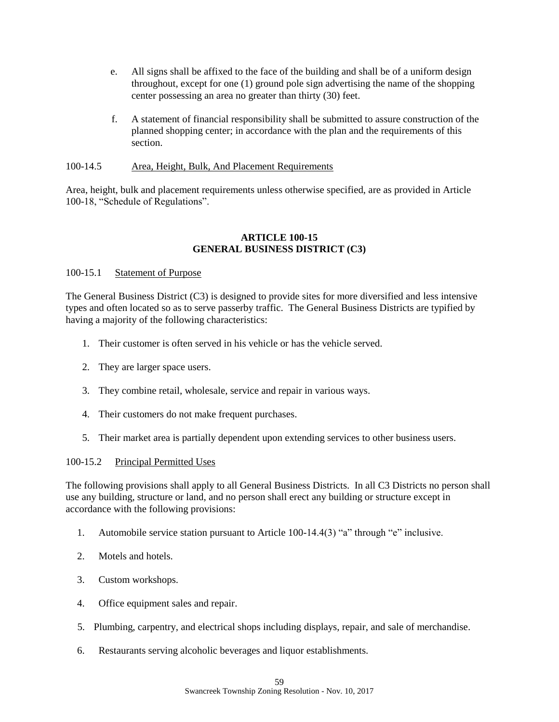- e. All signs shall be affixed to the face of the building and shall be of a uniform design throughout, except for one (1) ground pole sign advertising the name of the shopping center possessing an area no greater than thirty (30) feet.
- f. A statement of financial responsibility shall be submitted to assure construction of the planned shopping center; in accordance with the plan and the requirements of this section.

#### 100-14.5 Area, Height, Bulk, And Placement Requirements

Area, height, bulk and placement requirements unless otherwise specified, are as provided in Article 100-18, "Schedule of Regulations".

#### **ARTICLE 100-15 GENERAL BUSINESS DISTRICT (C3)**

## 100-15.1 Statement of Purpose

The General Business District (C3) is designed to provide sites for more diversified and less intensive types and often located so as to serve passerby traffic. The General Business Districts are typified by having a majority of the following characteristics:

- 1. Their customer is often served in his vehicle or has the vehicle served.
- 2. They are larger space users.
- 3. They combine retail, wholesale, service and repair in various ways.
- 4. Their customers do not make frequent purchases.
- 5. Their market area is partially dependent upon extending services to other business users.

## 100-15.2 Principal Permitted Uses

The following provisions shall apply to all General Business Districts. In all C3 Districts no person shall use any building, structure or land, and no person shall erect any building or structure except in accordance with the following provisions:

- 1. Automobile service station pursuant to Article 100-14.4(3) "a" through "e" inclusive.
- 2. Motels and hotels.
- 3. Custom workshops.
- 4. Office equipment sales and repair.
- 5. Plumbing, carpentry, and electrical shops including displays, repair, and sale of merchandise.
- 6. Restaurants serving alcoholic beverages and liquor establishments.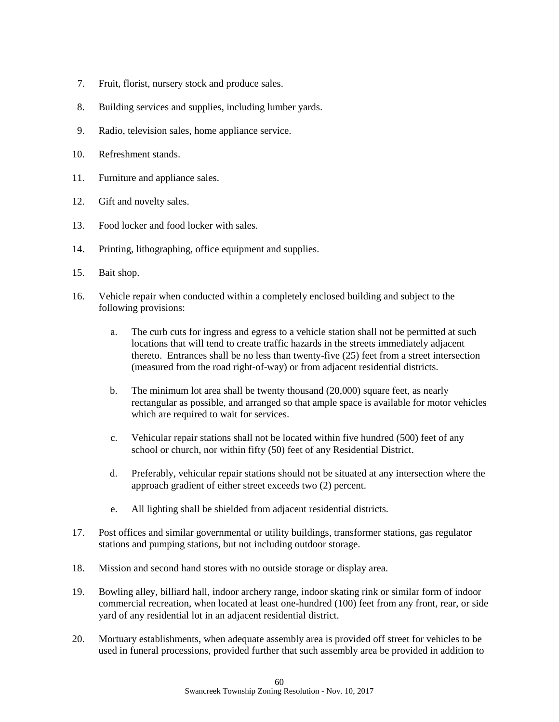- 7. Fruit, florist, nursery stock and produce sales.
- 8. Building services and supplies, including lumber yards.
- 9. Radio, television sales, home appliance service.
- 10. Refreshment stands.
- 11. Furniture and appliance sales.
- 12. Gift and novelty sales.
- 13. Food locker and food locker with sales.
- 14. Printing, lithographing, office equipment and supplies.
- 15. Bait shop.
- 16. Vehicle repair when conducted within a completely enclosed building and subject to the following provisions:
	- a. The curb cuts for ingress and egress to a vehicle station shall not be permitted at such locations that will tend to create traffic hazards in the streets immediately adjacent thereto. Entrances shall be no less than twenty-five (25) feet from a street intersection (measured from the road right-of-way) or from adjacent residential districts.
	- b. The minimum lot area shall be twenty thousand (20,000) square feet, as nearly rectangular as possible, and arranged so that ample space is available for motor vehicles which are required to wait for services.
	- c. Vehicular repair stations shall not be located within five hundred (500) feet of any school or church, nor within fifty (50) feet of any Residential District.
	- d. Preferably, vehicular repair stations should not be situated at any intersection where the approach gradient of either street exceeds two (2) percent.
	- e. All lighting shall be shielded from adjacent residential districts.
- 17. Post offices and similar governmental or utility buildings, transformer stations, gas regulator stations and pumping stations, but not including outdoor storage.
- 18. Mission and second hand stores with no outside storage or display area.
- 19. Bowling alley, billiard hall, indoor archery range, indoor skating rink or similar form of indoor commercial recreation, when located at least one-hundred (100) feet from any front, rear, or side yard of any residential lot in an adjacent residential district.
- 20. Mortuary establishments, when adequate assembly area is provided off street for vehicles to be used in funeral processions, provided further that such assembly area be provided in addition to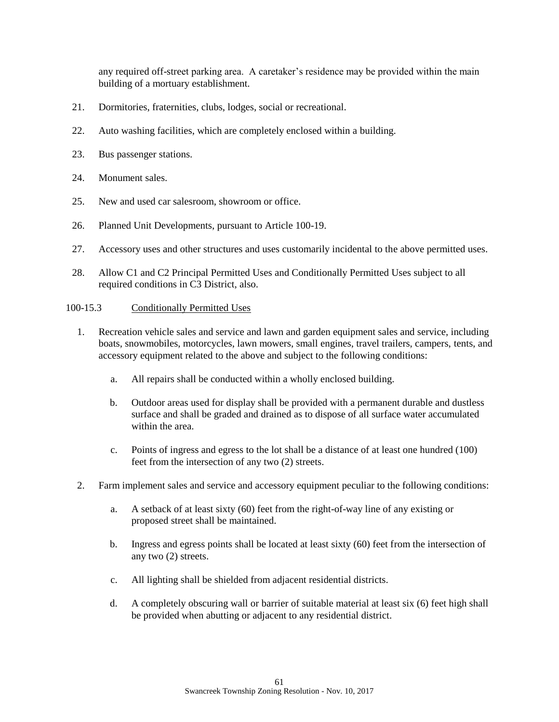any required off-street parking area. A caretaker's residence may be provided within the main building of a mortuary establishment.

- 21. Dormitories, fraternities, clubs, lodges, social or recreational.
- 22. Auto washing facilities, which are completely enclosed within a building.
- 23. Bus passenger stations.
- 24. Monument sales
- 25. New and used car salesroom, showroom or office.
- 26. Planned Unit Developments, pursuant to Article 100-19.
- 27. Accessory uses and other structures and uses customarily incidental to the above permitted uses.
- 28. Allow C1 and C2 Principal Permitted Uses and Conditionally Permitted Uses subject to all required conditions in C3 District, also.

## 100-15.3 Conditionally Permitted Uses

- 1. Recreation vehicle sales and service and lawn and garden equipment sales and service, including boats, snowmobiles, motorcycles, lawn mowers, small engines, travel trailers, campers, tents, and accessory equipment related to the above and subject to the following conditions:
	- a. All repairs shall be conducted within a wholly enclosed building.
	- b. Outdoor areas used for display shall be provided with a permanent durable and dustless surface and shall be graded and drained as to dispose of all surface water accumulated within the area.
	- c. Points of ingress and egress to the lot shall be a distance of at least one hundred (100) feet from the intersection of any two (2) streets.
- 2. Farm implement sales and service and accessory equipment peculiar to the following conditions:
	- a. A setback of at least sixty (60) feet from the right-of-way line of any existing or proposed street shall be maintained.
	- b. Ingress and egress points shall be located at least sixty (60) feet from the intersection of any two (2) streets.
	- c. All lighting shall be shielded from adjacent residential districts.
	- d. A completely obscuring wall or barrier of suitable material at least six (6) feet high shall be provided when abutting or adjacent to any residential district.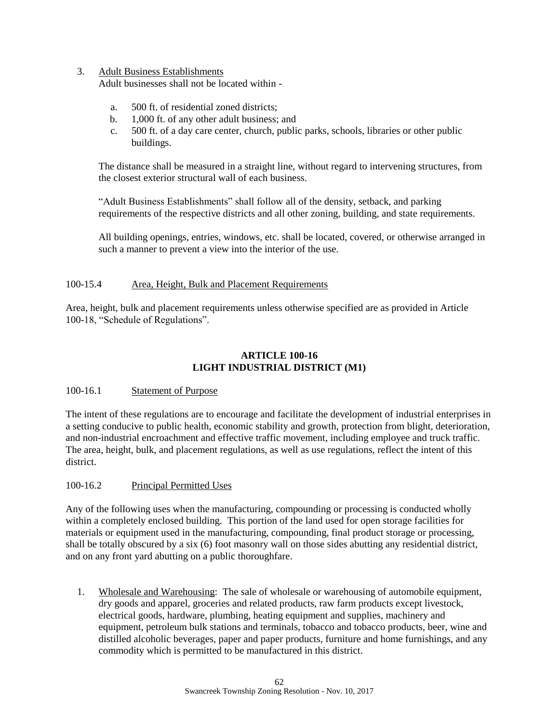## 3. Adult Business Establishments

Adult businesses shall not be located within -

- a. 500 ft. of residential zoned districts;
- b. 1,000 ft. of any other adult business; and
- c. 500 ft. of a day care center, church, public parks, schools, libraries or other public buildings.

The distance shall be measured in a straight line, without regard to intervening structures, from the closest exterior structural wall of each business.

"Adult Business Establishments" shall follow all of the density, setback, and parking requirements of the respective districts and all other zoning, building, and state requirements.

All building openings, entries, windows, etc. shall be located, covered, or otherwise arranged in such a manner to prevent a view into the interior of the use.

## 100-15.4 Area, Height, Bulk and Placement Requirements

Area, height, bulk and placement requirements unless otherwise specified are as provided in Article 100-18, "Schedule of Regulations".

## **ARTICLE 100-16 LIGHT INDUSTRIAL DISTRICT (M1)**

## 100-16.1 Statement of Purpose

The intent of these regulations are to encourage and facilitate the development of industrial enterprises in a setting conducive to public health, economic stability and growth, protection from blight, deterioration, and non-industrial encroachment and effective traffic movement, including employee and truck traffic. The area, height, bulk, and placement regulations, as well as use regulations, reflect the intent of this district.

## 100-16.2 Principal Permitted Uses

Any of the following uses when the manufacturing, compounding or processing is conducted wholly within a completely enclosed building. This portion of the land used for open storage facilities for materials or equipment used in the manufacturing, compounding, final product storage or processing, shall be totally obscured by a six (6) foot masonry wall on those sides abutting any residential district, and on any front yard abutting on a public thoroughfare.

1. Wholesale and Warehousing: The sale of wholesale or warehousing of automobile equipment, dry goods and apparel, groceries and related products, raw farm products except livestock, electrical goods, hardware, plumbing, heating equipment and supplies, machinery and equipment, petroleum bulk stations and terminals, tobacco and tobacco products, beer, wine and distilled alcoholic beverages, paper and paper products, furniture and home furnishings, and any commodity which is permitted to be manufactured in this district.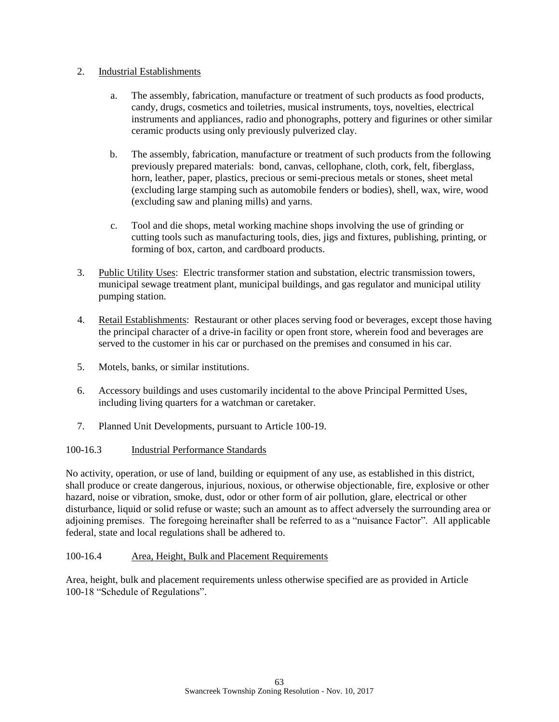## 2. Industrial Establishments

- a. The assembly, fabrication, manufacture or treatment of such products as food products, candy, drugs, cosmetics and toiletries, musical instruments, toys, novelties, electrical instruments and appliances, radio and phonographs, pottery and figurines or other similar ceramic products using only previously pulverized clay.
- b. The assembly, fabrication, manufacture or treatment of such products from the following previously prepared materials: bond, canvas, cellophane, cloth, cork, felt, fiberglass, horn, leather, paper, plastics, precious or semi-precious metals or stones, sheet metal (excluding large stamping such as automobile fenders or bodies), shell, wax, wire, wood (excluding saw and planing mills) and yarns.
- c. Tool and die shops, metal working machine shops involving the use of grinding or cutting tools such as manufacturing tools, dies, jigs and fixtures, publishing, printing, or forming of box, carton, and cardboard products.
- 3. Public Utility Uses: Electric transformer station and substation, electric transmission towers, municipal sewage treatment plant, municipal buildings, and gas regulator and municipal utility pumping station.
- 4. Retail Establishments: Restaurant or other places serving food or beverages, except those having the principal character of a drive-in facility or open front store, wherein food and beverages are served to the customer in his car or purchased on the premises and consumed in his car.
- 5. Motels, banks, or similar institutions.
- 6. Accessory buildings and uses customarily incidental to the above Principal Permitted Uses, including living quarters for a watchman or caretaker.
- 7. Planned Unit Developments, pursuant to Article 100-19.

## 100-16.3 Industrial Performance Standards

No activity, operation, or use of land, building or equipment of any use, as established in this district, shall produce or create dangerous, injurious, noxious, or otherwise objectionable, fire, explosive or other hazard, noise or vibration, smoke, dust, odor or other form of air pollution, glare, electrical or other disturbance, liquid or solid refuse or waste; such an amount as to affect adversely the surrounding area or adjoining premises. The foregoing hereinafter shall be referred to as a "nuisance Factor". All applicable federal, state and local regulations shall be adhered to.

# 100-16.4 Area, Height, Bulk and Placement Requirements

Area, height, bulk and placement requirements unless otherwise specified are as provided in Article 100-18 "Schedule of Regulations".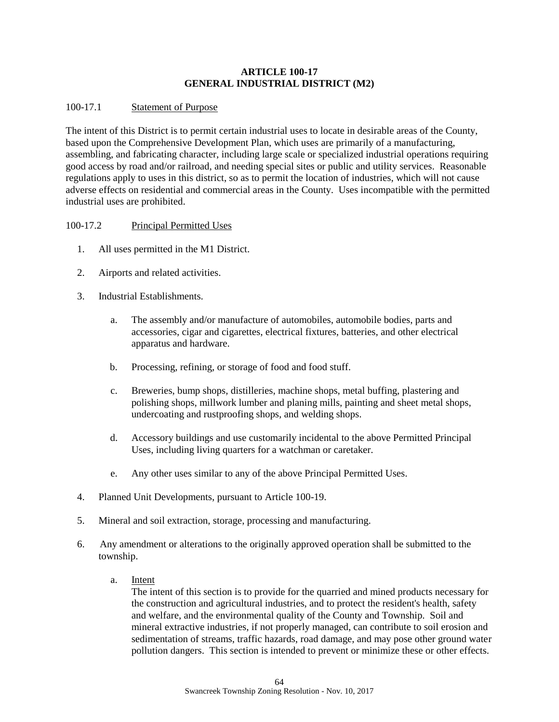## **ARTICLE 100-17 GENERAL INDUSTRIAL DISTRICT (M2)**

## 100-17.1 Statement of Purpose

The intent of this District is to permit certain industrial uses to locate in desirable areas of the County, based upon the Comprehensive Development Plan, which uses are primarily of a manufacturing, assembling, and fabricating character, including large scale or specialized industrial operations requiring good access by road and/or railroad, and needing special sites or public and utility services. Reasonable regulations apply to uses in this district, so as to permit the location of industries, which will not cause adverse effects on residential and commercial areas in the County. Uses incompatible with the permitted industrial uses are prohibited.

## 100-17.2 Principal Permitted Uses

- 1. All uses permitted in the M1 District.
- 2. Airports and related activities.
- 3. Industrial Establishments.
	- a. The assembly and/or manufacture of automobiles, automobile bodies, parts and accessories, cigar and cigarettes, electrical fixtures, batteries, and other electrical apparatus and hardware.
	- b. Processing, refining, or storage of food and food stuff.
	- c. Breweries, bump shops, distilleries, machine shops, metal buffing, plastering and polishing shops, millwork lumber and planing mills, painting and sheet metal shops, undercoating and rustproofing shops, and welding shops.
	- d. Accessory buildings and use customarily incidental to the above Permitted Principal Uses, including living quarters for a watchman or caretaker.
	- e. Any other uses similar to any of the above Principal Permitted Uses.
- 4. Planned Unit Developments, pursuant to Article 100-19.
- 5. Mineral and soil extraction, storage, processing and manufacturing.
- 6. Any amendment or alterations to the originally approved operation shall be submitted to the township.
	- a. Intent

The intent of this section is to provide for the quarried and mined products necessary for the construction and agricultural industries, and to protect the resident's health, safety and welfare, and the environmental quality of the County and Township. Soil and mineral extractive industries, if not properly managed, can contribute to soil erosion and sedimentation of streams, traffic hazards, road damage, and may pose other ground water pollution dangers. This section is intended to prevent or minimize these or other effects.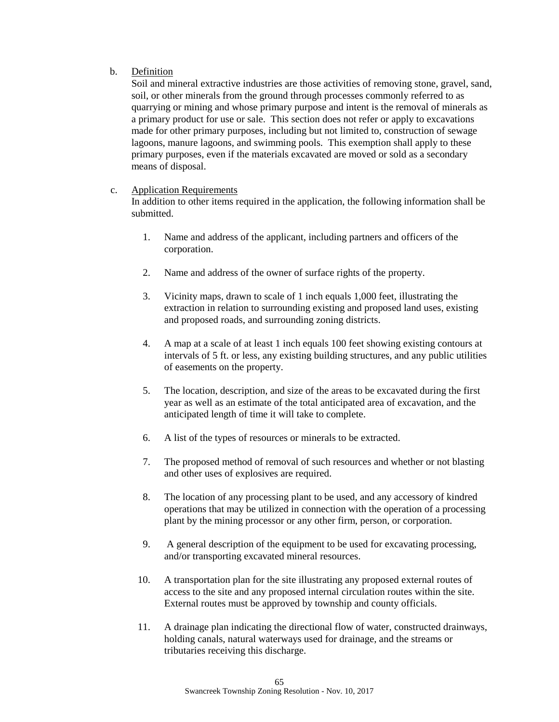## b. Definition

Soil and mineral extractive industries are those activities of removing stone, gravel, sand, soil, or other minerals from the ground through processes commonly referred to as quarrying or mining and whose primary purpose and intent is the removal of minerals as a primary product for use or sale. This section does not refer or apply to excavations made for other primary purposes, including but not limited to, construction of sewage lagoons, manure lagoons, and swimming pools. This exemption shall apply to these primary purposes, even if the materials excavated are moved or sold as a secondary means of disposal.

## c. Application Requirements

In addition to other items required in the application, the following information shall be submitted.

- 1. Name and address of the applicant, including partners and officers of the corporation.
- 2. Name and address of the owner of surface rights of the property.
- 3. Vicinity maps, drawn to scale of 1 inch equals 1,000 feet, illustrating the extraction in relation to surrounding existing and proposed land uses, existing and proposed roads, and surrounding zoning districts.
- 4. A map at a scale of at least 1 inch equals 100 feet showing existing contours at intervals of 5 ft. or less, any existing building structures, and any public utilities of easements on the property.
- 5. The location, description, and size of the areas to be excavated during the first year as well as an estimate of the total anticipated area of excavation, and the anticipated length of time it will take to complete.
- 6. A list of the types of resources or minerals to be extracted.
- 7. The proposed method of removal of such resources and whether or not blasting and other uses of explosives are required.
- 8. The location of any processing plant to be used, and any accessory of kindred operations that may be utilized in connection with the operation of a processing plant by the mining processor or any other firm, person, or corporation.
- 9. A general description of the equipment to be used for excavating processing, and/or transporting excavated mineral resources.
- 10. A transportation plan for the site illustrating any proposed external routes of access to the site and any proposed internal circulation routes within the site. External routes must be approved by township and county officials.
- 11. A drainage plan indicating the directional flow of water, constructed drainways, holding canals, natural waterways used for drainage, and the streams or tributaries receiving this discharge.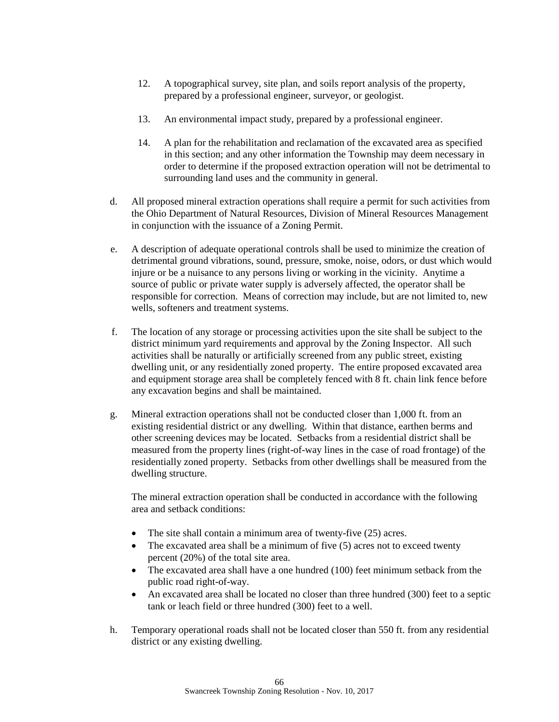- 12. A topographical survey, site plan, and soils report analysis of the property, prepared by a professional engineer, surveyor, or geologist.
- 13. An environmental impact study, prepared by a professional engineer.
- 14. A plan for the rehabilitation and reclamation of the excavated area as specified in this section; and any other information the Township may deem necessary in order to determine if the proposed extraction operation will not be detrimental to surrounding land uses and the community in general.
- d. All proposed mineral extraction operations shall require a permit for such activities from the Ohio Department of Natural Resources, Division of Mineral Resources Management in conjunction with the issuance of a Zoning Permit.
- e. A description of adequate operational controls shall be used to minimize the creation of detrimental ground vibrations, sound, pressure, smoke, noise, odors, or dust which would injure or be a nuisance to any persons living or working in the vicinity. Anytime a source of public or private water supply is adversely affected, the operator shall be responsible for correction. Means of correction may include, but are not limited to, new wells, softeners and treatment systems.
- f. The location of any storage or processing activities upon the site shall be subject to the district minimum yard requirements and approval by the Zoning Inspector. All such activities shall be naturally or artificially screened from any public street, existing dwelling unit, or any residentially zoned property. The entire proposed excavated area and equipment storage area shall be completely fenced with 8 ft. chain link fence before any excavation begins and shall be maintained.
- g. Mineral extraction operations shall not be conducted closer than 1,000 ft. from an existing residential district or any dwelling. Within that distance, earthen berms and other screening devices may be located. Setbacks from a residential district shall be measured from the property lines (right-of-way lines in the case of road frontage) of the residentially zoned property. Setbacks from other dwellings shall be measured from the dwelling structure.

The mineral extraction operation shall be conducted in accordance with the following area and setback conditions:

- The site shall contain a minimum area of twenty-five (25) acres.
- The excavated area shall be a minimum of five (5) acres not to exceed twenty percent (20%) of the total site area.
- The excavated area shall have a one hundred (100) feet minimum setback from the public road right-of-way.
- An excavated area shall be located no closer than three hundred (300) feet to a septic tank or leach field or three hundred (300) feet to a well.
- h. Temporary operational roads shall not be located closer than 550 ft. from any residential district or any existing dwelling.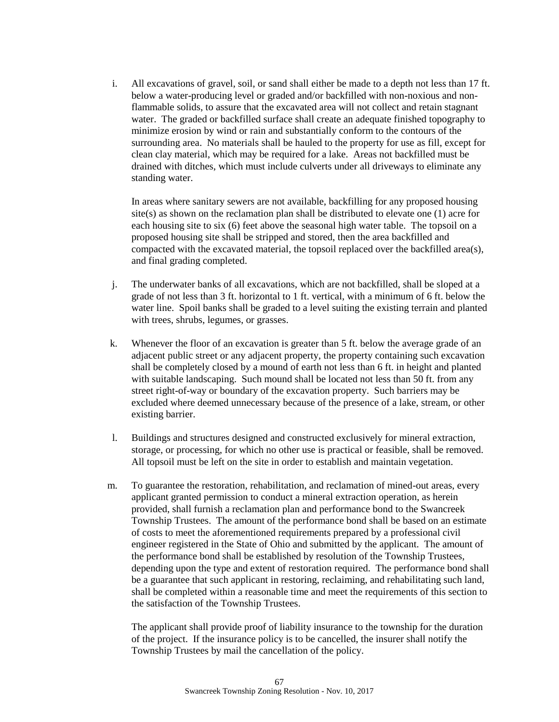i. All excavations of gravel, soil, or sand shall either be made to a depth not less than 17 ft. below a water-producing level or graded and/or backfilled with non-noxious and nonflammable solids, to assure that the excavated area will not collect and retain stagnant water. The graded or backfilled surface shall create an adequate finished topography to minimize erosion by wind or rain and substantially conform to the contours of the surrounding area. No materials shall be hauled to the property for use as fill, except for clean clay material, which may be required for a lake. Areas not backfilled must be drained with ditches, which must include culverts under all driveways to eliminate any standing water.

In areas where sanitary sewers are not available, backfilling for any proposed housing site(s) as shown on the reclamation plan shall be distributed to elevate one (1) acre for each housing site to six (6) feet above the seasonal high water table. The topsoil on a proposed housing site shall be stripped and stored, then the area backfilled and compacted with the excavated material, the topsoil replaced over the backfilled area(s), and final grading completed.

- j. The underwater banks of all excavations, which are not backfilled, shall be sloped at a grade of not less than 3 ft. horizontal to 1 ft. vertical, with a minimum of 6 ft. below the water line. Spoil banks shall be graded to a level suiting the existing terrain and planted with trees, shrubs, legumes, or grasses.
- k. Whenever the floor of an excavation is greater than 5 ft. below the average grade of an adjacent public street or any adjacent property, the property containing such excavation shall be completely closed by a mound of earth not less than 6 ft. in height and planted with suitable landscaping. Such mound shall be located not less than 50 ft. from any street right-of-way or boundary of the excavation property. Such barriers may be excluded where deemed unnecessary because of the presence of a lake, stream, or other existing barrier.
- l. Buildings and structures designed and constructed exclusively for mineral extraction, storage, or processing, for which no other use is practical or feasible, shall be removed. All topsoil must be left on the site in order to establish and maintain vegetation.
- m. To guarantee the restoration, rehabilitation, and reclamation of mined-out areas, every applicant granted permission to conduct a mineral extraction operation, as herein provided, shall furnish a reclamation plan and performance bond to the Swancreek Township Trustees. The amount of the performance bond shall be based on an estimate of costs to meet the aforementioned requirements prepared by a professional civil engineer registered in the State of Ohio and submitted by the applicant. The amount of the performance bond shall be established by resolution of the Township Trustees, depending upon the type and extent of restoration required. The performance bond shall be a guarantee that such applicant in restoring, reclaiming, and rehabilitating such land, shall be completed within a reasonable time and meet the requirements of this section to the satisfaction of the Township Trustees.

The applicant shall provide proof of liability insurance to the township for the duration of the project. If the insurance policy is to be cancelled, the insurer shall notify the Township Trustees by mail the cancellation of the policy.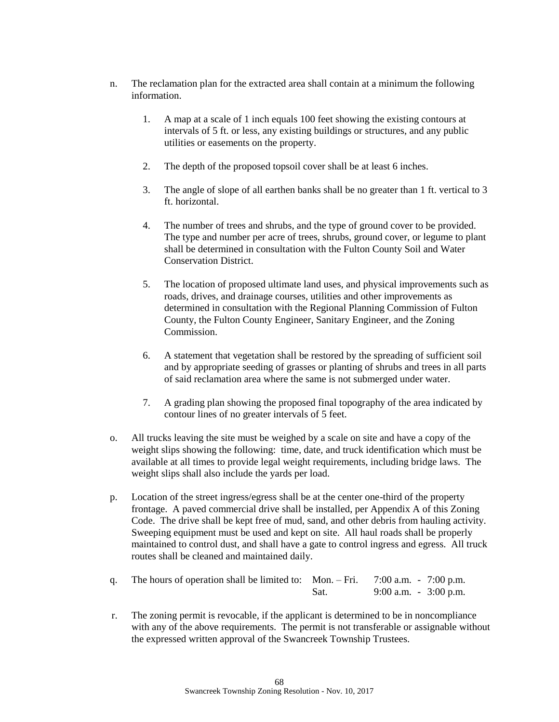- n. The reclamation plan for the extracted area shall contain at a minimum the following information.
	- 1. A map at a scale of 1 inch equals 100 feet showing the existing contours at intervals of 5 ft. or less, any existing buildings or structures, and any public utilities or easements on the property.
	- 2. The depth of the proposed topsoil cover shall be at least 6 inches.
	- 3. The angle of slope of all earthen banks shall be no greater than 1 ft. vertical to 3 ft. horizontal.
	- 4. The number of trees and shrubs, and the type of ground cover to be provided. The type and number per acre of trees, shrubs, ground cover, or legume to plant shall be determined in consultation with the Fulton County Soil and Water Conservation District.
	- 5. The location of proposed ultimate land uses, and physical improvements such as roads, drives, and drainage courses, utilities and other improvements as determined in consultation with the Regional Planning Commission of Fulton County, the Fulton County Engineer, Sanitary Engineer, and the Zoning Commission.
	- 6. A statement that vegetation shall be restored by the spreading of sufficient soil and by appropriate seeding of grasses or planting of shrubs and trees in all parts of said reclamation area where the same is not submerged under water.
	- 7. A grading plan showing the proposed final topography of the area indicated by contour lines of no greater intervals of 5 feet.
- o. All trucks leaving the site must be weighed by a scale on site and have a copy of the weight slips showing the following: time, date, and truck identification which must be available at all times to provide legal weight requirements, including bridge laws. The weight slips shall also include the yards per load.
- p. Location of the street ingress/egress shall be at the center one-third of the property frontage. A paved commercial drive shall be installed, per Appendix A of this Zoning Code. The drive shall be kept free of mud, sand, and other debris from hauling activity. Sweeping equipment must be used and kept on site. All haul roads shall be properly maintained to control dust, and shall have a gate to control ingress and egress. All truck routes shall be cleaned and maintained daily.
- q. The hours of operation shall be limited to: Mon. Fri.  $7:00$  a.m.  $7:00$  p.m. Sat. 9:00 a.m. - 3:00 p.m.
- r. The zoning permit is revocable, if the applicant is determined to be in noncompliance with any of the above requirements. The permit is not transferable or assignable without the expressed written approval of the Swancreek Township Trustees.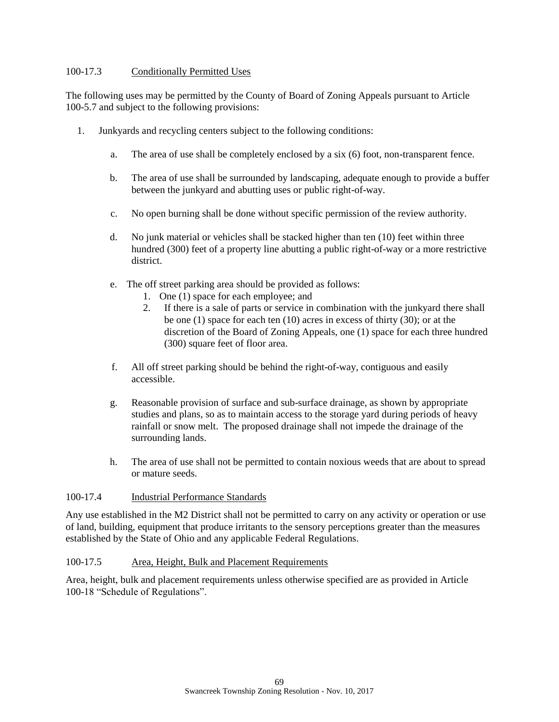## 100-17.3 Conditionally Permitted Uses

The following uses may be permitted by the County of Board of Zoning Appeals pursuant to Article 100-5.7 and subject to the following provisions:

- 1. Junkyards and recycling centers subject to the following conditions:
	- a. The area of use shall be completely enclosed by a six (6) foot, non-transparent fence.
	- b. The area of use shall be surrounded by landscaping, adequate enough to provide a buffer between the junkyard and abutting uses or public right-of-way.
	- c. No open burning shall be done without specific permission of the review authority.
	- d. No junk material or vehicles shall be stacked higher than ten (10) feet within three hundred (300) feet of a property line abutting a public right-of-way or a more restrictive district.
	- e. The off street parking area should be provided as follows:
		- 1. One (1) space for each employee; and
		- 2. If there is a sale of parts or service in combination with the junkyard there shall be one (1) space for each ten (10) acres in excess of thirty (30); or at the discretion of the Board of Zoning Appeals, one (1) space for each three hundred (300) square feet of floor area.
	- f. All off street parking should be behind the right-of-way, contiguous and easily accessible.
	- g. Reasonable provision of surface and sub-surface drainage, as shown by appropriate studies and plans, so as to maintain access to the storage yard during periods of heavy rainfall or snow melt. The proposed drainage shall not impede the drainage of the surrounding lands.
	- h. The area of use shall not be permitted to contain noxious weeds that are about to spread or mature seeds.

## 100-17.4 Industrial Performance Standards

Any use established in the M2 District shall not be permitted to carry on any activity or operation or use of land, building, equipment that produce irritants to the sensory perceptions greater than the measures established by the State of Ohio and any applicable Federal Regulations.

## 100-17.5 Area, Height, Bulk and Placement Requirements

Area, height, bulk and placement requirements unless otherwise specified are as provided in Article 100-18 "Schedule of Regulations".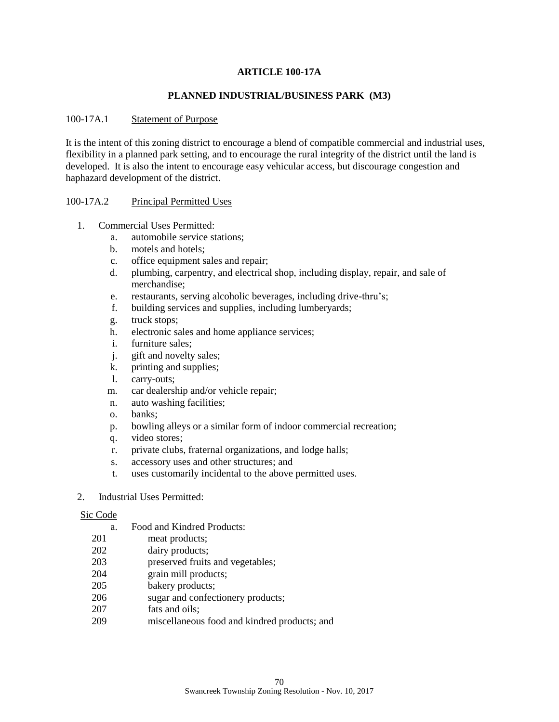### **ARTICLE 100-17A**

### **PLANNED INDUSTRIAL/BUSINESS PARK (M3)**

#### 100-17A.1 Statement of Purpose

It is the intent of this zoning district to encourage a blend of compatible commercial and industrial uses, flexibility in a planned park setting, and to encourage the rural integrity of the district until the land is developed. It is also the intent to encourage easy vehicular access, but discourage congestion and haphazard development of the district.

#### 100-17A.2 Principal Permitted Uses

- 1. Commercial Uses Permitted:
	- a. automobile service stations;
	- b. motels and hotels;
	- c. office equipment sales and repair;
	- d. plumbing, carpentry, and electrical shop, including display, repair, and sale of merchandise;
	- e. restaurants, serving alcoholic beverages, including drive-thru's;
	- f. building services and supplies, including lumberyards;
	- g. truck stops;
	- h. electronic sales and home appliance services;
	- i. furniture sales;
	- j. gift and novelty sales;
	- k. printing and supplies;
	- l. carry-outs;
	- m. car dealership and/or vehicle repair;
	- n. auto washing facilities;
	- o. banks;
	- p. bowling alleys or a similar form of indoor commercial recreation;
	- q. video stores;
	- r. private clubs, fraternal organizations, and lodge halls;
	- s. accessory uses and other structures; and
	- t. uses customarily incidental to the above permitted uses.
- 2. Industrial Uses Permitted:

#### Sic Code

- a. Food and Kindred Products:
- 201 meat products;
- 202 dairy products;
- 203 preserved fruits and vegetables;
- 204 grain mill products;
- 205 bakery products;
- 206 sugar and confectionery products;
- 207 fats and oils;
- 209 miscellaneous food and kindred products; and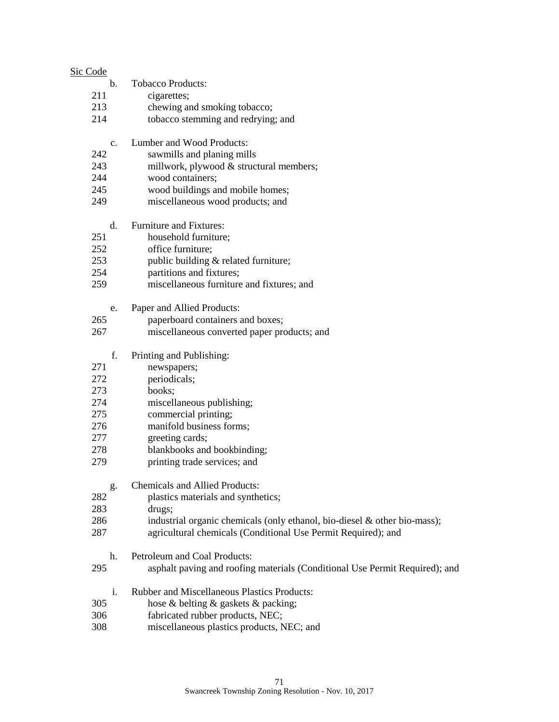| Sic Code       |                                                                             |
|----------------|-----------------------------------------------------------------------------|
| $\mathbf{b}$ . | <b>Tobacco Products:</b>                                                    |
| 211            | cigarettes;                                                                 |
| 213            | chewing and smoking tobacco;                                                |
| 214            | tobacco stemming and redrying; and                                          |
| C <sub>1</sub> | Lumber and Wood Products:                                                   |
| 242            | sawmills and planing mills                                                  |
| 243            | millwork, plywood & structural members;                                     |
| 244            | wood containers;                                                            |
| 245            | wood buildings and mobile homes;                                            |
| 249            | miscellaneous wood products; and                                            |
| d.             | <b>Furniture and Fixtures:</b>                                              |
| 251            | household furniture;                                                        |
| 252            | office furniture;                                                           |
| 253            | public building & related furniture;                                        |
| 254            | partitions and fixtures;                                                    |
| 259            | miscellaneous furniture and fixtures; and                                   |
| e.             | Paper and Allied Products:                                                  |
| 265            | paperboard containers and boxes;                                            |
| 267            | miscellaneous converted paper products; and                                 |
| f.             | Printing and Publishing:                                                    |
| 271            | newspapers;                                                                 |
| 272            | periodicals;                                                                |
| 273            | books;                                                                      |
| 274            | miscellaneous publishing;                                                   |
| 275            | commercial printing;                                                        |
| 276            | manifold business forms;                                                    |
| 277            | greeting cards;                                                             |
| 278            | blankbooks and bookbinding;                                                 |
| 279            | printing trade services; and                                                |
| g.             | <b>Chemicals and Allied Products:</b>                                       |
| 282            | plastics materials and synthetics;                                          |
| 283            | drugs;                                                                      |
| 286            | industrial organic chemicals (only ethanol, bio-diesel & other bio-mass);   |
| 287            | agricultural chemicals (Conditional Use Permit Required); and               |
| h.             | Petroleum and Coal Products:                                                |
| 295            | asphalt paving and roofing materials (Conditional Use Permit Required); and |
| i.             | <b>Rubber and Miscellaneous Plastics Products:</b>                          |
| 305            | hose & belting & gaskets & packing;                                         |
| 306            | fabricated rubber products, NEC;                                            |
| 308            | miscellaneous plastics products, NEC; and                                   |
|                |                                                                             |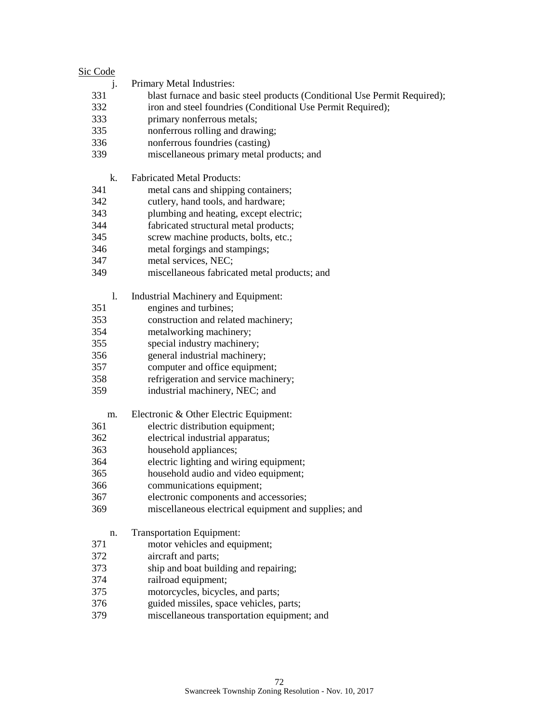| Sic Code |                                                                           |
|----------|---------------------------------------------------------------------------|
| j.       | Primary Metal Industries:                                                 |
| 331      | blast furnace and basic steel products (Conditional Use Permit Required); |
| 332      | iron and steel foundries (Conditional Use Permit Required);               |
| 333      | primary nonferrous metals;                                                |
| 335      | nonferrous rolling and drawing;                                           |
| 336      | nonferrous foundries (casting)                                            |
| 339      | miscellaneous primary metal products; and                                 |
| k.       | <b>Fabricated Metal Products:</b>                                         |
| 341      | metal cans and shipping containers;                                       |
| 342      | cutlery, hand tools, and hardware;                                        |
| 343      | plumbing and heating, except electric;                                    |
| 344      | fabricated structural metal products;                                     |
| 345      | screw machine products, bolts, etc.;                                      |
| 346      | metal forgings and stampings;                                             |
| 347      | metal services, NEC;                                                      |
| 349      | miscellaneous fabricated metal products; and                              |
| 1.       | Industrial Machinery and Equipment:                                       |
| 351      | engines and turbines;                                                     |
| 353      | construction and related machinery;                                       |
| 354      | metalworking machinery;                                                   |
| 355      | special industry machinery;                                               |
| 356      | general industrial machinery;                                             |
| 357      | computer and office equipment;                                            |
| 358      | refrigeration and service machinery;                                      |
| 359      | industrial machinery, NEC; and                                            |
| m.       | Electronic & Other Electric Equipment:                                    |
| 361      | electric distribution equipment;                                          |
| 362      | electrical industrial apparatus;                                          |
| 363      | household appliances;                                                     |
| 364      | electric lighting and wiring equipment;                                   |
| 365      | household audio and video equipment;                                      |
| 366      | communications equipment;                                                 |
| 367      | electronic components and accessories;                                    |
| 369      | miscellaneous electrical equipment and supplies; and                      |
| n.       | <b>Transportation Equipment:</b>                                          |
| 371      | motor vehicles and equipment;                                             |
| 372      | aircraft and parts;                                                       |
| 373      | ship and boat building and repairing;                                     |

- railroad equipment;
- 375 motorcycles, bicycles, and parts;<br>376 guided missiles, space vehicles, p
- guided missiles, space vehicles, parts;
- miscellaneous transportation equipment; and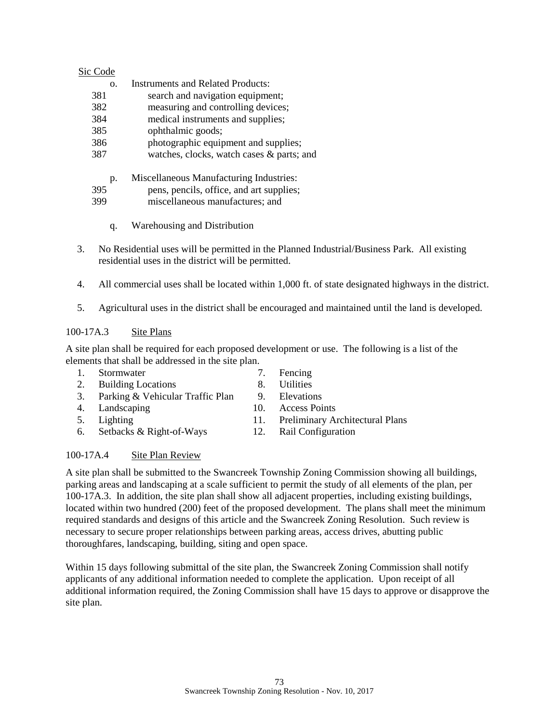| Sic Code |                                           |
|----------|-------------------------------------------|
| Ω.       | Instruments and Related Products:         |
| 381      | search and navigation equipment;          |
| 382      | measuring and controlling devices;        |
| 384      | medical instruments and supplies;         |
| 385      | ophthalmic goods;                         |
| 386      | photographic equipment and supplies;      |
| 387      | watches, clocks, watch cases & parts; and |
| p.       | Miscellaneous Manufacturing Industries:   |
| 395      | pens, pencils, office, and art supplies;  |
| 399      | miscellaneous manufactures; and           |

- q. Warehousing and Distribution
- 3. No Residential uses will be permitted in the Planned Industrial/Business Park. All existing residential uses in the district will be permitted.
- 4. All commercial uses shall be located within 1,000 ft. of state designated highways in the district.
- 5. Agricultural uses in the district shall be encouraged and maintained until the land is developed.

## 100-17A.3 Site Plans

A site plan shall be required for each proposed development or use. The following is a list of the elements that shall be addressed in the site plan.

- 1. Stormwater 7. Fencing
- 2. Building Locations 8. Utilities
- 3. Parking & Vehicular Traffic Plan 9. Elevations
- 4. Landscaping 10. Access Points
- 
- 6. Setbacks & Right-of-Ways 12. Rail Configuration
- 
- 
- 
- 5. Lighting 11. Preliminary Architectural Plans
	-

## 100-17A.4 Site Plan Review

A site plan shall be submitted to the Swancreek Township Zoning Commission showing all buildings, parking areas and landscaping at a scale sufficient to permit the study of all elements of the plan, per 100-17A.3. In addition, the site plan shall show all adjacent properties, including existing buildings, located within two hundred (200) feet of the proposed development. The plans shall meet the minimum required standards and designs of this article and the Swancreek Zoning Resolution. Such review is necessary to secure proper relationships between parking areas, access drives, abutting public thoroughfares, landscaping, building, siting and open space.

Within 15 days following submittal of the site plan, the Swancreek Zoning Commission shall notify applicants of any additional information needed to complete the application. Upon receipt of all additional information required, the Zoning Commission shall have 15 days to approve or disapprove the site plan.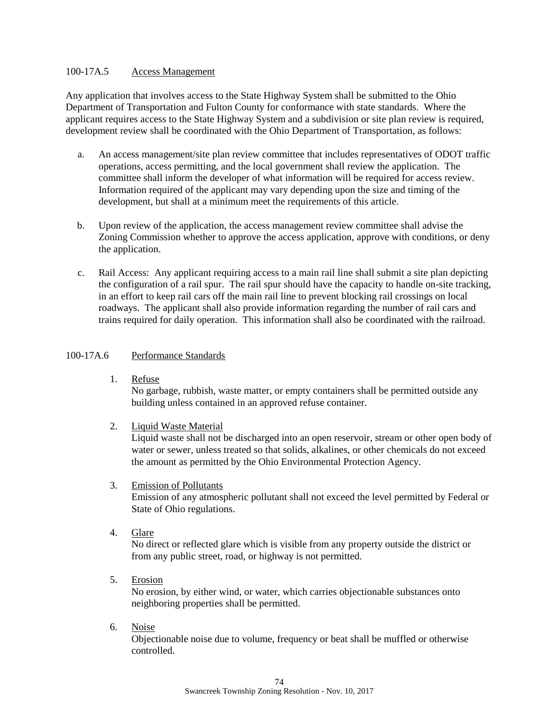### 100-17A.5 Access Management

Any application that involves access to the State Highway System shall be submitted to the Ohio Department of Transportation and Fulton County for conformance with state standards. Where the applicant requires access to the State Highway System and a subdivision or site plan review is required, development review shall be coordinated with the Ohio Department of Transportation, as follows:

- a. An access management/site plan review committee that includes representatives of ODOT traffic operations, access permitting, and the local government shall review the application. The committee shall inform the developer of what information will be required for access review. Information required of the applicant may vary depending upon the size and timing of the development, but shall at a minimum meet the requirements of this article.
- b. Upon review of the application, the access management review committee shall advise the Zoning Commission whether to approve the access application, approve with conditions, or deny the application.
- c. Rail Access: Any applicant requiring access to a main rail line shall submit a site plan depicting the configuration of a rail spur. The rail spur should have the capacity to handle on-site tracking, in an effort to keep rail cars off the main rail line to prevent blocking rail crossings on local roadways. The applicant shall also provide information regarding the number of rail cars and trains required for daily operation. This information shall also be coordinated with the railroad.

#### 100-17A.6 Performance Standards

1. Refuse

No garbage, rubbish, waste matter, or empty containers shall be permitted outside any building unless contained in an approved refuse container.

2. Liquid Waste Material

Liquid waste shall not be discharged into an open reservoir, stream or other open body of water or sewer, unless treated so that solids, alkalines, or other chemicals do not exceed the amount as permitted by the Ohio Environmental Protection Agency.

- 3. Emission of Pollutants Emission of any atmospheric pollutant shall not exceed the level permitted by Federal or State of Ohio regulations.
- 4. Glare

No direct or reflected glare which is visible from any property outside the district or from any public street, road, or highway is not permitted.

5. Erosion

No erosion, by either wind, or water, which carries objectionable substances onto neighboring properties shall be permitted.

6. Noise

Objectionable noise due to volume, frequency or beat shall be muffled or otherwise controlled.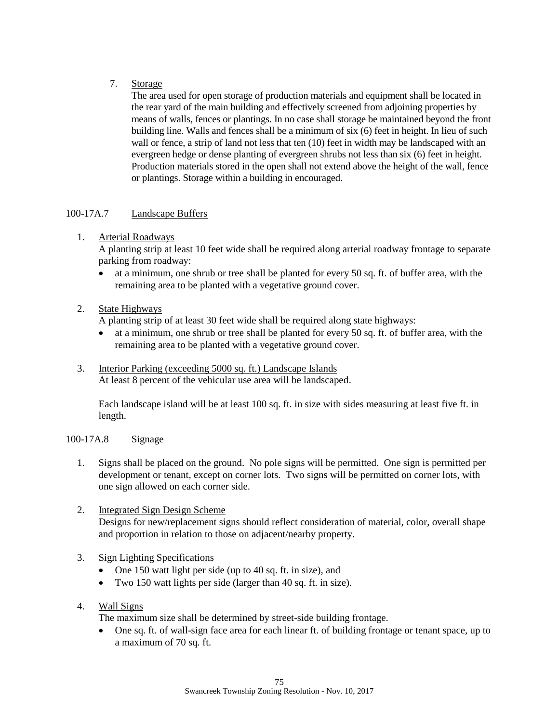# 7. Storage

The area used for open storage of production materials and equipment shall be located in the rear yard of the main building and effectively screened from adjoining properties by means of walls, fences or plantings. In no case shall storage be maintained beyond the front building line. Walls and fences shall be a minimum of six (6) feet in height. In lieu of such wall or fence, a strip of land not less that ten (10) feet in width may be landscaped with an evergreen hedge or dense planting of evergreen shrubs not less than six (6) feet in height. Production materials stored in the open shall not extend above the height of the wall, fence or plantings. Storage within a building in encouraged.

# 100-17A.7 Landscape Buffers

# 1. Arterial Roadways

A planting strip at least 10 feet wide shall be required along arterial roadway frontage to separate parking from roadway:

• at a minimum, one shrub or tree shall be planted for every 50 sq. ft. of buffer area, with the remaining area to be planted with a vegetative ground cover.

# 2. State Highways

A planting strip of at least 30 feet wide shall be required along state highways:

- at a minimum, one shrub or tree shall be planted for every 50 sq. ft. of buffer area, with the remaining area to be planted with a vegetative ground cover.
- 3. Interior Parking (exceeding 5000 sq. ft.) Landscape Islands At least 8 percent of the vehicular use area will be landscaped.

Each landscape island will be at least 100 sq. ft. in size with sides measuring at least five ft. in length.

## 100-17A.8 Signage

- 1. Signs shall be placed on the ground. No pole signs will be permitted. One sign is permitted per development or tenant, except on corner lots. Two signs will be permitted on corner lots, with one sign allowed on each corner side.
- 2. Integrated Sign Design Scheme Designs for new/replacement signs should reflect consideration of material, color, overall shape and proportion in relation to those on adjacent/nearby property.

## 3. Sign Lighting Specifications

- One 150 watt light per side (up to 40 sq. ft. in size), and
- Two 150 watt lights per side (larger than 40 sq. ft. in size).
- 4. Wall Signs

The maximum size shall be determined by street-side building frontage.

• One sq. ft. of wall-sign face area for each linear ft. of building frontage or tenant space, up to a maximum of 70 sq. ft.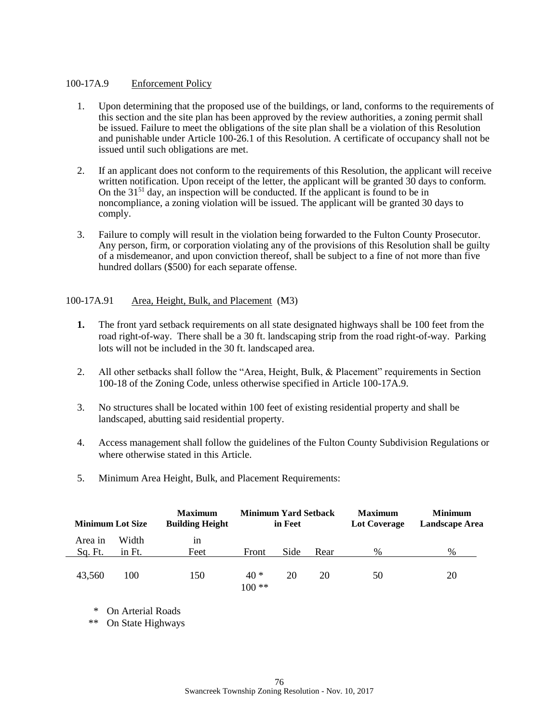## 100-17A.9 Enforcement Policy

- 1. Upon determining that the proposed use of the buildings, or land, conforms to the requirements of this section and the site plan has been approved by the review authorities, a zoning permit shall be issued. Failure to meet the obligations of the site plan shall be a violation of this Resolution and punishable under Article 100-26.1 of this Resolution. A certificate of occupancy shall not be issued until such obligations are met.
- 2. If an applicant does not conform to the requirements of this Resolution, the applicant will receive written notification. Upon receipt of the letter, the applicant will be granted 30 days to conform. On the  $31<sup>51</sup>$  day, an inspection will be conducted. If the applicant is found to be in noncompliance, a zoning violation will be issued. The applicant will be granted 30 days to comply.
- 3. Failure to comply will result in the violation being forwarded to the Fulton County Prosecutor. Any person, firm, or corporation violating any of the provisions of this Resolution shall be guilty of a misdemeanor, and upon conviction thereof, shall be subject to a fine of not more than five hundred dollars (\$500) for each separate offense.

#### 100-17A.91 Area, Height, Bulk, and Placement (M3)

- **1.** The front yard setback requirements on all state designated highways shall be 100 feet from the road right-of-way. There shall be a 30 ft. landscaping strip from the road right-of-way. Parking lots will not be included in the 30 ft. landscaped area.
- 2. All other setbacks shall follow the "Area, Height, Bulk, & Placement" requirements in Section 100-18 of the Zoning Code, unless otherwise specified in Article 100-17A.9.
- 3. No structures shall be located within 100 feet of existing residential property and shall be landscaped, abutting said residential property.
- 4. Access management shall follow the guidelines of the Fulton County Subdivision Regulations or where otherwise stated in this Article.
- 5. Minimum Area Height, Bulk, and Placement Requirements:

| <b>Minimum Lot Size</b> |        | <b>Maximum</b><br><b>Building Height</b> | <b>Minimum Yard Setback</b><br>in Feet |      |      | <b>Maximum</b><br>Lot Coverage | <b>Minimum</b><br>Landscape Area |  |
|-------------------------|--------|------------------------------------------|----------------------------------------|------|------|--------------------------------|----------------------------------|--|
| Area in                 | Width  | 1n                                       |                                        |      |      |                                |                                  |  |
| Sq. Ft.                 | in Ft. | Feet                                     | Front                                  | Side | Rear | %                              | $\%$                             |  |
| 43,560                  | 100    | 150                                      | $40*$<br>$100**$                       | 20   | 20   | 50                             | 20                               |  |

\* On Arterial Roads

\*\* On State Highways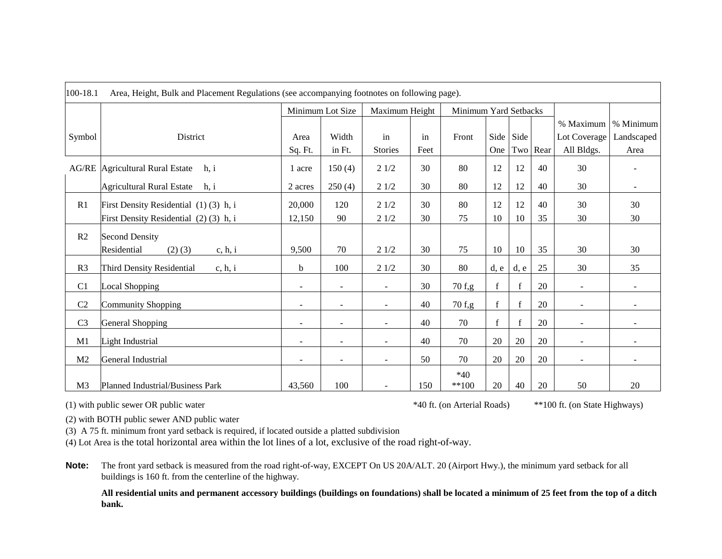| 100-18.1<br>Area, Height, Bulk and Placement Regulations (see accompanying footnotes on following page). |                                          |                          |                          |                          |      |                       |             |             |          |                          |                          |
|----------------------------------------------------------------------------------------------------------|------------------------------------------|--------------------------|--------------------------|--------------------------|------|-----------------------|-------------|-------------|----------|--------------------------|--------------------------|
|                                                                                                          |                                          | Minimum Lot Size         |                          | Maximum Height           |      | Minimum Yard Setbacks |             |             |          |                          |                          |
|                                                                                                          |                                          |                          |                          |                          |      |                       |             |             |          | % Maximum                | % Minimum                |
| Symbol                                                                                                   | District                                 | Area                     | Width                    | in                       | in   | Front                 |             | Side Side   |          | Lot Coverage             | Landscaped               |
|                                                                                                          |                                          | Sq. Ft.                  | in Ft.                   | <b>Stories</b>           | Feet |                       | One         |             | Two Rear | All Bldgs.               | Area                     |
| AG/RE                                                                                                    | Agricultural Rural Estate<br>h, i        | 1 acre                   | 150(4)                   | 21/2                     | 30   | 80                    | 12          | 12          | 40       | 30                       |                          |
|                                                                                                          | <b>Agricultural Rural Estate</b><br>h, i | 2 acres                  | 250(4)                   | 21/2                     | 30   | 80                    | 12          | 12          | 40       | 30                       | $\overline{\phantom{a}}$ |
| R1                                                                                                       | First Density Residential (1)(3) h, i    | 20,000                   | 120                      | 21/2                     | 30   | 80                    | 12          | 12          | 40       | 30                       | 30                       |
|                                                                                                          | First Density Residential (2)(3) h, i    | 12,150                   | 90                       | 21/2                     | 30   | 75                    | 10          | 10          | 35       | 30                       | 30                       |
| R2                                                                                                       | <b>Second Density</b>                    |                          |                          |                          |      |                       |             |             |          |                          |                          |
|                                                                                                          | Residential<br>$(2)$ $(3)$<br>c, h, i    | 9,500                    | 70                       | 21/2                     | 30   | 75                    | 10          | 10          | 35       | 30                       | 30                       |
| R <sub>3</sub>                                                                                           | Third Density Residential<br>c, h, i     | b                        | 100                      | 21/2                     | 30   | 80                    | d, e        | d, e        | 25       | 30                       | 35                       |
| C1                                                                                                       | Local Shopping                           | $\overline{\phantom{a}}$ | $\overline{\phantom{a}}$ | $\overline{\phantom{a}}$ | 30   | 70 f,g                | $\mathbf f$ | f           | 20       | $\overline{\phantom{a}}$ | $\blacksquare$           |
| C2                                                                                                       | <b>Community Shopping</b>                | $\blacksquare$           | $\overline{\phantom{a}}$ | $\sim$                   | 40   | 70 f,g                | $\mathbf f$ | $\mathbf f$ | 20       | $\overline{\phantom{a}}$ | $\blacksquare$           |
| C <sub>3</sub>                                                                                           | <b>General Shopping</b>                  | $\overline{\phantom{a}}$ | $\sim$                   | $\overline{\phantom{a}}$ | 40   | 70                    | $\mathbf f$ | $\mathbf f$ | 20       | $\overline{\phantom{a}}$ | ۰                        |
| M1                                                                                                       | Light Industrial                         | $\overline{\phantom{0}}$ | $\overline{\phantom{a}}$ | $\sim$                   | 40   | 70                    | 20          | 20          | 20       | $\overline{\phantom{a}}$ |                          |
| M2                                                                                                       | General Industrial                       | $\overline{\phantom{a}}$ | $\overline{\phantom{a}}$ | $\blacksquare$           | 50   | 70                    | 20          | 20          | 20       |                          | $\blacksquare$           |
| M <sub>3</sub>                                                                                           | Planned Industrial/Business Park         | 43,560                   | 100                      |                          | 150  | $*40$<br>$**100$      | 20          | 40          | 20       | 50                       | 20                       |

(1) with public sewer OR public water \*40 ft. (on Arterial Roads) \*\*100 ft. (on State Highways)

(2) with BOTH public sewer AND public water

(3) A 75 ft. minimum front yard setback is required, if located outside a platted subdivision

(4) Lot Area is the total horizontal area within the lot lines of a lot, exclusive of the road right-of-way.

**Note:** The front yard setback is measured from the road right-of-way, EXCEPT On US 20A/ALT. 20 (Airport Hwy.), the minimum yard setback for all buildings is 160 ft. from the centerline of the highway.

**All residential units and permanent accessory buildings (buildings on foundations) shall be located a minimum of 25 feet from the top of a ditch bank.**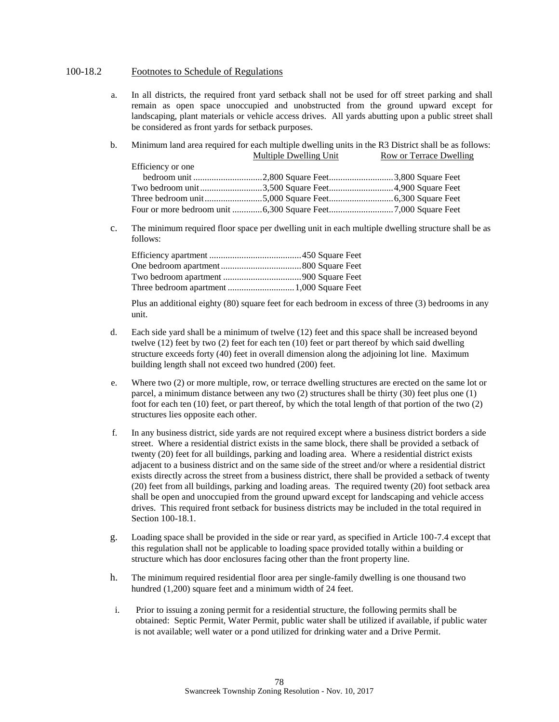#### 100-18.2 Footnotes to Schedule of Regulations

- a. In all districts, the required front yard setback shall not be used for off street parking and shall remain as open space unoccupied and unobstructed from the ground upward except for landscaping, plant materials or vehicle access drives. All yards abutting upon a public street shall be considered as front yards for setback purposes.
- b. Minimum land area required for each multiple dwelling units in the R3 District shall be as follows: Multiple Dwelling Unit Row or Terrace Dwelling Efficiency or one bedroom unit ..............................2,800 Square Feet............................3,800 Square Feet Two bedroom unit...........................3,500 Square Feet............................4,900 Square Feet Three bedroom unit.........................5,000 Square Feet............................6,300 Square Feet Four or more bedroom unit .............6,300 Square Feet............................7,000 Square Feet
- c. The minimum required floor space per dwelling unit in each multiple dwelling structure shall be as follows:

Plus an additional eighty (80) square feet for each bedroom in excess of three (3) bedrooms in any unit.

- d. Each side yard shall be a minimum of twelve (12) feet and this space shall be increased beyond twelve (12) feet by two (2) feet for each ten (10) feet or part thereof by which said dwelling structure exceeds forty (40) feet in overall dimension along the adjoining lot line. Maximum building length shall not exceed two hundred (200) feet.
- e. Where two (2) or more multiple, row, or terrace dwelling structures are erected on the same lot or parcel, a minimum distance between any two (2) structures shall be thirty (30) feet plus one (1) foot for each ten (10) feet, or part thereof, by which the total length of that portion of the two (2) structures lies opposite each other.
- f. In any business district, side yards are not required except where a business district borders a side street. Where a residential district exists in the same block, there shall be provided a setback of twenty (20) feet for all buildings, parking and loading area. Where a residential district exists adjacent to a business district and on the same side of the street and/or where a residential district exists directly across the street from a business district, there shall be provided a setback of twenty (20) feet from all buildings, parking and loading areas. The required twenty (20) foot setback area shall be open and unoccupied from the ground upward except for landscaping and vehicle access drives. This required front setback for business districts may be included in the total required in Section 100-18.1.
- g. Loading space shall be provided in the side or rear yard, as specified in Article 100-7.4 except that this regulation shall not be applicable to loading space provided totally within a building or structure which has door enclosures facing other than the front property line.
- h. The minimum required residential floor area per single-family dwelling is one thousand two hundred (1,200) square feet and a minimum width of 24 feet.
- i. Prior to issuing a zoning permit for a residential structure, the following permits shall be obtained: Septic Permit, Water Permit, public water shall be utilized if available, if public water is not available; well water or a pond utilized for drinking water and a Drive Permit.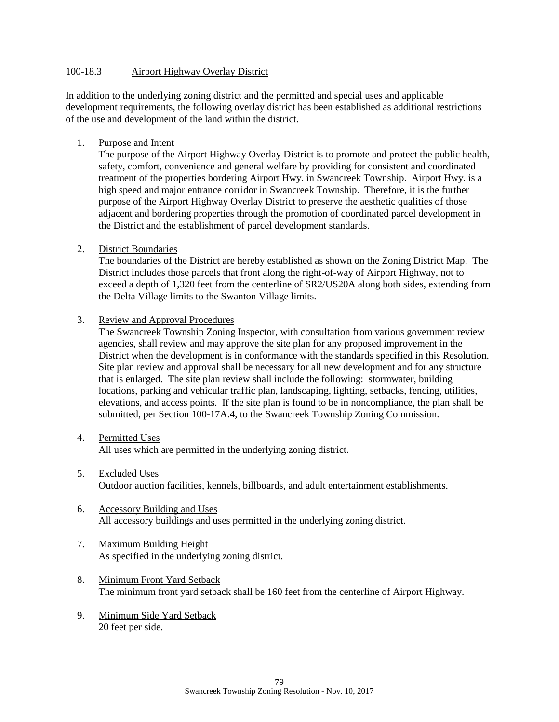### 100-18.3 Airport Highway Overlay District

In addition to the underlying zoning district and the permitted and special uses and applicable development requirements, the following overlay district has been established as additional restrictions of the use and development of the land within the district.

1. Purpose and Intent

The purpose of the Airport Highway Overlay District is to promote and protect the public health, safety, comfort, convenience and general welfare by providing for consistent and coordinated treatment of the properties bordering Airport Hwy. in Swancreek Township. Airport Hwy. is a high speed and major entrance corridor in Swancreek Township. Therefore, it is the further purpose of the Airport Highway Overlay District to preserve the aesthetic qualities of those adjacent and bordering properties through the promotion of coordinated parcel development in the District and the establishment of parcel development standards.

2. District Boundaries

The boundaries of the District are hereby established as shown on the Zoning District Map. The District includes those parcels that front along the right-of-way of Airport Highway, not to exceed a depth of 1,320 feet from the centerline of SR2/US20A along both sides, extending from the Delta Village limits to the Swanton Village limits.

3. Review and Approval Procedures

The Swancreek Township Zoning Inspector, with consultation from various government review agencies, shall review and may approve the site plan for any proposed improvement in the District when the development is in conformance with the standards specified in this Resolution. Site plan review and approval shall be necessary for all new development and for any structure that is enlarged. The site plan review shall include the following: stormwater, building locations, parking and vehicular traffic plan, landscaping, lighting, setbacks, fencing, utilities, elevations, and access points. If the site plan is found to be in noncompliance, the plan shall be submitted, per Section 100-17A.4, to the Swancreek Township Zoning Commission.

4. Permitted Uses

All uses which are permitted in the underlying zoning district.

- 5. Excluded Uses Outdoor auction facilities, kennels, billboards, and adult entertainment establishments.
- 6. Accessory Building and Uses All accessory buildings and uses permitted in the underlying zoning district.
- 7. Maximum Building Height As specified in the underlying zoning district.
- 8. Minimum Front Yard Setback The minimum front yard setback shall be 160 feet from the centerline of Airport Highway.
- 9. Minimum Side Yard Setback 20 feet per side.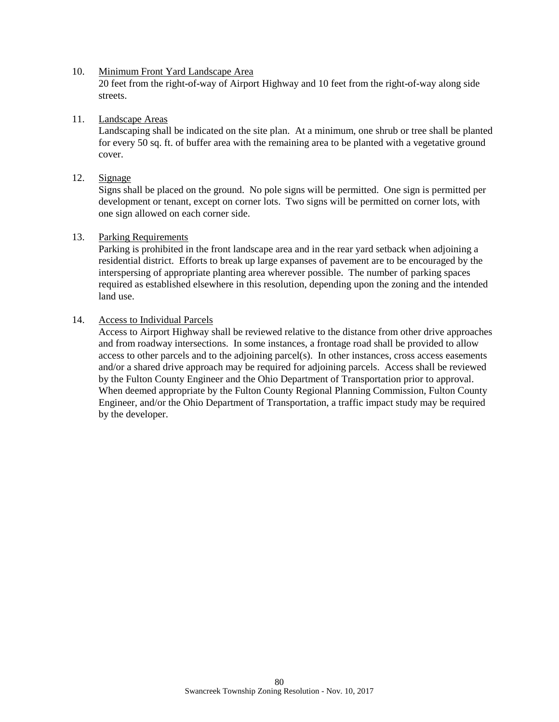#### 10. Minimum Front Yard Landscape Area

20 feet from the right-of-way of Airport Highway and 10 feet from the right-of-way along side streets.

#### 11. Landscape Areas

Landscaping shall be indicated on the site plan. At a minimum, one shrub or tree shall be planted for every 50 sq. ft. of buffer area with the remaining area to be planted with a vegetative ground cover.

## 12. Signage

Signs shall be placed on the ground. No pole signs will be permitted. One sign is permitted per development or tenant, except on corner lots. Two signs will be permitted on corner lots, with one sign allowed on each corner side.

#### 13. Parking Requirements

Parking is prohibited in the front landscape area and in the rear yard setback when adjoining a residential district. Efforts to break up large expanses of pavement are to be encouraged by the interspersing of appropriate planting area wherever possible. The number of parking spaces required as established elsewhere in this resolution, depending upon the zoning and the intended land use.

#### 14. Access to Individual Parcels

Access to Airport Highway shall be reviewed relative to the distance from other drive approaches and from roadway intersections. In some instances, a frontage road shall be provided to allow access to other parcels and to the adjoining parcel(s). In other instances, cross access easements and/or a shared drive approach may be required for adjoining parcels. Access shall be reviewed by the Fulton County Engineer and the Ohio Department of Transportation prior to approval. When deemed appropriate by the Fulton County Regional Planning Commission, Fulton County Engineer, and/or the Ohio Department of Transportation, a traffic impact study may be required by the developer.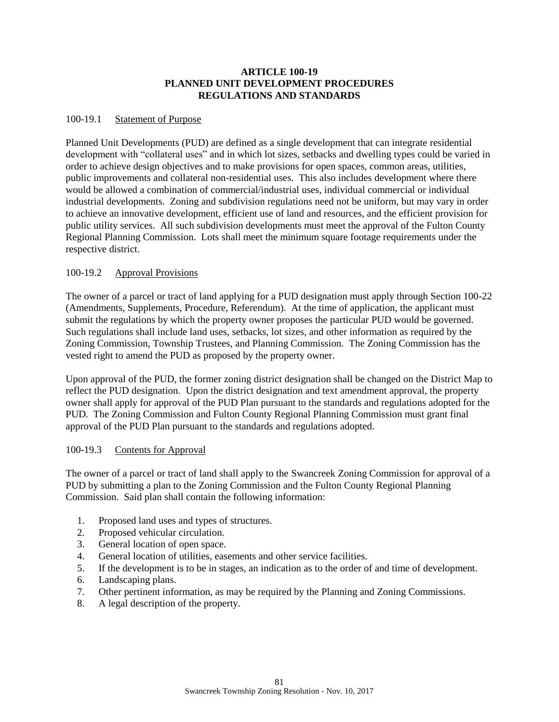## **ARTICLE 100-19 PLANNED UNIT DEVELOPMENT PROCEDURES REGULATIONS AND STANDARDS**

### 100-19.1 Statement of Purpose

Planned Unit Developments (PUD) are defined as a single development that can integrate residential development with "collateral uses" and in which lot sizes, setbacks and dwelling types could be varied in order to achieve design objectives and to make provisions for open spaces, common areas, utilities, public improvements and collateral non-residential uses. This also includes development where there would be allowed a combination of commercial/industrial uses, individual commercial or individual industrial developments. Zoning and subdivision regulations need not be uniform, but may vary in order to achieve an innovative development, efficient use of land and resources, and the efficient provision for public utility services. All such subdivision developments must meet the approval of the Fulton County Regional Planning Commission. Lots shall meet the minimum square footage requirements under the respective district.

## 100-19.2 Approval Provisions

The owner of a parcel or tract of land applying for a PUD designation must apply through Section 100-22 (Amendments, Supplements, Procedure, Referendum). At the time of application, the applicant must submit the regulations by which the property owner proposes the particular PUD would be governed. Such regulations shall include land uses, setbacks, lot sizes, and other information as required by the Zoning Commission, Township Trustees, and Planning Commission. The Zoning Commission has the vested right to amend the PUD as proposed by the property owner.

Upon approval of the PUD, the former zoning district designation shall be changed on the District Map to reflect the PUD designation. Upon the district designation and text amendment approval, the property owner shall apply for approval of the PUD Plan pursuant to the standards and regulations adopted for the PUD. The Zoning Commission and Fulton County Regional Planning Commission must grant final approval of the PUD Plan pursuant to the standards and regulations adopted.

## 100-19.3 Contents for Approval

The owner of a parcel or tract of land shall apply to the Swancreek Zoning Commission for approval of a PUD by submitting a plan to the Zoning Commission and the Fulton County Regional Planning Commission. Said plan shall contain the following information:

- 1. Proposed land uses and types of structures.
- 2. Proposed vehicular circulation.
- 3. General location of open space.
- 4. General location of utilities, easements and other service facilities.
- 5. If the development is to be in stages, an indication as to the order of and time of development.
- 6. Landscaping plans.
- 7. Other pertinent information, as may be required by the Planning and Zoning Commissions.
- 8. A legal description of the property.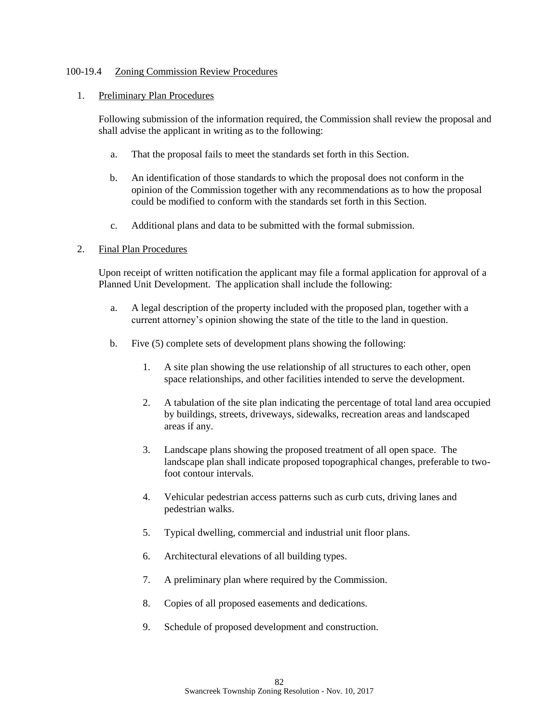### 100-19.4 Zoning Commission Review Procedures

#### 1. Preliminary Plan Procedures

Following submission of the information required, the Commission shall review the proposal and shall advise the applicant in writing as to the following:

- a. That the proposal fails to meet the standards set forth in this Section.
- b. An identification of those standards to which the proposal does not conform in the opinion of the Commission together with any recommendations as to how the proposal could be modified to conform with the standards set forth in this Section.
- c. Additional plans and data to be submitted with the formal submission.

#### 2. Final Plan Procedures

Upon receipt of written notification the applicant may file a formal application for approval of a Planned Unit Development. The application shall include the following:

- a. A legal description of the property included with the proposed plan, together with a current attorney's opinion showing the state of the title to the land in question.
- b. Five (5) complete sets of development plans showing the following:
	- 1. A site plan showing the use relationship of all structures to each other, open space relationships, and other facilities intended to serve the development.
	- 2. A tabulation of the site plan indicating the percentage of total land area occupied by buildings, streets, driveways, sidewalks, recreation areas and landscaped areas if any.
	- 3. Landscape plans showing the proposed treatment of all open space. The landscape plan shall indicate proposed topographical changes, preferable to twofoot contour intervals.
	- 4. Vehicular pedestrian access patterns such as curb cuts, driving lanes and pedestrian walks.
	- 5. Typical dwelling, commercial and industrial unit floor plans.
	- 6. Architectural elevations of all building types.
	- 7. A preliminary plan where required by the Commission.
	- 8. Copies of all proposed easements and dedications.
	- 9. Schedule of proposed development and construction.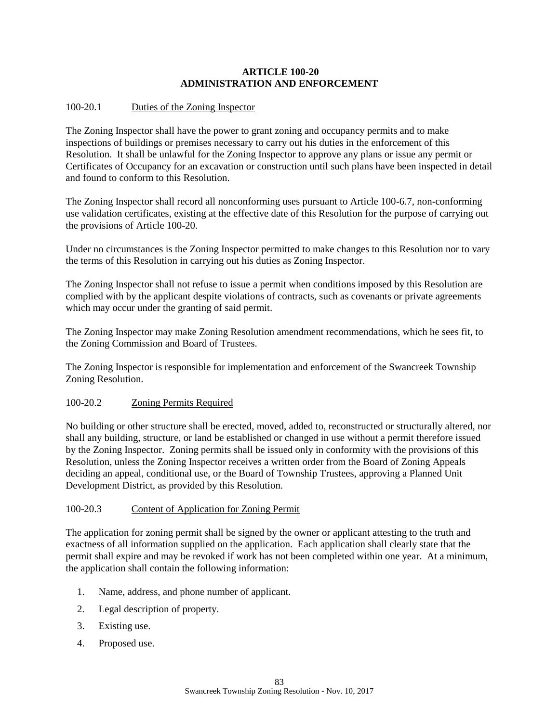## **ARTICLE 100-20 ADMINISTRATION AND ENFORCEMENT**

## 100-20.1 Duties of the Zoning Inspector

The Zoning Inspector shall have the power to grant zoning and occupancy permits and to make inspections of buildings or premises necessary to carry out his duties in the enforcement of this Resolution. It shall be unlawful for the Zoning Inspector to approve any plans or issue any permit or Certificates of Occupancy for an excavation or construction until such plans have been inspected in detail and found to conform to this Resolution.

The Zoning Inspector shall record all nonconforming uses pursuant to Article 100-6.7, non-conforming use validation certificates, existing at the effective date of this Resolution for the purpose of carrying out the provisions of Article 100-20.

Under no circumstances is the Zoning Inspector permitted to make changes to this Resolution nor to vary the terms of this Resolution in carrying out his duties as Zoning Inspector.

The Zoning Inspector shall not refuse to issue a permit when conditions imposed by this Resolution are complied with by the applicant despite violations of contracts, such as covenants or private agreements which may occur under the granting of said permit.

The Zoning Inspector may make Zoning Resolution amendment recommendations, which he sees fit, to the Zoning Commission and Board of Trustees.

The Zoning Inspector is responsible for implementation and enforcement of the Swancreek Township Zoning Resolution.

## 100-20.2 Zoning Permits Required

No building or other structure shall be erected, moved, added to, reconstructed or structurally altered, nor shall any building, structure, or land be established or changed in use without a permit therefore issued by the Zoning Inspector. Zoning permits shall be issued only in conformity with the provisions of this Resolution, unless the Zoning Inspector receives a written order from the Board of Zoning Appeals deciding an appeal, conditional use, or the Board of Township Trustees, approving a Planned Unit Development District, as provided by this Resolution.

## 100-20.3 Content of Application for Zoning Permit

The application for zoning permit shall be signed by the owner or applicant attesting to the truth and exactness of all information supplied on the application. Each application shall clearly state that the permit shall expire and may be revoked if work has not been completed within one year. At a minimum, the application shall contain the following information:

- 1. Name, address, and phone number of applicant.
- 2. Legal description of property.
- 3. Existing use.
- 4. Proposed use.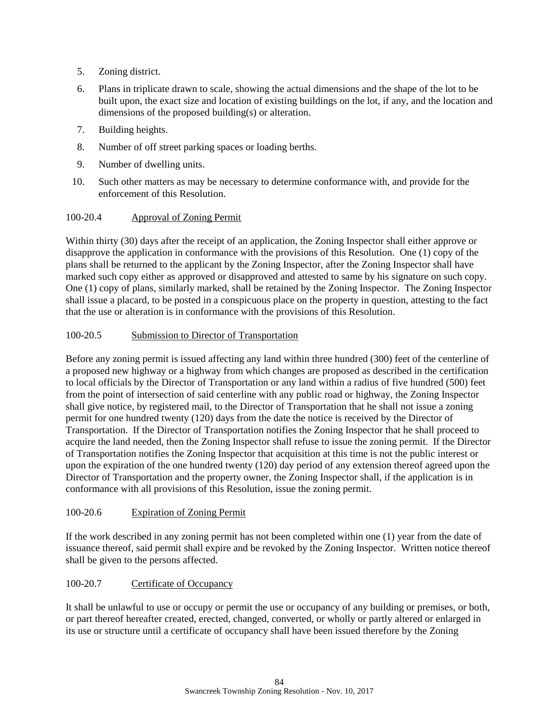- 5. Zoning district.
- 6. Plans in triplicate drawn to scale, showing the actual dimensions and the shape of the lot to be built upon, the exact size and location of existing buildings on the lot, if any, and the location and dimensions of the proposed building(s) or alteration.
- 7. Building heights.
- 8. Number of off street parking spaces or loading berths.
- 9. Number of dwelling units.
- 10. Such other matters as may be necessary to determine conformance with, and provide for the enforcement of this Resolution.

## 100-20.4 Approval of Zoning Permit

Within thirty (30) days after the receipt of an application, the Zoning Inspector shall either approve or disapprove the application in conformance with the provisions of this Resolution. One (1) copy of the plans shall be returned to the applicant by the Zoning Inspector, after the Zoning Inspector shall have marked such copy either as approved or disapproved and attested to same by his signature on such copy. One (1) copy of plans, similarly marked, shall be retained by the Zoning Inspector. The Zoning Inspector shall issue a placard, to be posted in a conspicuous place on the property in question, attesting to the fact that the use or alteration is in conformance with the provisions of this Resolution.

## 100-20.5 Submission to Director of Transportation

Before any zoning permit is issued affecting any land within three hundred (300) feet of the centerline of a proposed new highway or a highway from which changes are proposed as described in the certification to local officials by the Director of Transportation or any land within a radius of five hundred (500) feet from the point of intersection of said centerline with any public road or highway, the Zoning Inspector shall give notice, by registered mail, to the Director of Transportation that he shall not issue a zoning permit for one hundred twenty (120) days from the date the notice is received by the Director of Transportation. If the Director of Transportation notifies the Zoning Inspector that he shall proceed to acquire the land needed, then the Zoning Inspector shall refuse to issue the zoning permit. If the Director of Transportation notifies the Zoning Inspector that acquisition at this time is not the public interest or upon the expiration of the one hundred twenty (120) day period of any extension thereof agreed upon the Director of Transportation and the property owner, the Zoning Inspector shall, if the application is in conformance with all provisions of this Resolution, issue the zoning permit.

## 100-20.6 Expiration of Zoning Permit

If the work described in any zoning permit has not been completed within one (1) year from the date of issuance thereof, said permit shall expire and be revoked by the Zoning Inspector. Written notice thereof shall be given to the persons affected.

## 100-20.7 Certificate of Occupancy

It shall be unlawful to use or occupy or permit the use or occupancy of any building or premises, or both, or part thereof hereafter created, erected, changed, converted, or wholly or partly altered or enlarged in its use or structure until a certificate of occupancy shall have been issued therefore by the Zoning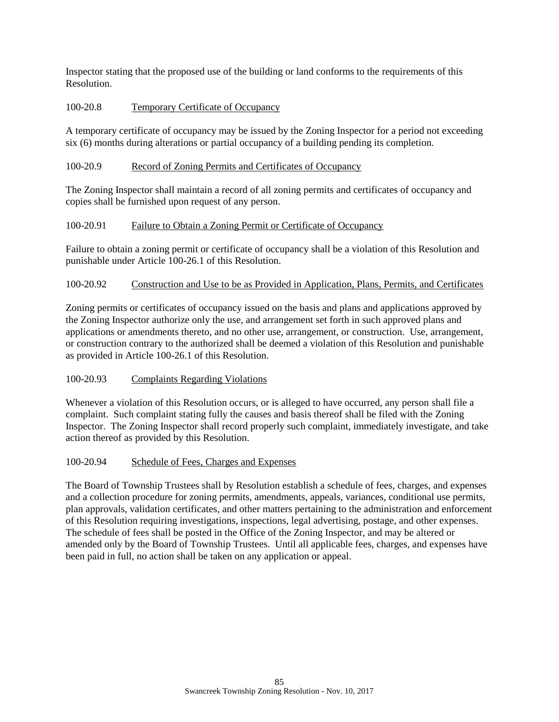Inspector stating that the proposed use of the building or land conforms to the requirements of this Resolution.

## 100-20.8 Temporary Certificate of Occupancy

A temporary certificate of occupancy may be issued by the Zoning Inspector for a period not exceeding six (6) months during alterations or partial occupancy of a building pending its completion.

## 100-20.9 Record of Zoning Permits and Certificates of Occupancy

The Zoning Inspector shall maintain a record of all zoning permits and certificates of occupancy and copies shall be furnished upon request of any person.

## 100-20.91 Failure to Obtain a Zoning Permit or Certificate of Occupancy

Failure to obtain a zoning permit or certificate of occupancy shall be a violation of this Resolution and punishable under Article 100-26.1 of this Resolution.

## 100-20.92 Construction and Use to be as Provided in Application, Plans, Permits, and Certificates

Zoning permits or certificates of occupancy issued on the basis and plans and applications approved by the Zoning Inspector authorize only the use, and arrangement set forth in such approved plans and applications or amendments thereto, and no other use, arrangement, or construction. Use, arrangement, or construction contrary to the authorized shall be deemed a violation of this Resolution and punishable as provided in Article 100-26.1 of this Resolution.

## 100-20.93 Complaints Regarding Violations

Whenever a violation of this Resolution occurs, or is alleged to have occurred, any person shall file a complaint. Such complaint stating fully the causes and basis thereof shall be filed with the Zoning Inspector. The Zoning Inspector shall record properly such complaint, immediately investigate, and take action thereof as provided by this Resolution.

## 100-20.94 Schedule of Fees, Charges and Expenses

The Board of Township Trustees shall by Resolution establish a schedule of fees, charges, and expenses and a collection procedure for zoning permits, amendments, appeals, variances, conditional use permits, plan approvals, validation certificates, and other matters pertaining to the administration and enforcement of this Resolution requiring investigations, inspections, legal advertising, postage, and other expenses. The schedule of fees shall be posted in the Office of the Zoning Inspector, and may be altered or amended only by the Board of Township Trustees. Until all applicable fees, charges, and expenses have been paid in full, no action shall be taken on any application or appeal.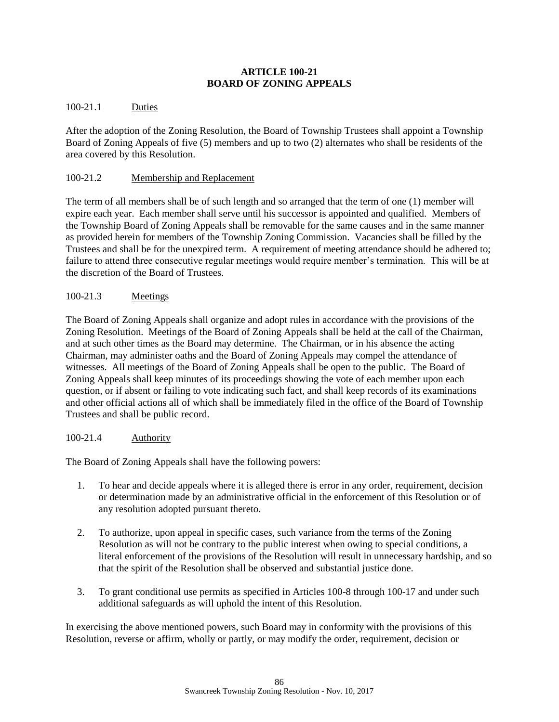## **ARTICLE 100-21 BOARD OF ZONING APPEALS**

## 100-21.1 Duties

After the adoption of the Zoning Resolution, the Board of Township Trustees shall appoint a Township Board of Zoning Appeals of five (5) members and up to two (2) alternates who shall be residents of the area covered by this Resolution.

## 100-21.2 Membership and Replacement

The term of all members shall be of such length and so arranged that the term of one (1) member will expire each year. Each member shall serve until his successor is appointed and qualified. Members of the Township Board of Zoning Appeals shall be removable for the same causes and in the same manner as provided herein for members of the Township Zoning Commission. Vacancies shall be filled by the Trustees and shall be for the unexpired term. A requirement of meeting attendance should be adhered to; failure to attend three consecutive regular meetings would require member's termination. This will be at the discretion of the Board of Trustees.

## 100-21.3 Meetings

The Board of Zoning Appeals shall organize and adopt rules in accordance with the provisions of the Zoning Resolution. Meetings of the Board of Zoning Appeals shall be held at the call of the Chairman, and at such other times as the Board may determine. The Chairman, or in his absence the acting Chairman, may administer oaths and the Board of Zoning Appeals may compel the attendance of witnesses. All meetings of the Board of Zoning Appeals shall be open to the public. The Board of Zoning Appeals shall keep minutes of its proceedings showing the vote of each member upon each question, or if absent or failing to vote indicating such fact, and shall keep records of its examinations and other official actions all of which shall be immediately filed in the office of the Board of Township Trustees and shall be public record.

## 100-21.4 Authority

The Board of Zoning Appeals shall have the following powers:

- 1. To hear and decide appeals where it is alleged there is error in any order, requirement, decision or determination made by an administrative official in the enforcement of this Resolution or of any resolution adopted pursuant thereto.
- 2. To authorize, upon appeal in specific cases, such variance from the terms of the Zoning Resolution as will not be contrary to the public interest when owing to special conditions, a literal enforcement of the provisions of the Resolution will result in unnecessary hardship, and so that the spirit of the Resolution shall be observed and substantial justice done.
- 3. To grant conditional use permits as specified in Articles 100-8 through 100-17 and under such additional safeguards as will uphold the intent of this Resolution.

In exercising the above mentioned powers, such Board may in conformity with the provisions of this Resolution, reverse or affirm, wholly or partly, or may modify the order, requirement, decision or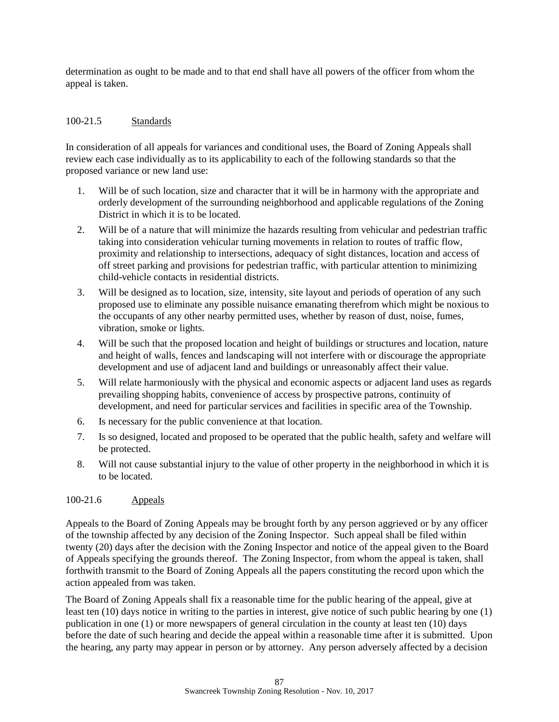determination as ought to be made and to that end shall have all powers of the officer from whom the appeal is taken.

## 100-21.5 Standards

In consideration of all appeals for variances and conditional uses, the Board of Zoning Appeals shall review each case individually as to its applicability to each of the following standards so that the proposed variance or new land use:

- 1. Will be of such location, size and character that it will be in harmony with the appropriate and orderly development of the surrounding neighborhood and applicable regulations of the Zoning District in which it is to be located.
- 2. Will be of a nature that will minimize the hazards resulting from vehicular and pedestrian traffic taking into consideration vehicular turning movements in relation to routes of traffic flow, proximity and relationship to intersections, adequacy of sight distances, location and access of off street parking and provisions for pedestrian traffic, with particular attention to minimizing child-vehicle contacts in residential districts.
- 3. Will be designed as to location, size, intensity, site layout and periods of operation of any such proposed use to eliminate any possible nuisance emanating therefrom which might be noxious to the occupants of any other nearby permitted uses, whether by reason of dust, noise, fumes, vibration, smoke or lights.
- 4. Will be such that the proposed location and height of buildings or structures and location, nature and height of walls, fences and landscaping will not interfere with or discourage the appropriate development and use of adjacent land and buildings or unreasonably affect their value.
- 5. Will relate harmoniously with the physical and economic aspects or adjacent land uses as regards prevailing shopping habits, convenience of access by prospective patrons, continuity of development, and need for particular services and facilities in specific area of the Township.
- 6. Is necessary for the public convenience at that location.
- 7. Is so designed, located and proposed to be operated that the public health, safety and welfare will be protected.
- 8. Will not cause substantial injury to the value of other property in the neighborhood in which it is to be located.

## 100-21.6 Appeals

Appeals to the Board of Zoning Appeals may be brought forth by any person aggrieved or by any officer of the township affected by any decision of the Zoning Inspector. Such appeal shall be filed within twenty (20) days after the decision with the Zoning Inspector and notice of the appeal given to the Board of Appeals specifying the grounds thereof. The Zoning Inspector, from whom the appeal is taken, shall forthwith transmit to the Board of Zoning Appeals all the papers constituting the record upon which the action appealed from was taken.

The Board of Zoning Appeals shall fix a reasonable time for the public hearing of the appeal, give at least ten (10) days notice in writing to the parties in interest, give notice of such public hearing by one (1) publication in one (1) or more newspapers of general circulation in the county at least ten (10) days before the date of such hearing and decide the appeal within a reasonable time after it is submitted. Upon the hearing, any party may appear in person or by attorney. Any person adversely affected by a decision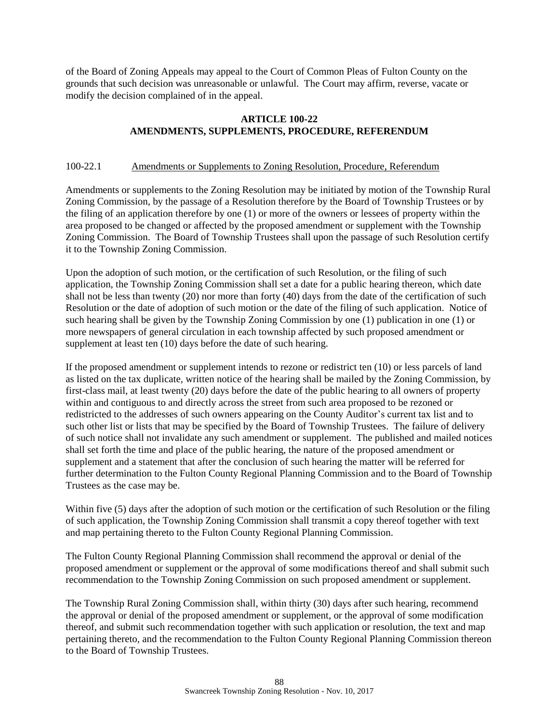of the Board of Zoning Appeals may appeal to the Court of Common Pleas of Fulton County on the grounds that such decision was unreasonable or unlawful. The Court may affirm, reverse, vacate or modify the decision complained of in the appeal.

## **ARTICLE 100-22 AMENDMENTS, SUPPLEMENTS, PROCEDURE, REFERENDUM**

## 100-22.1 Amendments or Supplements to Zoning Resolution, Procedure, Referendum

Amendments or supplements to the Zoning Resolution may be initiated by motion of the Township Rural Zoning Commission, by the passage of a Resolution therefore by the Board of Township Trustees or by the filing of an application therefore by one (1) or more of the owners or lessees of property within the area proposed to be changed or affected by the proposed amendment or supplement with the Township Zoning Commission. The Board of Township Trustees shall upon the passage of such Resolution certify it to the Township Zoning Commission.

Upon the adoption of such motion, or the certification of such Resolution, or the filing of such application, the Township Zoning Commission shall set a date for a public hearing thereon, which date shall not be less than twenty (20) nor more than forty (40) days from the date of the certification of such Resolution or the date of adoption of such motion or the date of the filing of such application. Notice of such hearing shall be given by the Township Zoning Commission by one (1) publication in one (1) or more newspapers of general circulation in each township affected by such proposed amendment or supplement at least ten (10) days before the date of such hearing.

If the proposed amendment or supplement intends to rezone or redistrict ten (10) or less parcels of land as listed on the tax duplicate, written notice of the hearing shall be mailed by the Zoning Commission, by first-class mail, at least twenty (20) days before the date of the public hearing to all owners of property within and contiguous to and directly across the street from such area proposed to be rezoned or redistricted to the addresses of such owners appearing on the County Auditor's current tax list and to such other list or lists that may be specified by the Board of Township Trustees. The failure of delivery of such notice shall not invalidate any such amendment or supplement. The published and mailed notices shall set forth the time and place of the public hearing, the nature of the proposed amendment or supplement and a statement that after the conclusion of such hearing the matter will be referred for further determination to the Fulton County Regional Planning Commission and to the Board of Township Trustees as the case may be.

Within five (5) days after the adoption of such motion or the certification of such Resolution or the filing of such application, the Township Zoning Commission shall transmit a copy thereof together with text and map pertaining thereto to the Fulton County Regional Planning Commission.

The Fulton County Regional Planning Commission shall recommend the approval or denial of the proposed amendment or supplement or the approval of some modifications thereof and shall submit such recommendation to the Township Zoning Commission on such proposed amendment or supplement.

The Township Rural Zoning Commission shall, within thirty (30) days after such hearing, recommend the approval or denial of the proposed amendment or supplement, or the approval of some modification thereof, and submit such recommendation together with such application or resolution, the text and map pertaining thereto, and the recommendation to the Fulton County Regional Planning Commission thereon to the Board of Township Trustees.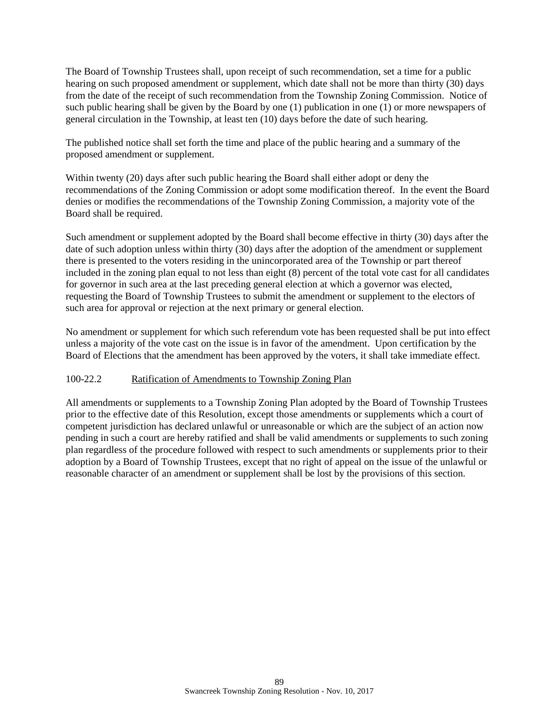The Board of Township Trustees shall, upon receipt of such recommendation, set a time for a public hearing on such proposed amendment or supplement, which date shall not be more than thirty (30) days from the date of the receipt of such recommendation from the Township Zoning Commission. Notice of such public hearing shall be given by the Board by one (1) publication in one (1) or more newspapers of general circulation in the Township, at least ten (10) days before the date of such hearing.

The published notice shall set forth the time and place of the public hearing and a summary of the proposed amendment or supplement.

Within twenty (20) days after such public hearing the Board shall either adopt or deny the recommendations of the Zoning Commission or adopt some modification thereof. In the event the Board denies or modifies the recommendations of the Township Zoning Commission, a majority vote of the Board shall be required.

Such amendment or supplement adopted by the Board shall become effective in thirty (30) days after the date of such adoption unless within thirty (30) days after the adoption of the amendment or supplement there is presented to the voters residing in the unincorporated area of the Township or part thereof included in the zoning plan equal to not less than eight (8) percent of the total vote cast for all candidates for governor in such area at the last preceding general election at which a governor was elected, requesting the Board of Township Trustees to submit the amendment or supplement to the electors of such area for approval or rejection at the next primary or general election.

No amendment or supplement for which such referendum vote has been requested shall be put into effect unless a majority of the vote cast on the issue is in favor of the amendment. Upon certification by the Board of Elections that the amendment has been approved by the voters, it shall take immediate effect.

## 100-22.2 Ratification of Amendments to Township Zoning Plan

All amendments or supplements to a Township Zoning Plan adopted by the Board of Township Trustees prior to the effective date of this Resolution, except those amendments or supplements which a court of competent jurisdiction has declared unlawful or unreasonable or which are the subject of an action now pending in such a court are hereby ratified and shall be valid amendments or supplements to such zoning plan regardless of the procedure followed with respect to such amendments or supplements prior to their adoption by a Board of Township Trustees, except that no right of appeal on the issue of the unlawful or reasonable character of an amendment or supplement shall be lost by the provisions of this section.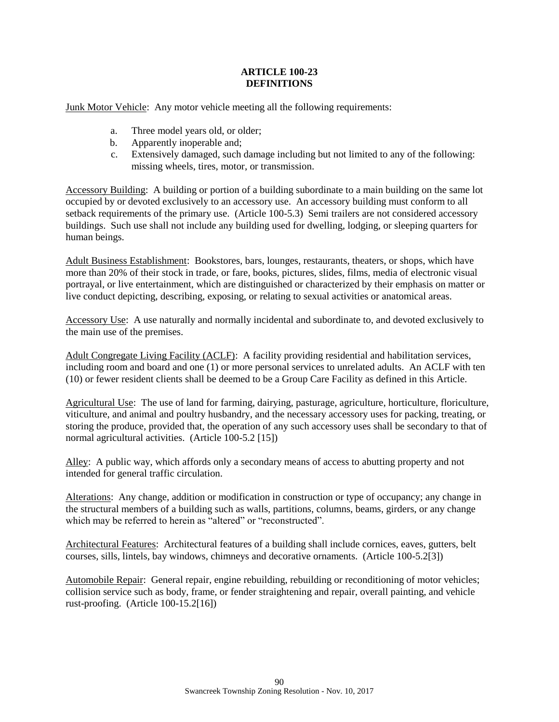## **ARTICLE 100-23 DEFINITIONS**

Junk Motor Vehicle: Any motor vehicle meeting all the following requirements:

- a. Three model years old, or older;
- b. Apparently inoperable and;
- c. Extensively damaged, such damage including but not limited to any of the following: missing wheels, tires, motor, or transmission.

Accessory Building: A building or portion of a building subordinate to a main building on the same lot occupied by or devoted exclusively to an accessory use. An accessory building must conform to all setback requirements of the primary use. (Article 100-5.3) Semi trailers are not considered accessory buildings. Such use shall not include any building used for dwelling, lodging, or sleeping quarters for human beings.

Adult Business Establishment: Bookstores, bars, lounges, restaurants, theaters, or shops, which have more than 20% of their stock in trade, or fare, books, pictures, slides, films, media of electronic visual portrayal, or live entertainment, which are distinguished or characterized by their emphasis on matter or live conduct depicting, describing, exposing, or relating to sexual activities or anatomical areas.

Accessory Use: A use naturally and normally incidental and subordinate to, and devoted exclusively to the main use of the premises.

Adult Congregate Living Facility (ACLF): A facility providing residential and habilitation services, including room and board and one (1) or more personal services to unrelated adults. An ACLF with ten (10) or fewer resident clients shall be deemed to be a Group Care Facility as defined in this Article.

Agricultural Use: The use of land for farming, dairying, pasturage, agriculture, horticulture, floriculture, viticulture, and animal and poultry husbandry, and the necessary accessory uses for packing, treating, or storing the produce, provided that, the operation of any such accessory uses shall be secondary to that of normal agricultural activities. (Article 100-5.2 [15])

Alley: A public way, which affords only a secondary means of access to abutting property and not intended for general traffic circulation.

Alterations: Any change, addition or modification in construction or type of occupancy; any change in the structural members of a building such as walls, partitions, columns, beams, girders, or any change which may be referred to herein as "altered" or "reconstructed".

Architectural Features: Architectural features of a building shall include cornices, eaves, gutters, belt courses, sills, lintels, bay windows, chimneys and decorative ornaments. (Article 100-5.2[3])

Automobile Repair: General repair, engine rebuilding, rebuilding or reconditioning of motor vehicles; collision service such as body, frame, or fender straightening and repair, overall painting, and vehicle rust-proofing. (Article 100-15.2[16])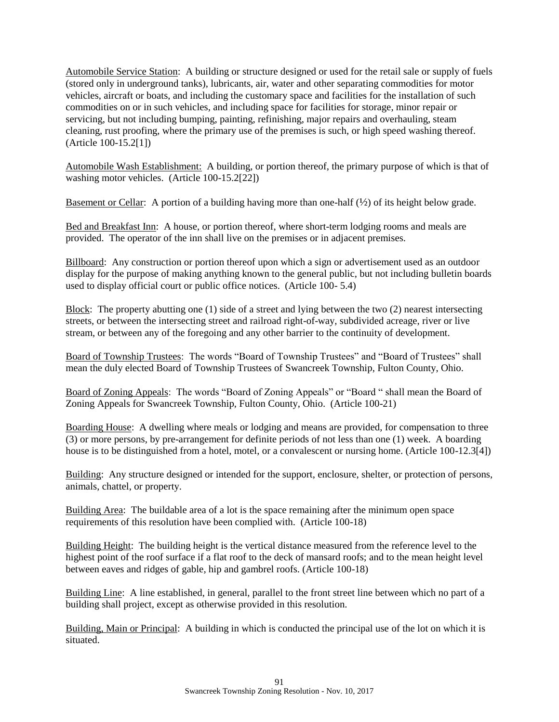Automobile Service Station: A building or structure designed or used for the retail sale or supply of fuels (stored only in underground tanks), lubricants, air, water and other separating commodities for motor vehicles, aircraft or boats, and including the customary space and facilities for the installation of such commodities on or in such vehicles, and including space for facilities for storage, minor repair or servicing, but not including bumping, painting, refinishing, major repairs and overhauling, steam cleaning, rust proofing, where the primary use of the premises is such, or high speed washing thereof. (Article 100-15.2[1])

Automobile Wash Establishment: A building, or portion thereof, the primary purpose of which is that of washing motor vehicles. (Article 100-15.2[22])

Basement or Cellar: A portion of a building having more than one-half  $(\frac{1}{2})$  of its height below grade.

Bed and Breakfast Inn: A house, or portion thereof, where short-term lodging rooms and meals are provided. The operator of the inn shall live on the premises or in adjacent premises.

Billboard: Any construction or portion thereof upon which a sign or advertisement used as an outdoor display for the purpose of making anything known to the general public, but not including bulletin boards used to display official court or public office notices. (Article 100- 5.4)

Block: The property abutting one (1) side of a street and lying between the two (2) nearest intersecting streets, or between the intersecting street and railroad right-of-way, subdivided acreage, river or live stream, or between any of the foregoing and any other barrier to the continuity of development.

Board of Township Trustees: The words "Board of Township Trustees" and "Board of Trustees" shall mean the duly elected Board of Township Trustees of Swancreek Township, Fulton County, Ohio.

Board of Zoning Appeals: The words "Board of Zoning Appeals" or "Board " shall mean the Board of Zoning Appeals for Swancreek Township, Fulton County, Ohio. (Article 100-21)

Boarding House: A dwelling where meals or lodging and means are provided, for compensation to three (3) or more persons, by pre-arrangement for definite periods of not less than one (1) week. A boarding house is to be distinguished from a hotel, motel, or a convalescent or nursing home. (Article 100-12.3[4])

Building: Any structure designed or intended for the support, enclosure, shelter, or protection of persons, animals, chattel, or property.

Building Area: The buildable area of a lot is the space remaining after the minimum open space requirements of this resolution have been complied with. (Article 100-18)

Building Height: The building height is the vertical distance measured from the reference level to the highest point of the roof surface if a flat roof to the deck of mansard roofs; and to the mean height level between eaves and ridges of gable, hip and gambrel roofs. (Article 100-18)

Building Line: A line established, in general, parallel to the front street line between which no part of a building shall project, except as otherwise provided in this resolution.

Building, Main or Principal: A building in which is conducted the principal use of the lot on which it is situated.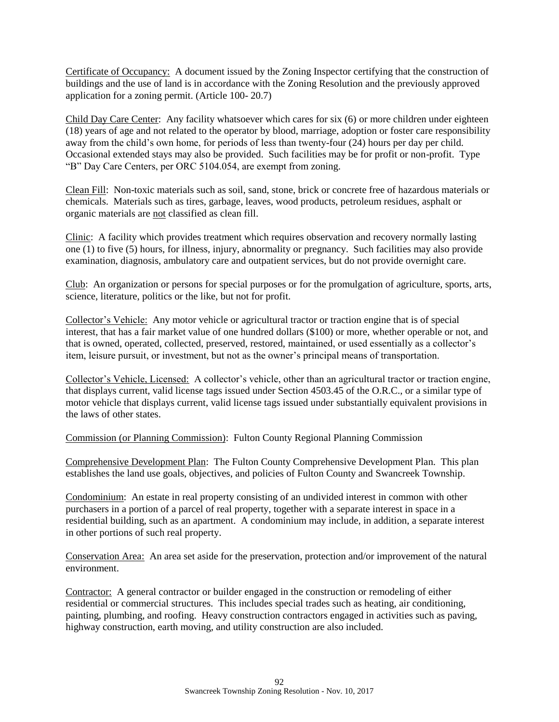Certificate of Occupancy: A document issued by the Zoning Inspector certifying that the construction of buildings and the use of land is in accordance with the Zoning Resolution and the previously approved application for a zoning permit. (Article 100- 20.7)

Child Day Care Center: Any facility whatsoever which cares for six (6) or more children under eighteen (18) years of age and not related to the operator by blood, marriage, adoption or foster care responsibility away from the child's own home, for periods of less than twenty-four (24) hours per day per child. Occasional extended stays may also be provided. Such facilities may be for profit or non-profit. Type "B" Day Care Centers, per ORC 5104.054, are exempt from zoning.

Clean Fill: Non-toxic materials such as soil, sand, stone, brick or concrete free of hazardous materials or chemicals. Materials such as tires, garbage, leaves, wood products, petroleum residues, asphalt or organic materials are not classified as clean fill.

Clinic: A facility which provides treatment which requires observation and recovery normally lasting one (1) to five (5) hours, for illness, injury, abnormality or pregnancy. Such facilities may also provide examination, diagnosis, ambulatory care and outpatient services, but do not provide overnight care.

Club: An organization or persons for special purposes or for the promulgation of agriculture, sports, arts, science, literature, politics or the like, but not for profit.

Collector's Vehicle: Any motor vehicle or agricultural tractor or traction engine that is of special interest, that has a fair market value of one hundred dollars (\$100) or more, whether operable or not, and that is owned, operated, collected, preserved, restored, maintained, or used essentially as a collector's item, leisure pursuit, or investment, but not as the owner's principal means of transportation.

Collector's Vehicle, Licensed: A collector's vehicle, other than an agricultural tractor or traction engine, that displays current, valid license tags issued under Section 4503.45 of the O.R.C., or a similar type of motor vehicle that displays current, valid license tags issued under substantially equivalent provisions in the laws of other states.

Commission (or Planning Commission): Fulton County Regional Planning Commission

Comprehensive Development Plan: The Fulton County Comprehensive Development Plan. This plan establishes the land use goals, objectives, and policies of Fulton County and Swancreek Township.

Condominium: An estate in real property consisting of an undivided interest in common with other purchasers in a portion of a parcel of real property, together with a separate interest in space in a residential building, such as an apartment. A condominium may include, in addition, a separate interest in other portions of such real property.

Conservation Area: An area set aside for the preservation, protection and/or improvement of the natural environment.

Contractor: A general contractor or builder engaged in the construction or remodeling of either residential or commercial structures. This includes special trades such as heating, air conditioning, painting, plumbing, and roofing. Heavy construction contractors engaged in activities such as paving, highway construction, earth moving, and utility construction are also included.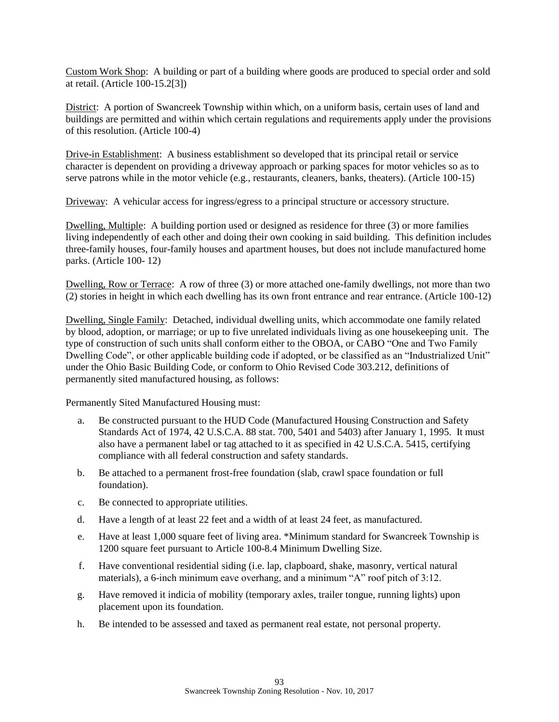Custom Work Shop: A building or part of a building where goods are produced to special order and sold at retail. (Article 100-15.2[3])

District: A portion of Swancreek Township within which, on a uniform basis, certain uses of land and buildings are permitted and within which certain regulations and requirements apply under the provisions of this resolution. (Article 100-4)

Drive-in Establishment: A business establishment so developed that its principal retail or service character is dependent on providing a driveway approach or parking spaces for motor vehicles so as to serve patrons while in the motor vehicle (e.g., restaurants, cleaners, banks, theaters). (Article 100-15)

Driveway: A vehicular access for ingress/egress to a principal structure or accessory structure.

Dwelling, Multiple: A building portion used or designed as residence for three (3) or more families living independently of each other and doing their own cooking in said building. This definition includes three-family houses, four-family houses and apartment houses, but does not include manufactured home parks. (Article 100- 12)

Dwelling, Row or Terrace: A row of three (3) or more attached one-family dwellings, not more than two (2) stories in height in which each dwelling has its own front entrance and rear entrance. (Article 100-12)

Dwelling, Single Family: Detached, individual dwelling units, which accommodate one family related by blood, adoption, or marriage; or up to five unrelated individuals living as one housekeeping unit. The type of construction of such units shall conform either to the OBOA, or CABO "One and Two Family Dwelling Code", or other applicable building code if adopted, or be classified as an "Industrialized Unit" under the Ohio Basic Building Code, or conform to Ohio Revised Code 303.212, definitions of permanently sited manufactured housing, as follows:

Permanently Sited Manufactured Housing must:

- a. Be constructed pursuant to the HUD Code (Manufactured Housing Construction and Safety Standards Act of 1974, 42 U.S.C.A. 88 stat. 700, 5401 and 5403) after January 1, 1995. It must also have a permanent label or tag attached to it as specified in 42 U.S.C.A. 5415, certifying compliance with all federal construction and safety standards.
- b. Be attached to a permanent frost-free foundation (slab, crawl space foundation or full foundation).
- c. Be connected to appropriate utilities.
- d. Have a length of at least 22 feet and a width of at least 24 feet, as manufactured.
- e. Have at least 1,000 square feet of living area. \*Minimum standard for Swancreek Township is 1200 square feet pursuant to Article 100-8.4 Minimum Dwelling Size.
- f. Have conventional residential siding (i.e. lap, clapboard, shake, masonry, vertical natural materials), a 6-inch minimum eave overhang, and a minimum "A" roof pitch of 3:12.
- g. Have removed it indicia of mobility (temporary axles, trailer tongue, running lights) upon placement upon its foundation.
- h. Be intended to be assessed and taxed as permanent real estate, not personal property.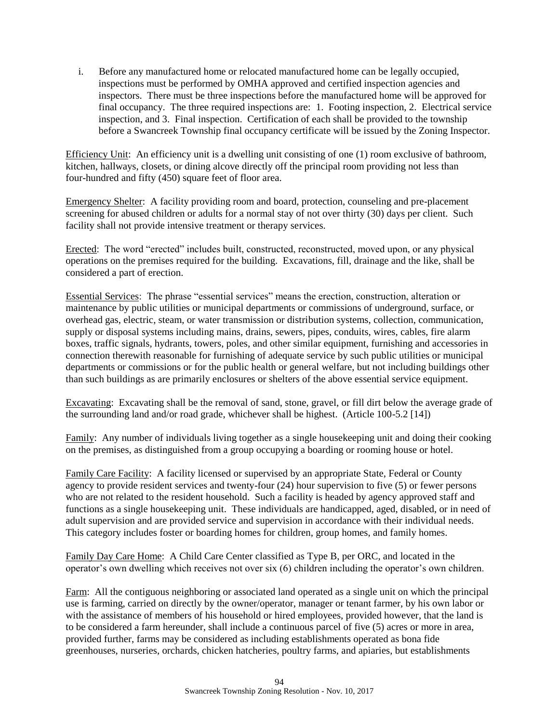i. Before any manufactured home or relocated manufactured home can be legally occupied, inspections must be performed by OMHA approved and certified inspection agencies and inspectors. There must be three inspections before the manufactured home will be approved for final occupancy. The three required inspections are: 1. Footing inspection, 2. Electrical service inspection, and 3. Final inspection. Certification of each shall be provided to the township before a Swancreek Township final occupancy certificate will be issued by the Zoning Inspector.

Efficiency Unit: An efficiency unit is a dwelling unit consisting of one (1) room exclusive of bathroom, kitchen, hallways, closets, or dining alcove directly off the principal room providing not less than four-hundred and fifty (450) square feet of floor area.

Emergency Shelter: A facility providing room and board, protection, counseling and pre-placement screening for abused children or adults for a normal stay of not over thirty (30) days per client. Such facility shall not provide intensive treatment or therapy services.

Erected: The word "erected" includes built, constructed, reconstructed, moved upon, or any physical operations on the premises required for the building. Excavations, fill, drainage and the like, shall be considered a part of erection.

Essential Services: The phrase "essential services" means the erection, construction, alteration or maintenance by public utilities or municipal departments or commissions of underground, surface, or overhead gas, electric, steam, or water transmission or distribution systems, collection, communication, supply or disposal systems including mains, drains, sewers, pipes, conduits, wires, cables, fire alarm boxes, traffic signals, hydrants, towers, poles, and other similar equipment, furnishing and accessories in connection therewith reasonable for furnishing of adequate service by such public utilities or municipal departments or commissions or for the public health or general welfare, but not including buildings other than such buildings as are primarily enclosures or shelters of the above essential service equipment.

Excavating: Excavating shall be the removal of sand, stone, gravel, or fill dirt below the average grade of the surrounding land and/or road grade, whichever shall be highest. (Article 100-5.2 [14])

Family: Any number of individuals living together as a single housekeeping unit and doing their cooking on the premises, as distinguished from a group occupying a boarding or rooming house or hotel.

Family Care Facility: A facility licensed or supervised by an appropriate State, Federal or County agency to provide resident services and twenty-four (24) hour supervision to five (5) or fewer persons who are not related to the resident household. Such a facility is headed by agency approved staff and functions as a single housekeeping unit. These individuals are handicapped, aged, disabled, or in need of adult supervision and are provided service and supervision in accordance with their individual needs. This category includes foster or boarding homes for children, group homes, and family homes.

Family Day Care Home: A Child Care Center classified as Type B, per ORC, and located in the operator's own dwelling which receives not over six (6) children including the operator's own children.

Farm: All the contiguous neighboring or associated land operated as a single unit on which the principal use is farming, carried on directly by the owner/operator, manager or tenant farmer, by his own labor or with the assistance of members of his household or hired employees, provided however, that the land is to be considered a farm hereunder, shall include a continuous parcel of five (5) acres or more in area, provided further, farms may be considered as including establishments operated as bona fide greenhouses, nurseries, orchards, chicken hatcheries, poultry farms, and apiaries, but establishments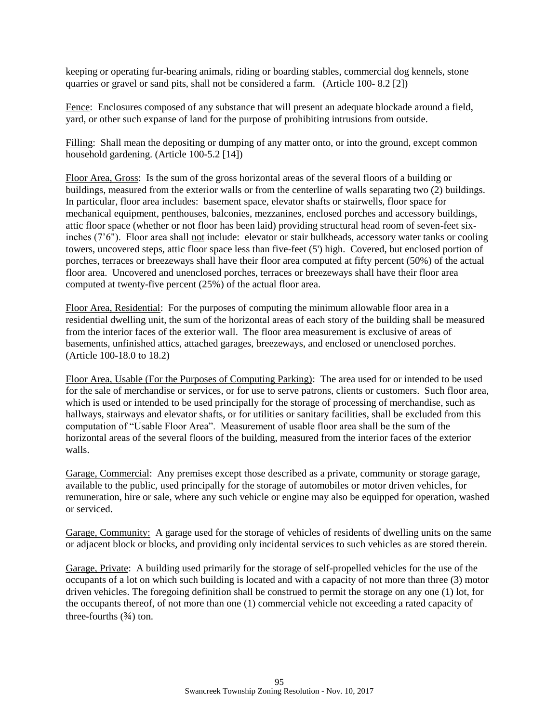keeping or operating fur-bearing animals, riding or boarding stables, commercial dog kennels, stone quarries or gravel or sand pits, shall not be considered a farm. (Article 100- 8.2 [2])

Fence: Enclosures composed of any substance that will present an adequate blockade around a field, yard, or other such expanse of land for the purpose of prohibiting intrusions from outside.

Filling: Shall mean the depositing or dumping of any matter onto, or into the ground, except common household gardening. (Article 100-5.2 [14])

Floor Area, Gross: Is the sum of the gross horizontal areas of the several floors of a building or buildings, measured from the exterior walls or from the centerline of walls separating two (2) buildings. In particular, floor area includes: basement space, elevator shafts or stairwells, floor space for mechanical equipment, penthouses, balconies, mezzanines, enclosed porches and accessory buildings, attic floor space (whether or not floor has been laid) providing structural head room of seven-feet sixinches (7'6"). Floor area shall not include: elevator or stair bulkheads, accessory water tanks or cooling towers, uncovered steps, attic floor space less than five-feet (5') high. Covered, but enclosed portion of porches, terraces or breezeways shall have their floor area computed at fifty percent (50%) of the actual floor area. Uncovered and unenclosed porches, terraces or breezeways shall have their floor area computed at twenty-five percent (25%) of the actual floor area.

Floor Area, Residential: For the purposes of computing the minimum allowable floor area in a residential dwelling unit, the sum of the horizontal areas of each story of the building shall be measured from the interior faces of the exterior wall. The floor area measurement is exclusive of areas of basements, unfinished attics, attached garages, breezeways, and enclosed or unenclosed porches. (Article 100-18.0 to 18.2)

Floor Area, Usable (For the Purposes of Computing Parking): The area used for or intended to be used for the sale of merchandise or services, or for use to serve patrons, clients or customers. Such floor area, which is used or intended to be used principally for the storage of processing of merchandise, such as hallways, stairways and elevator shafts, or for utilities or sanitary facilities, shall be excluded from this computation of "Usable Floor Area". Measurement of usable floor area shall be the sum of the horizontal areas of the several floors of the building, measured from the interior faces of the exterior walls.

Garage, Commercial: Any premises except those described as a private, community or storage garage, available to the public, used principally for the storage of automobiles or motor driven vehicles, for remuneration, hire or sale, where any such vehicle or engine may also be equipped for operation, washed or serviced.

Garage, Community: A garage used for the storage of vehicles of residents of dwelling units on the same or adjacent block or blocks, and providing only incidental services to such vehicles as are stored therein.

Garage, Private: A building used primarily for the storage of self-propelled vehicles for the use of the occupants of a lot on which such building is located and with a capacity of not more than three (3) motor driven vehicles. The foregoing definition shall be construed to permit the storage on any one (1) lot, for the occupants thereof, of not more than one (1) commercial vehicle not exceeding a rated capacity of three-fourths  $(3/4)$  ton.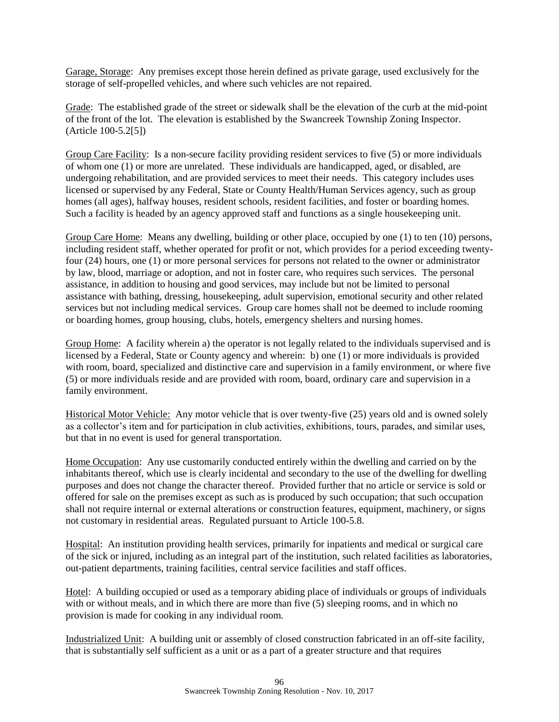Garage, Storage: Any premises except those herein defined as private garage, used exclusively for the storage of self-propelled vehicles, and where such vehicles are not repaired.

Grade: The established grade of the street or sidewalk shall be the elevation of the curb at the mid-point of the front of the lot. The elevation is established by the Swancreek Township Zoning Inspector. (Article 100-5.2[5])

Group Care Facility: Is a non-secure facility providing resident services to five (5) or more individuals of whom one (1) or more are unrelated. These individuals are handicapped, aged, or disabled, are undergoing rehabilitation, and are provided services to meet their needs. This category includes uses licensed or supervised by any Federal, State or County Health/Human Services agency, such as group homes (all ages), halfway houses, resident schools, resident facilities, and foster or boarding homes. Such a facility is headed by an agency approved staff and functions as a single housekeeping unit.

Group Care Home: Means any dwelling, building or other place, occupied by one (1) to ten (10) persons, including resident staff, whether operated for profit or not, which provides for a period exceeding twentyfour (24) hours, one (1) or more personal services for persons not related to the owner or administrator by law, blood, marriage or adoption, and not in foster care, who requires such services. The personal assistance, in addition to housing and good services, may include but not be limited to personal assistance with bathing, dressing, housekeeping, adult supervision, emotional security and other related services but not including medical services. Group care homes shall not be deemed to include rooming or boarding homes, group housing, clubs, hotels, emergency shelters and nursing homes.

Group Home: A facility wherein a) the operator is not legally related to the individuals supervised and is licensed by a Federal, State or County agency and wherein: b) one (1) or more individuals is provided with room, board, specialized and distinctive care and supervision in a family environment, or where five (5) or more individuals reside and are provided with room, board, ordinary care and supervision in a family environment.

Historical Motor Vehicle: Any motor vehicle that is over twenty-five (25) years old and is owned solely as a collector's item and for participation in club activities, exhibitions, tours, parades, and similar uses, but that in no event is used for general transportation.

Home Occupation: Any use customarily conducted entirely within the dwelling and carried on by the inhabitants thereof, which use is clearly incidental and secondary to the use of the dwelling for dwelling purposes and does not change the character thereof. Provided further that no article or service is sold or offered for sale on the premises except as such as is produced by such occupation; that such occupation shall not require internal or external alterations or construction features, equipment, machinery, or signs not customary in residential areas. Regulated pursuant to Article 100-5.8.

Hospital: An institution providing health services, primarily for inpatients and medical or surgical care of the sick or injured, including as an integral part of the institution, such related facilities as laboratories, out-patient departments, training facilities, central service facilities and staff offices.

Hotel: A building occupied or used as a temporary abiding place of individuals or groups of individuals with or without meals, and in which there are more than five (5) sleeping rooms, and in which no provision is made for cooking in any individual room.

Industrialized Unit: A building unit or assembly of closed construction fabricated in an off-site facility, that is substantially self sufficient as a unit or as a part of a greater structure and that requires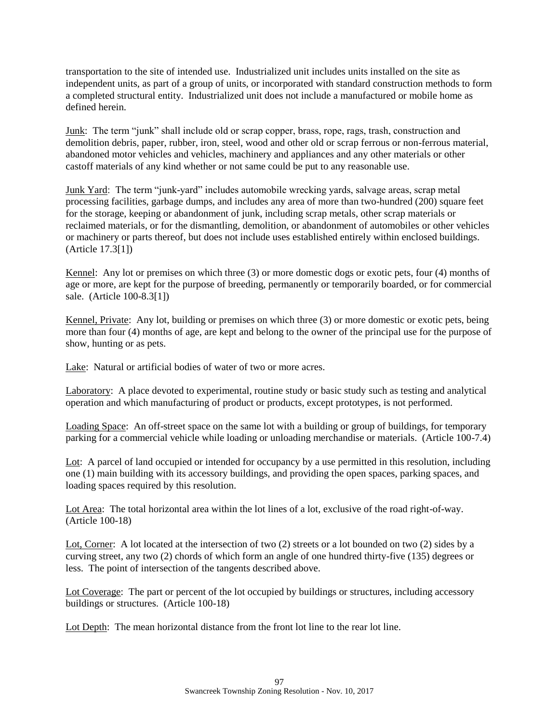transportation to the site of intended use. Industrialized unit includes units installed on the site as independent units, as part of a group of units, or incorporated with standard construction methods to form a completed structural entity. Industrialized unit does not include a manufactured or mobile home as defined herein.

Junk: The term "junk" shall include old or scrap copper, brass, rope, rags, trash, construction and demolition debris, paper, rubber, iron, steel, wood and other old or scrap ferrous or non-ferrous material, abandoned motor vehicles and vehicles, machinery and appliances and any other materials or other castoff materials of any kind whether or not same could be put to any reasonable use.

Junk Yard: The term "junk-yard" includes automobile wrecking yards, salvage areas, scrap metal processing facilities, garbage dumps, and includes any area of more than two-hundred (200) square feet for the storage, keeping or abandonment of junk, including scrap metals, other scrap materials or reclaimed materials, or for the dismantling, demolition, or abandonment of automobiles or other vehicles or machinery or parts thereof, but does not include uses established entirely within enclosed buildings. (Article 17.3[1])

Kennel: Any lot or premises on which three (3) or more domestic dogs or exotic pets, four (4) months of age or more, are kept for the purpose of breeding, permanently or temporarily boarded, or for commercial sale. (Article 100-8.3[1])

Kennel, Private: Any lot, building or premises on which three (3) or more domestic or exotic pets, being more than four (4) months of age, are kept and belong to the owner of the principal use for the purpose of show, hunting or as pets.

Lake: Natural or artificial bodies of water of two or more acres.

Laboratory: A place devoted to experimental, routine study or basic study such as testing and analytical operation and which manufacturing of product or products, except prototypes, is not performed.

Loading Space: An off-street space on the same lot with a building or group of buildings, for temporary parking for a commercial vehicle while loading or unloading merchandise or materials. (Article 100-7.4)

Lot: A parcel of land occupied or intended for occupancy by a use permitted in this resolution, including one (1) main building with its accessory buildings, and providing the open spaces, parking spaces, and loading spaces required by this resolution.

Lot Area: The total horizontal area within the lot lines of a lot, exclusive of the road right-of-way. (Article 100-18)

Lot, Corner: A lot located at the intersection of two (2) streets or a lot bounded on two (2) sides by a curving street, any two (2) chords of which form an angle of one hundred thirty-five (135) degrees or less. The point of intersection of the tangents described above.

Lot Coverage: The part or percent of the lot occupied by buildings or structures, including accessory buildings or structures. (Article 100-18)

Lot Depth: The mean horizontal distance from the front lot line to the rear lot line.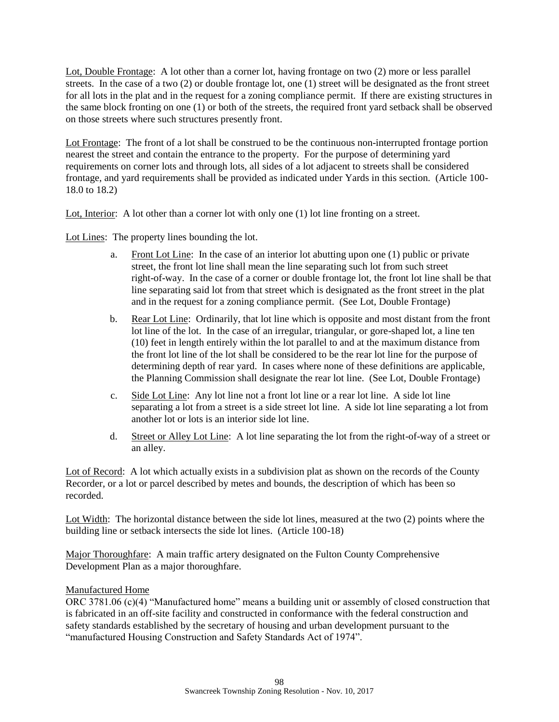Lot, Double Frontage: A lot other than a corner lot, having frontage on two (2) more or less parallel streets. In the case of a two (2) or double frontage lot, one (1) street will be designated as the front street for all lots in the plat and in the request for a zoning compliance permit. If there are existing structures in the same block fronting on one (1) or both of the streets, the required front yard setback shall be observed on those streets where such structures presently front.

Lot Frontage: The front of a lot shall be construed to be the continuous non-interrupted frontage portion nearest the street and contain the entrance to the property. For the purpose of determining yard requirements on corner lots and through lots, all sides of a lot adjacent to streets shall be considered frontage, and yard requirements shall be provided as indicated under Yards in this section. (Article 100- 18.0 to 18.2)

Lot, Interior: A lot other than a corner lot with only one (1) lot line fronting on a street.

Lot Lines: The property lines bounding the lot.

- a. Front Lot Line: In the case of an interior lot abutting upon one (1) public or private street, the front lot line shall mean the line separating such lot from such street right-of-way. In the case of a corner or double frontage lot, the front lot line shall be that line separating said lot from that street which is designated as the front street in the plat and in the request for a zoning compliance permit. (See Lot, Double Frontage)
- b. Rear Lot Line: Ordinarily, that lot line which is opposite and most distant from the front lot line of the lot. In the case of an irregular, triangular, or gore-shaped lot, a line ten (10) feet in length entirely within the lot parallel to and at the maximum distance from the front lot line of the lot shall be considered to be the rear lot line for the purpose of determining depth of rear yard. In cases where none of these definitions are applicable, the Planning Commission shall designate the rear lot line. (See Lot, Double Frontage)
- c. Side Lot Line: Any lot line not a front lot line or a rear lot line. A side lot line separating a lot from a street is a side street lot line. A side lot line separating a lot from another lot or lots is an interior side lot line.
- d. Street or Alley Lot Line: A lot line separating the lot from the right-of-way of a street or an alley.

Lot of Record: A lot which actually exists in a subdivision plat as shown on the records of the County Recorder, or a lot or parcel described by metes and bounds, the description of which has been so recorded.

Lot Width: The horizontal distance between the side lot lines, measured at the two (2) points where the building line or setback intersects the side lot lines. (Article 100-18)

Major Thoroughfare: A main traffic artery designated on the Fulton County Comprehensive Development Plan as a major thoroughfare.

## Manufactured Home

ORC 3781.06 (c)(4) "Manufactured home" means a building unit or assembly of closed construction that is fabricated in an off-site facility and constructed in conformance with the federal construction and safety standards established by the secretary of housing and urban development pursuant to the "manufactured Housing Construction and Safety Standards Act of 1974".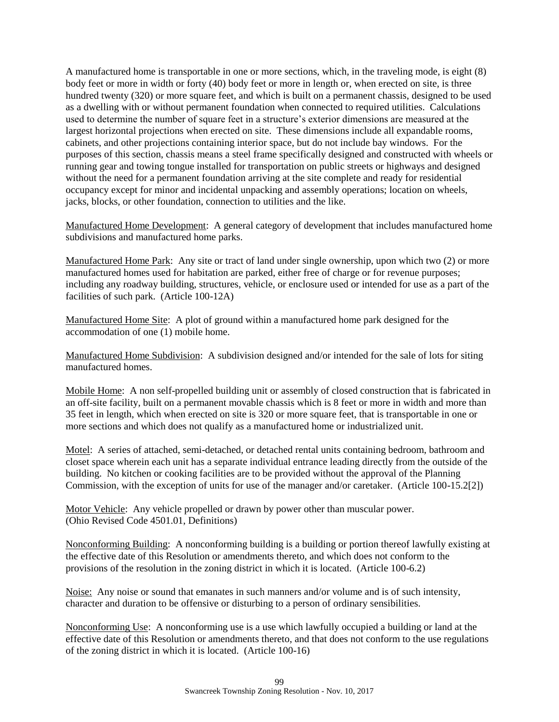A manufactured home is transportable in one or more sections, which, in the traveling mode, is eight (8) body feet or more in width or forty (40) body feet or more in length or, when erected on site, is three hundred twenty (320) or more square feet, and which is built on a permanent chassis, designed to be used as a dwelling with or without permanent foundation when connected to required utilities. Calculations used to determine the number of square feet in a structure's exterior dimensions are measured at the largest horizontal projections when erected on site. These dimensions include all expandable rooms, cabinets, and other projections containing interior space, but do not include bay windows. For the purposes of this section, chassis means a steel frame specifically designed and constructed with wheels or running gear and towing tongue installed for transportation on public streets or highways and designed without the need for a permanent foundation arriving at the site complete and ready for residential occupancy except for minor and incidental unpacking and assembly operations; location on wheels, jacks, blocks, or other foundation, connection to utilities and the like.

Manufactured Home Development: A general category of development that includes manufactured home subdivisions and manufactured home parks.

Manufactured Home Park: Any site or tract of land under single ownership, upon which two (2) or more manufactured homes used for habitation are parked, either free of charge or for revenue purposes; including any roadway building, structures, vehicle, or enclosure used or intended for use as a part of the facilities of such park. (Article 100-12A)

Manufactured Home Site: A plot of ground within a manufactured home park designed for the accommodation of one (1) mobile home.

Manufactured Home Subdivision: A subdivision designed and/or intended for the sale of lots for siting manufactured homes.

Mobile Home: A non self-propelled building unit or assembly of closed construction that is fabricated in an off-site facility, built on a permanent movable chassis which is 8 feet or more in width and more than 35 feet in length, which when erected on site is 320 or more square feet, that is transportable in one or more sections and which does not qualify as a manufactured home or industrialized unit.

Motel: A series of attached, semi-detached, or detached rental units containing bedroom, bathroom and closet space wherein each unit has a separate individual entrance leading directly from the outside of the building. No kitchen or cooking facilities are to be provided without the approval of the Planning Commission, with the exception of units for use of the manager and/or caretaker. (Article 100-15.2[2])

Motor Vehicle: Any vehicle propelled or drawn by power other than muscular power. (Ohio Revised Code 4501.01, Definitions)

Nonconforming Building: A nonconforming building is a building or portion thereof lawfully existing at the effective date of this Resolution or amendments thereto, and which does not conform to the provisions of the resolution in the zoning district in which it is located. (Article 100-6.2)

Noise: Any noise or sound that emanates in such manners and/or volume and is of such intensity, character and duration to be offensive or disturbing to a person of ordinary sensibilities.

Nonconforming Use: A nonconforming use is a use which lawfully occupied a building or land at the effective date of this Resolution or amendments thereto, and that does not conform to the use regulations of the zoning district in which it is located. (Article 100-16)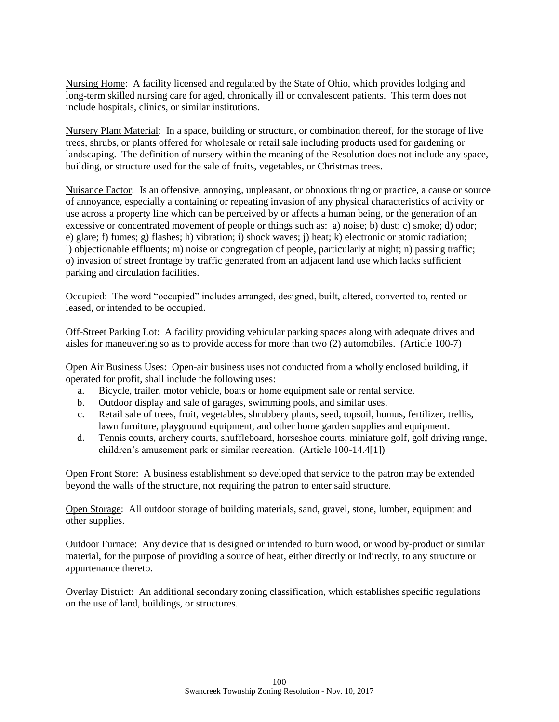Nursing Home: A facility licensed and regulated by the State of Ohio, which provides lodging and long-term skilled nursing care for aged, chronically ill or convalescent patients. This term does not include hospitals, clinics, or similar institutions.

Nursery Plant Material: In a space, building or structure, or combination thereof, for the storage of live trees, shrubs, or plants offered for wholesale or retail sale including products used for gardening or landscaping. The definition of nursery within the meaning of the Resolution does not include any space, building, or structure used for the sale of fruits, vegetables, or Christmas trees.

Nuisance Factor: Is an offensive, annoying, unpleasant, or obnoxious thing or practice, a cause or source of annoyance, especially a containing or repeating invasion of any physical characteristics of activity or use across a property line which can be perceived by or affects a human being, or the generation of an excessive or concentrated movement of people or things such as: a) noise; b) dust; c) smoke; d) odor; e) glare; f) fumes; g) flashes; h) vibration; i) shock waves; j) heat; k) electronic or atomic radiation; l) objectionable effluents; m) noise or congregation of people, particularly at night; n) passing traffic; o) invasion of street frontage by traffic generated from an adjacent land use which lacks sufficient parking and circulation facilities.

Occupied: The word "occupied" includes arranged, designed, built, altered, converted to, rented or leased, or intended to be occupied.

Off-Street Parking Lot: A facility providing vehicular parking spaces along with adequate drives and aisles for maneuvering so as to provide access for more than two (2) automobiles. (Article 100-7)

Open Air Business Uses: Open-air business uses not conducted from a wholly enclosed building, if operated for profit, shall include the following uses:

- a. Bicycle, trailer, motor vehicle, boats or home equipment sale or rental service.
- b. Outdoor display and sale of garages, swimming pools, and similar uses.
- c. Retail sale of trees, fruit, vegetables, shrubbery plants, seed, topsoil, humus, fertilizer, trellis, lawn furniture, playground equipment, and other home garden supplies and equipment.
- d. Tennis courts, archery courts, shuffleboard, horseshoe courts, miniature golf, golf driving range, children's amusement park or similar recreation. (Article 100-14.4[1])

Open Front Store: A business establishment so developed that service to the patron may be extended beyond the walls of the structure, not requiring the patron to enter said structure.

Open Storage: All outdoor storage of building materials, sand, gravel, stone, lumber, equipment and other supplies.

Outdoor Furnace: Any device that is designed or intended to burn wood, or wood by-product or similar material, for the purpose of providing a source of heat, either directly or indirectly, to any structure or appurtenance thereto.

Overlay District: An additional secondary zoning classification, which establishes specific regulations on the use of land, buildings, or structures.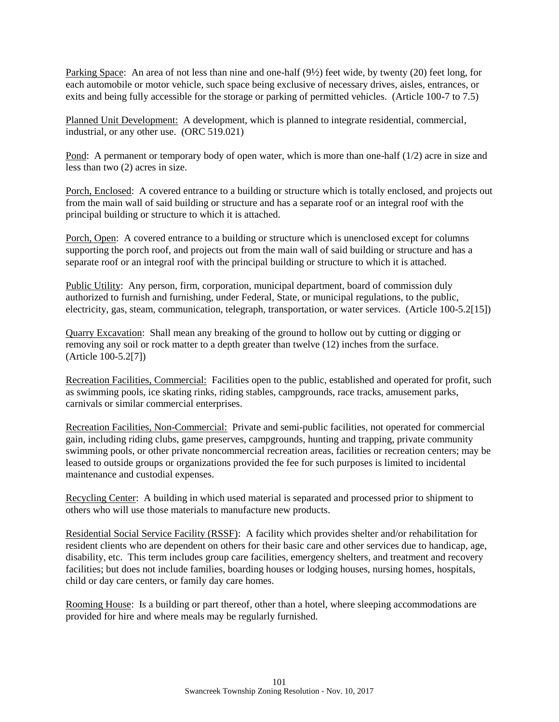Parking Space: An area of not less than nine and one-half (9½) feet wide, by twenty (20) feet long, for each automobile or motor vehicle, such space being exclusive of necessary drives, aisles, entrances, or exits and being fully accessible for the storage or parking of permitted vehicles. (Article 100-7 to 7.5)

Planned Unit Development: A development, which is planned to integrate residential, commercial, industrial, or any other use. (ORC 519.021)

Pond: A permanent or temporary body of open water, which is more than one-half (1/2) acre in size and less than two (2) acres in size.

Porch, Enclosed: A covered entrance to a building or structure which is totally enclosed, and projects out from the main wall of said building or structure and has a separate roof or an integral roof with the principal building or structure to which it is attached.

Porch, Open: A covered entrance to a building or structure which is unenclosed except for columns supporting the porch roof, and projects out from the main wall of said building or structure and has a separate roof or an integral roof with the principal building or structure to which it is attached.

Public Utility: Any person, firm, corporation, municipal department, board of commission duly authorized to furnish and furnishing, under Federal, State, or municipal regulations, to the public, electricity, gas, steam, communication, telegraph, transportation, or water services. (Article 100-5.2[15])

Quarry Excavation: Shall mean any breaking of the ground to hollow out by cutting or digging or removing any soil or rock matter to a depth greater than twelve (12) inches from the surface. (Article 100-5.2[7])

Recreation Facilities, Commercial: Facilities open to the public, established and operated for profit, such as swimming pools, ice skating rinks, riding stables, campgrounds, race tracks, amusement parks, carnivals or similar commercial enterprises.

Recreation Facilities, Non-Commercial: Private and semi-public facilities, not operated for commercial gain, including riding clubs, game preserves, campgrounds, hunting and trapping, private community swimming pools, or other private noncommercial recreation areas, facilities or recreation centers; may be leased to outside groups or organizations provided the fee for such purposes is limited to incidental maintenance and custodial expenses.

Recycling Center: A building in which used material is separated and processed prior to shipment to others who will use those materials to manufacture new products.

Residential Social Service Facility (RSSF): A facility which provides shelter and/or rehabilitation for resident clients who are dependent on others for their basic care and other services due to handicap, age, disability, etc. This term includes group care facilities, emergency shelters, and treatment and recovery facilities; but does not include families, boarding houses or lodging houses, nursing homes, hospitals, child or day care centers, or family day care homes.

Rooming House: Is a building or part thereof, other than a hotel, where sleeping accommodations are provided for hire and where meals may be regularly furnished.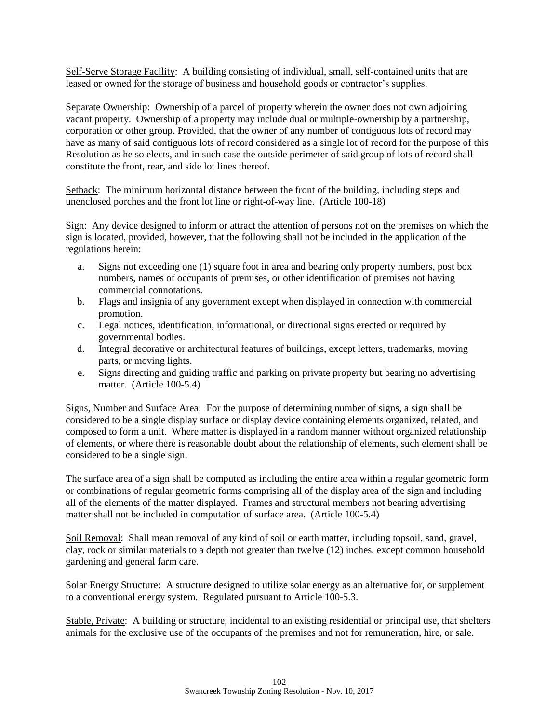Self-Serve Storage Facility: A building consisting of individual, small, self-contained units that are leased or owned for the storage of business and household goods or contractor's supplies.

Separate Ownership: Ownership of a parcel of property wherein the owner does not own adjoining vacant property. Ownership of a property may include dual or multiple-ownership by a partnership, corporation or other group. Provided, that the owner of any number of contiguous lots of record may have as many of said contiguous lots of record considered as a single lot of record for the purpose of this Resolution as he so elects, and in such case the outside perimeter of said group of lots of record shall constitute the front, rear, and side lot lines thereof.

Setback: The minimum horizontal distance between the front of the building, including steps and unenclosed porches and the front lot line or right-of-way line. (Article 100-18)

Sign: Any device designed to inform or attract the attention of persons not on the premises on which the sign is located, provided, however, that the following shall not be included in the application of the regulations herein:

- a. Signs not exceeding one (1) square foot in area and bearing only property numbers, post box numbers, names of occupants of premises, or other identification of premises not having commercial connotations.
- b. Flags and insignia of any government except when displayed in connection with commercial promotion.
- c. Legal notices, identification, informational, or directional signs erected or required by governmental bodies.
- d. Integral decorative or architectural features of buildings, except letters, trademarks, moving parts, or moving lights.
- e. Signs directing and guiding traffic and parking on private property but bearing no advertising matter. (Article 100-5.4)

Signs, Number and Surface Area: For the purpose of determining number of signs, a sign shall be considered to be a single display surface or display device containing elements organized, related, and composed to form a unit. Where matter is displayed in a random manner without organized relationship of elements, or where there is reasonable doubt about the relationship of elements, such element shall be considered to be a single sign.

The surface area of a sign shall be computed as including the entire area within a regular geometric form or combinations of regular geometric forms comprising all of the display area of the sign and including all of the elements of the matter displayed. Frames and structural members not bearing advertising matter shall not be included in computation of surface area. (Article 100-5.4)

Soil Removal: Shall mean removal of any kind of soil or earth matter, including topsoil, sand, gravel, clay, rock or similar materials to a depth not greater than twelve (12) inches, except common household gardening and general farm care.

Solar Energy Structure: A structure designed to utilize solar energy as an alternative for, or supplement to a conventional energy system. Regulated pursuant to Article 100-5.3.

Stable, Private: A building or structure, incidental to an existing residential or principal use, that shelters animals for the exclusive use of the occupants of the premises and not for remuneration, hire, or sale.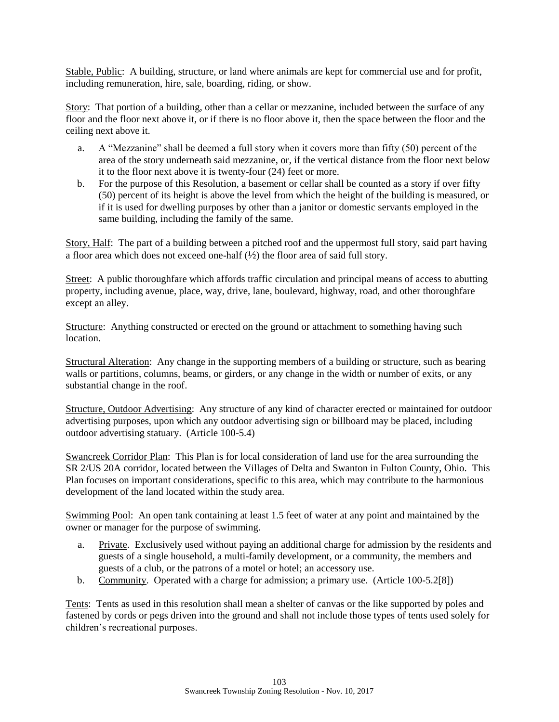Stable, Public: A building, structure, or land where animals are kept for commercial use and for profit, including remuneration, hire, sale, boarding, riding, or show.

Story: That portion of a building, other than a cellar or mezzanine, included between the surface of any floor and the floor next above it, or if there is no floor above it, then the space between the floor and the ceiling next above it.

- a. A "Mezzanine" shall be deemed a full story when it covers more than fifty (50) percent of the area of the story underneath said mezzanine, or, if the vertical distance from the floor next below it to the floor next above it is twenty-four (24) feet or more.
- b. For the purpose of this Resolution, a basement or cellar shall be counted as a story if over fifty (50) percent of its height is above the level from which the height of the building is measured, or if it is used for dwelling purposes by other than a janitor or domestic servants employed in the same building, including the family of the same.

Story, Half: The part of a building between a pitched roof and the uppermost full story, said part having a floor area which does not exceed one-half  $(\frac{1}{2})$  the floor area of said full story.

Street: A public thoroughfare which affords traffic circulation and principal means of access to abutting property, including avenue, place, way, drive, lane, boulevard, highway, road, and other thoroughfare except an alley.

Structure: Anything constructed or erected on the ground or attachment to something having such location.

Structural Alteration: Any change in the supporting members of a building or structure, such as bearing walls or partitions, columns, beams, or girders, or any change in the width or number of exits, or any substantial change in the roof.

Structure, Outdoor Advertising: Any structure of any kind of character erected or maintained for outdoor advertising purposes, upon which any outdoor advertising sign or billboard may be placed, including outdoor advertising statuary. (Article 100-5.4)

Swancreek Corridor Plan: This Plan is for local consideration of land use for the area surrounding the SR 2/US 20A corridor, located between the Villages of Delta and Swanton in Fulton County, Ohio. This Plan focuses on important considerations, specific to this area, which may contribute to the harmonious development of the land located within the study area.

Swimming Pool: An open tank containing at least 1.5 feet of water at any point and maintained by the owner or manager for the purpose of swimming.

- a. Private. Exclusively used without paying an additional charge for admission by the residents and guests of a single household, a multi-family development, or a community, the members and guests of a club, or the patrons of a motel or hotel; an accessory use.
- b. Community. Operated with a charge for admission; a primary use. (Article 100-5.2[8])

Tents: Tents as used in this resolution shall mean a shelter of canvas or the like supported by poles and fastened by cords or pegs driven into the ground and shall not include those types of tents used solely for children's recreational purposes.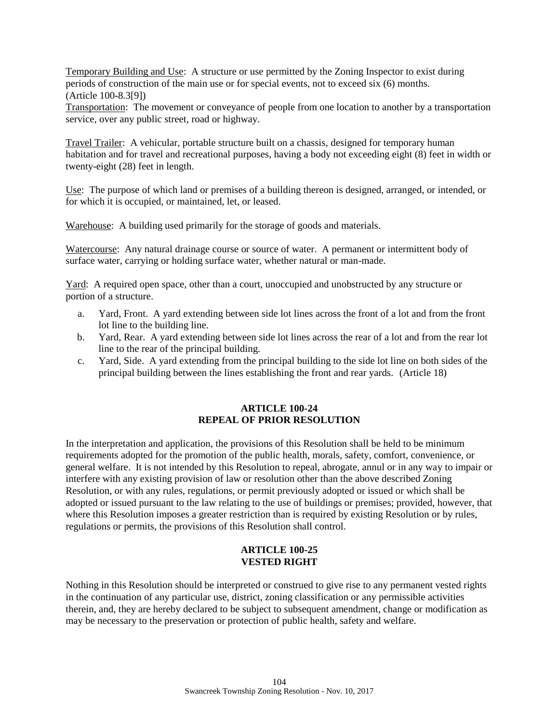Temporary Building and Use: A structure or use permitted by the Zoning Inspector to exist during periods of construction of the main use or for special events, not to exceed six (6) months. (Article 100-8.3[9])

Transportation: The movement or conveyance of people from one location to another by a transportation service, over any public street, road or highway.

Travel Trailer: A vehicular, portable structure built on a chassis, designed for temporary human habitation and for travel and recreational purposes, having a body not exceeding eight (8) feet in width or twenty-eight (28) feet in length.

Use: The purpose of which land or premises of a building thereon is designed, arranged, or intended, or for which it is occupied, or maintained, let, or leased.

Warehouse: A building used primarily for the storage of goods and materials.

Watercourse: Any natural drainage course or source of water. A permanent or intermittent body of surface water, carrying or holding surface water, whether natural or man-made.

Yard: A required open space, other than a court, unoccupied and unobstructed by any structure or portion of a structure.

- a. Yard, Front. A yard extending between side lot lines across the front of a lot and from the front lot line to the building line.
- b. Yard, Rear. A yard extending between side lot lines across the rear of a lot and from the rear lot line to the rear of the principal building.
- c. Yard, Side. A yard extending from the principal building to the side lot line on both sides of the principal building between the lines establishing the front and rear yards. (Article 18)

#### **ARTICLE 100-24 REPEAL OF PRIOR RESOLUTION**

In the interpretation and application, the provisions of this Resolution shall be held to be minimum requirements adopted for the promotion of the public health, morals, safety, comfort, convenience, or general welfare. It is not intended by this Resolution to repeal, abrogate, annul or in any way to impair or interfere with any existing provision of law or resolution other than the above described Zoning Resolution, or with any rules, regulations, or permit previously adopted or issued or which shall be adopted or issued pursuant to the law relating to the use of buildings or premises; provided, however, that where this Resolution imposes a greater restriction than is required by existing Resolution or by rules, regulations or permits, the provisions of this Resolution shall control.

# **ARTICLE 100-25 VESTED RIGHT**

Nothing in this Resolution should be interpreted or construed to give rise to any permanent vested rights in the continuation of any particular use, district, zoning classification or any permissible activities therein, and, they are hereby declared to be subject to subsequent amendment, change or modification as may be necessary to the preservation or protection of public health, safety and welfare.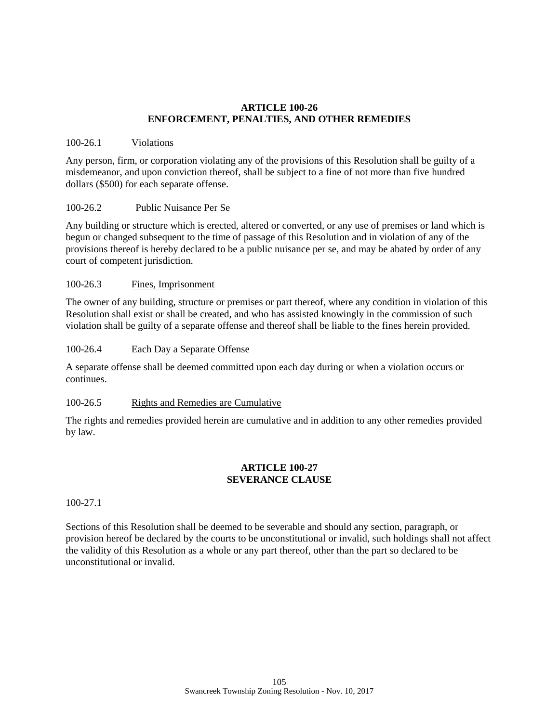#### **ARTICLE 100-26 ENFORCEMENT, PENALTIES, AND OTHER REMEDIES**

#### 100-26.1 Violations

Any person, firm, or corporation violating any of the provisions of this Resolution shall be guilty of a misdemeanor, and upon conviction thereof, shall be subject to a fine of not more than five hundred dollars (\$500) for each separate offense.

## 100-26.2 Public Nuisance Per Se

Any building or structure which is erected, altered or converted, or any use of premises or land which is begun or changed subsequent to the time of passage of this Resolution and in violation of any of the provisions thereof is hereby declared to be a public nuisance per se, and may be abated by order of any court of competent jurisdiction.

## 100-26.3 Fines, Imprisonment

The owner of any building, structure or premises or part thereof, where any condition in violation of this Resolution shall exist or shall be created, and who has assisted knowingly in the commission of such violation shall be guilty of a separate offense and thereof shall be liable to the fines herein provided.

#### 100-26.4 Each Day a Separate Offense

A separate offense shall be deemed committed upon each day during or when a violation occurs or continues.

#### 100-26.5 Rights and Remedies are Cumulative

The rights and remedies provided herein are cumulative and in addition to any other remedies provided by law.

#### **ARTICLE 100-27 SEVERANCE CLAUSE**

#### 100-27.1

Sections of this Resolution shall be deemed to be severable and should any section, paragraph, or provision hereof be declared by the courts to be unconstitutional or invalid, such holdings shall not affect the validity of this Resolution as a whole or any part thereof, other than the part so declared to be unconstitutional or invalid.